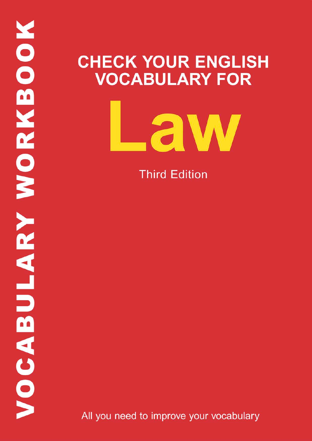## **CHECK YOUR ENGLISH VOCABULARY FOR**



**Third Edition** 

All you need to improve your vocabulary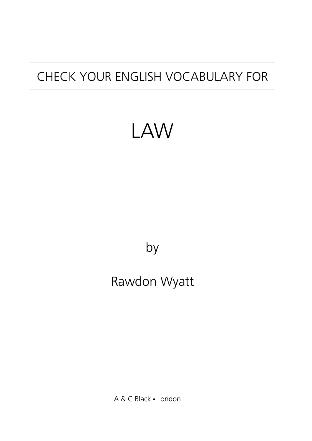## CHECK YOUR ENGLISH VOCABULARY FOR

# LAW

by

### Rawdon Wyatt

A & C Black . London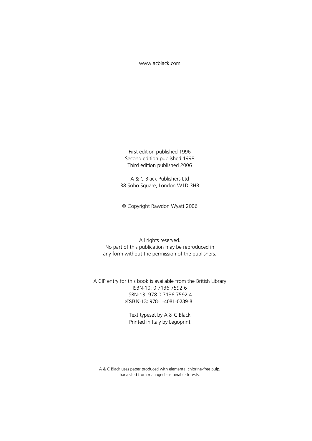[www.acblack.com](http://www.acblack.com)

First edition published 1996 Second edition published 1998 Third edition published 2006

A & C Black Publishers Ltd 38 Soho Square, London W1D 3HB

© Copyright Rawdon Wyatt 2006

All rights reserved. No part of this publication may be reproduced in any form without the permission of the publishers.

A CIP entry for this book is available from the British Library ISBN-10: 0 7136 7592 6 ISBN-13: 978 0 7136 7592 4 eISBN-13: 978-1-4081-0239-8

> Text typeset by A & C Black Printed in Italy by Legoprint

A & C Black uses paper produced with elemental chlorine-free pulp, harvested from managed sustainable forests.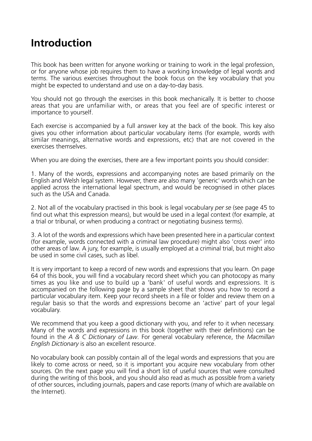### **Introduction**

This book has been written for anyone working or training to work in the legal profession, or for anyone whose job requires them to have a working knowledge of legal words and terms. The various exercises throughout the book focus on the key vocabulary that you might be expected to understand and use on a day-to-day basis.

You should not go through the exercises in this book mechanically. It is better to choose areas that you are unfamiliar with, or areas that you feel are of specific interest or importance to yourself.

Each exercise is accompanied by a full answer key at the back of the book. This key also gives you other information about particular vocabulary items (for example, words with similar meanings, alternative words and expressions, etc) that are not covered in the exercises themselves.

When you are doing the exercises, there are a few important points you should consider:

1. Many of the words, expressions and accompanying notes are based primarily on the English and Welsh legal system. However, there are also many 'generic' words which can be applied across the international legal spectrum, and would be recognised in other places such as the USA and Canada.

2. Not all of the vocabulary practised in this book is legal vocabulary *per se* (see [page 45](#page-49-0) to find out what this expression means), but would be used in a legal context (for example, at a trial or tribunal, or when producing a contract or negotiating business terms).

3. A lot of the words and expressions which have been presented here in a particular context (for example, words connected with a criminal law procedure) might also 'cross over' into other areas of law. A jury, for example, is usually employed at a criminal trial, but might also be used in some civil cases, such as libel.

It is very important to keep a record of new words and expressions that you learn. On page 64 of this book, you will find a vocabulary record sheet which you can photocopy as many times as you like and use to build up a 'bank' of useful words and expressions. It is accompanied on the following page by a sample sheet that shows you how to record a particular vocabulary item. Keep your record sheets in a file or folder and review them on a regular basis so that the words and expressions become an 'active' part of your legal vocabulary.

We recommend that you keep a good dictionary with you, and refer to it when necessary. Many of the words and expressions in this book (together with their definitions) can be found in the *A & C Dictionary of Law*. For general vocabulary reference, the *Macmillan English Dictionary* is also an excellent resource.

No vocabulary book can possibly contain all of the legal words and expressions that you are likely to come across or need, so it is important you acquire new vocabulary from other sources. On the next page you will find a short list of useful sources that were consulted during the writing of this book, and you should also read as much as possible from a variety of other sources, including journals, papers and case reports (many of which are available on the Internet).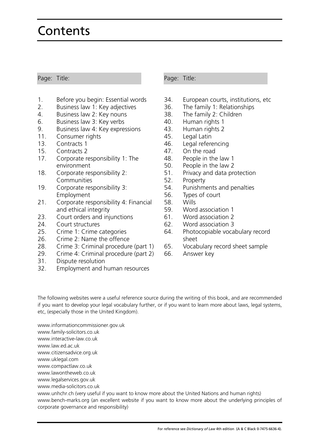### Contents

- [1. Before you begin: Essential words](#page-5-0)
- [2. Business law 1: Key adjectives](#page-6-0)
- [4. Business law 2: Key nouns](#page-8-0)
- [6. Business law 3: Key verbs](#page-10-0)
- [9. Business law 4: Key expressions](#page-13-0)
- [11. Consumer rights](#page-15-0)
- [13. Contracts 1](#page-17-0)
- [15. Contracts 2](#page-19-0)
- [17. Corporate responsibility 1: The](#page-21-0) environment
- [18. Corporate responsibility 2:](#page-22-0) Communities
- [19. Corporate responsibility 3:](#page-23-0) Employment
- [21. Corporate responsibility 4: Financial](#page-25-0)  and ethical integrity
- [23. Court orders and injunctions](#page-27-0)
- [24. Court structures](#page-28-0)
- [25. Crime 1: Crime categories](#page-29-0)

[www.informationcommissioner.gov.uk](http://www.informationcommissioner.gov.uk)

[www.family-solicitors.co.uk](http://www.family-solicitors.co.uk) [www.interactive-law.co.uk](http://www.interactive-law.co.uk)

[www.citizensadvice.org.uk](http://www.citizensadvice.org.uk)

[www.law.ed.ac.uk](http://www.law.ed.ac.uk)

[www.uklegal.com](http://www.uklegal.com)

- [26. Crime 2: Name the offence](#page-30-0)
- [28. Crime 3: Criminal procedure \(part 1\)](#page-32-0)
- [29. Crime 4: Criminal procedure \(part 2\)](#page-33-0)
- [31. Dispute resolution](#page-35-0)
- [32. Employment and human resources](#page-36-0)

#### Page: Title: Page: Title:

- [34. European courts, institutions, etc](#page-38-0)
- [36. The family 1: Relationships](#page-40-0)
- [38. The family 2: Children](#page-42-0)
- [40. Human rights 1](#page-44-0)
- [43. Human rights 2](#page-47-0)
- [45. Legal Latin](#page-49-0)
- [46. Legal referencing](#page-50-0)
- [47. On the road](#page-51-0)
- [48. People in the law 1](#page-52-0)
- [50. People in the law 2](#page-54-0)
- [51. Privacy and data protection](#page-55-0)
- [52. Property](#page-56-0)
- [54. Punishments and penalties](#page-58-0)
- [56. Types of court](#page-60-0)
- [58. Wills](#page-62-0)
- [59. Word association 1](#page-63-0)
- [61. Word association 2](#page-65-0)
- [62. Word association 3](#page-66-0)
- [64. Photocopiable vocabulary record](#page-68-0) sheet
- [65. Vocabulary record sheet sample](#page-69-0)
- [66. Answer key](#page-70-0)

The following websites were a useful reference source during the writing of this book, and are recommended if you want to develop your legal vocabulary further, or if you want to learn more about laws, legal systems, etc, (especially those in the United Kingdom).

[www.compactlaw.co.uk](http://www.compactlaw.co.uk) [www.lawontheweb.co.uk](http://www.lawontheweb.co.uk) [www.legalservices.gov.uk](http://www.legalservices.gov.uk) [www.media-solicitors.co.uk](http://www.media-solicitors.co.uk) [www.unhchr.ch \(ve](http://www.unhchr.ch)ry useful if you want to know more about the United Nations and human rights) [www.bench-marks.org](http://www.bench-marks.org) (an excellent website if you want to know more about the underlying principles of corporate governance and responsibility)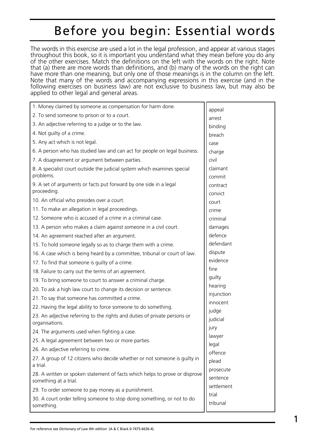### Before you begin: Essential words

<span id="page-5-0"></span>The words in this exercise are used a lot in the legal profession, and appear at various stages throughout this book, so it is important you understand what they mean before you do any of the other exercises. Match the definitions on the left with the words on the right. Note that (a) there are more words than definitions, and (b) many of the words on the right can have more than one meaning, but only one of those meanings is in the column on the left. Note that many of the words and accompanying expressions in this exercise (and in the following exercises on business law) are not exclusive to business law, but may also be applied to other legal and general areas.

| 1. Money claimed by someone as compensation for harm done.                                           | appeal                 |
|------------------------------------------------------------------------------------------------------|------------------------|
| 2. To send someone to prison or to a court.                                                          | arrest                 |
| 3. An adjective referring to a judge or to the law.                                                  | binding                |
| 4. Not guilty of a crime.                                                                            | breach                 |
| 5. Any act which is not legal.                                                                       | case                   |
| 6. A person who has studied law and can act for people on legal business.                            | charge                 |
| 7. A disagreement or argument between parties.                                                       | civil                  |
| 8. A specialist court outside the judicial system which examines special<br>problems.                | claimant<br>commit     |
| 9. A set of arguments or facts put forward by one side in a legal                                    | contract               |
| proceeding.                                                                                          | convict                |
| 10. An official who presides over a court.                                                           | court                  |
| 11. To make an allegation in legal proceedings.                                                      | crime                  |
| 12. Someone who is accused of a crime in a criminal case.                                            | criminal               |
| 13. A person who makes a claim against someone in a civil court.                                     | damages                |
| 14. An agreement reached after an argument.                                                          | defence                |
| 15. To hold someone legally so as to charge them with a crime.                                       | defendant              |
| 16. A case which is being heard by a committee, tribunal or court of law.                            | dispute                |
| 17. To find that someone is guilty of a crime.                                                       | evidence               |
| 18. Failure to carry out the terms of an agreement.                                                  | fine                   |
| 19. To bring someone to court to answer a criminal charge.                                           | guilty                 |
| 20. To ask a high law court to change its decision or sentence.                                      | hearing                |
| 21. To say that someone has committed a crime.                                                       | injunction<br>innocent |
| 22. Having the legal ability to force someone to do something.                                       | judge                  |
| 23. An adjective referring to the rights and duties of private persons or<br>organisations.          | judicial               |
| 24. The arguments used when fighting a case.                                                         | jury                   |
| 25. A legal agreement between two or more parties.                                                   | lawyer                 |
| 26. An adjective referring to crime.                                                                 | legal<br>offence       |
| 27. A group of 12 citizens who decide whether or not someone is guilty in                            | plead                  |
| a trial.                                                                                             | prosecute              |
| 28. A written or spoken statement of facts which helps to prove or disprove<br>something at a trial. | sentence               |
| 29. To order someone to pay money as a punishment.                                                   | settlement             |
| 30. A court order telling someone to stop doing something, or not to do<br>something.                | trial<br>tribunal      |

1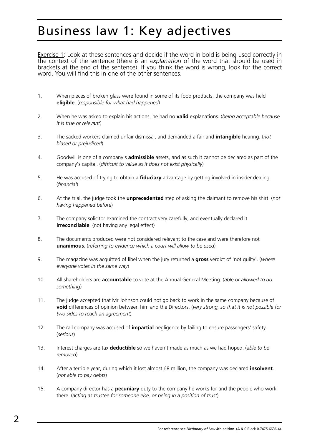### <span id="page-6-0"></span>Business law 1: Key adjectives

Exercise 1: Look at these sentences and decide if the word in bold is being used correctly in the context of the sentence (there is an *explanation* of the word that should be used in brackets at the end of the sentence). If you think the word is wrong, look for the correct word. You will find this in one of the other sentences.

- 1. When pieces of broken glass were found in some of its food products, the company was held **eligible**. (*responsible for what had happened*)
- 2. When he was asked to explain his actions, he had no **valid** explanations. (*being acceptable because it is true or relevant*)
- 3. The sacked workers claimed unfair dismissal, and demanded a fair and **intangible** hearing. (*not biased or prejudiced*)
- 4. Goodwill is one of a company's **admissible** assets, and as such it cannot be declared as part of the company's capital. (*difficult to value as it does not exist physically*)
- 5. He was accused of trying to obtain a **fiduciary** advantage by getting involved in insider dealing. (*financial*)
- 6. At the trial, the judge took the **unprecedented** step of asking the claimant to remove his shirt. (*not having happened before*)
- 7. The company solicitor examined the contract very carefully, and eventually declared it **irreconcilable**. (not having any legal effect)
- 8. The documents produced were not considered relevant to the case and were therefore not **unanimous**. (*referring to evidence which a court will allow to be used*)
- 9. The magazine was acquitted of libel when the jury returned a **gross** verdict of 'not guilty'. (*where everyone votes in the same way*)
- 10. All shareholders are **accountable** to vote at the Annual General Meeting. (*able or allowed to do something*)
- 11. The judge accepted that Mr Johnson could not go back to work in the same company because of **void** differences of opinion between him and the Directors. (*very strong, so that it is not possible for two sides to reach an agreement*)
- 12. The rail company was accused of **impartial** negligence by failing to ensure passengers' safety. (*serious*)
- 13. Interest charges are tax **deductible** so we haven't made as much as we had hoped. (*able to be removed*)
- 14. After a terrible year, during which it lost almost £8 million, the company was declared **insolvent**. (*not able to pay debts*)
- 15. A company director has a **pecuniary** duty to the company he works for and the people who work there. (*acting as trustee for someone else, or being in a position of trust*)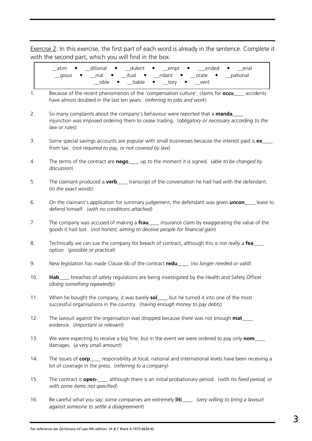Exercise 2: In this exercise, the first part of each word is already in the sentence. Complete it with the second part, which you will find in the box.

|  |  |                                    |  |  | atim • ditional • __dulent • __empt • __ended • __erial                            |
|--|--|------------------------------------|--|--|------------------------------------------------------------------------------------|
|  |  |                                    |  |  | $\Box$ gious • $\Box$ inal • $\Box$ itual • $\Box$ ndant • $\Box$ orate • pational |
|  |  | sible • __tiable • __tory • __vent |  |  |                                                                                    |

1. Because of the recent phenomenon of the 'compensation culture', claims for **occu\_\_\_\_** accidents have almost doubled in the last ten years. (*referring to jobs and work*)

- 2. So many complaints about the company's behaviour were reported that a **manda\_\_\_\_** injunction was imposed ordering them to cease trading. (*obligatory or necessary according to the law or rules*)
- 3. Some special savings accounts are popular with small businesses because the interest paid is **ex\_\_\_\_** from tax. (*not required to pay, or not covered by law*)
- 4. The terms of the contract are **nego\_\_\_\_** up to the moment it is signed. (*able to be changed by discussion*)
- 5. The claimant produced a **verb\_\_\_\_** transcript of the conversation he had had with the defendant. (*in the exact words*)
- 6. On the claimant's application for summary judgement, the defendant was given **uncon\_\_\_\_** leave to defend himself. (*with no conditions attached*)
- 7. The company was accused of making a **frau\_\_\_\_** insurance claim by exaggerating the value of the goods it had lost. (*not honest, aiming to deceive people for financial gain*)
- 8. Technically we can sue the company for breach of contract, although this is not really a **fea\_\_\_\_**  option. (*possible or practical*)
- 9. New legislation has made Clause 6b of the contract **redu\_\_\_\_**. (*no longer needed or valid*)
- 10. **Hab\_\_\_\_** breaches of safety regulations are being investigated by the Health and Safety Officer. (*doing something repeatedly*)
- 11. When he bought the company, it was barely **sol\_\_\_\_** but he turned it into one of the most successful organisations in the country. (*having enough money to pay debts*)
- 12. The lawsuit against the organisation was dropped because there was not enough **mat\_\_\_\_** evidence. (*important or relevant*)
- 13. We were expecting to receive a big fine, but in the event we were ordered to pay only **nom\_\_\_\_** damages. (*a very small amount*)
- 14. The issues of **corp\_\_\_\_** responsibility at local, national and international levels have been receiving a lot of coverage in the press. (*referring to a company*)
- 15. The contract is **open-\_\_\_\_** although there is an initial probationary period. (*with no fixed period, or with some items not specified*)
- 16. Be careful what you say: some companies are extremely **liti\_\_\_\_**. (*very willing to bring a lawsuit against someone to settle a disagreement*)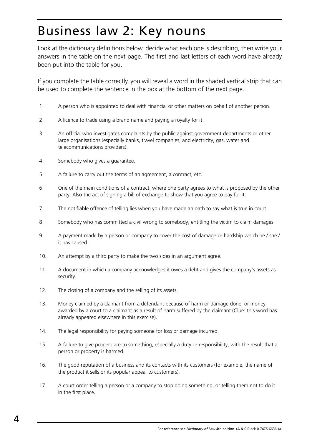### <span id="page-8-0"></span>Business law 2: Key nouns

Look at the dictionary definitions below, decide what each one is describing, then write your answers in the table on the next page. The first and last letters of each word have already been put into the table for you.

If you complete the table correctly, you will reveal a word in the shaded vertical strip that can be used to complete the sentence in the box at the bottom of the next page.

- 1. A person who is appointed to deal with financial or other matters on behalf of another person.
- 2. A licence to trade using a brand name and paying a royalty for it.
- 3. An official who investigates complaints by the public against government departments or other large organisations (especially banks, travel companies, and electricity, gas, water and telecommunications providers).
- 4. Somebody who gives a guarantee.
- 5. A failure to carry out the terms of an agreement, a contract, etc.
- 6. One of the main conditions of a contract, where one party agrees to what is proposed by the other party. Also the act of signing a bill of exchange to show that you agree to pay for it.
- 7. The notifiable offence of telling lies when you have made an oath to say what is true in court.
- 8. Somebody who has committed a civil wrong to somebody, entitling the victim to claim damages.
- 9. A payment made by a person or company to cover the cost of damage or hardship which he / she / it has caused.
- 10. An attempt by a third party to make the two sides in an argument agree.
- 11. A document in which a company acknowledges it owes a debt and gives the company's assets as security.
- 12. The closing of a company and the selling of its assets.
- 13. Money claimed by a claimant from a defendant because of harm or damage done, or money awarded by a court to a claimant as a result of harm suffered by the claimant (Clue: this word has already appeared elsewhere in this exercise).
- 14. The legal responsibility for paying someone for loss or damage incurred.
- 15. A failure to give proper care to something, especially a duty or responsibility, with the result that a person or property is harmed.
- 16. The good reputation of a business and its contacts with its customers (for example, the name of the product it sells or its popular appeal to customers).
- 17. A court order telling a person or a company to stop doing something, or telling them not to do it in the first place.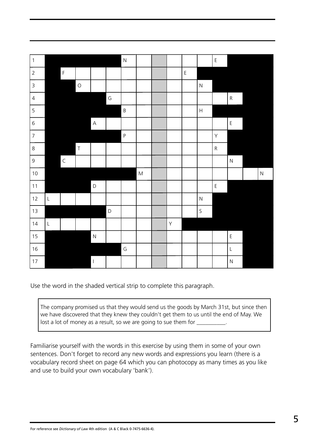| $\mathbf{1}$   |             |                |           |                 |                | $\overline{\sf N}$ |           |   |                |                         | $\bar{\mathsf{E}}$ |                                                     |           |
|----------------|-------------|----------------|-----------|-----------------|----------------|--------------------|-----------|---|----------------|-------------------------|--------------------|-----------------------------------------------------|-----------|
| $\overline{c}$ |             | $\overline{F}$ |           |                 |                |                    |           |   | $\overline{E}$ |                         |                    |                                                     |           |
| $\overline{3}$ |             |                | $\circ$   |                 |                |                    |           |   |                | $\mathsf N$             |                    |                                                     |           |
| $\overline{4}$ |             |                |           |                 | ${\mathsf G}$  |                    |           |   |                |                         |                    | ${\sf R}$                                           |           |
| 5              |             |                |           |                 |                | $\sf B$            |           |   |                | $\overline{H}$          |                    |                                                     |           |
| $\overline{6}$ |             |                |           | $\mathsf A$     |                |                    |           |   |                |                         |                    | $\mathsf{E}% _{0}\left( \mathsf{E}_{0}\right) ^{T}$ |           |
| $\overline{7}$ |             |                |           |                 |                | $\mathsf{P}$       |           |   |                |                         | Y                  |                                                     |           |
| 8              |             |                | $\vert$ T |                 |                |                    |           |   |                |                         | $\mathsf R$        |                                                     |           |
| $\overline{9}$ |             | $\overline{C}$ |           |                 |                |                    |           |   |                |                         |                    | ${\sf N}$                                           |           |
| 10             |             |                |           |                 |                |                    | ${\sf M}$ |   |                |                         |                    |                                                     | ${\sf N}$ |
| 11             |             |                |           | $\mathsf D$     |                |                    |           |   |                |                         | $\mathsf E$        |                                                     |           |
| $12$           | $\mathsf L$ |                |           |                 |                |                    |           |   |                | ${\sf N}$               |                    |                                                     |           |
| 13             |             |                |           |                 | $\overline{D}$ |                    |           |   |                | $\overline{\mathsf{S}}$ |                    |                                                     |           |
| 14             | $\mathsf L$ |                |           |                 |                |                    |           | Y |                |                         |                    |                                                     |           |
| 15             |             |                |           | ${\sf N}$       |                |                    |           |   |                |                         |                    | $\bar{\mathsf{E}}$                                  |           |
| 16             |             |                |           |                 |                | ${\mathsf G}$      |           |   |                |                         |                    | $\overline{\mathsf{L}}$                             |           |
| $17$           |             |                |           | $\vert$ $\vert$ |                |                    |           |   |                |                         |                    | ${\sf N}$                                           |           |

Use the word in the shaded vertical strip to complete this paragraph.

The company promised us that they would send us the goods by March 31st, but since then we have discovered that they knew they couldn't get them to us until the end of May. We lost a lot of money as a result, so we are going to sue them for \_\_\_\_\_\_\_\_\_\_\_\_\_\_\_\_

Familiarise yourself with the words in this exercise by using them in some of your own sentences. Don't forget to record any new words and expressions you learn (there is a vocabulary record sheet on page 64 which you can photocopy as many times as you like and use to build your own vocabulary 'bank').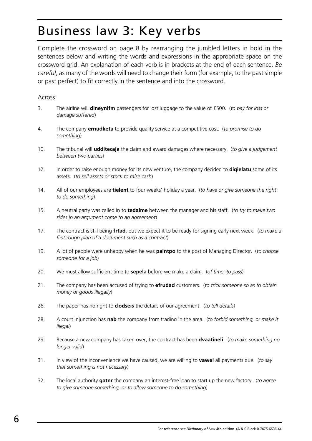### <span id="page-10-0"></span>Business law 3: Key verbs

Complete the crossword on page 8 by rearranging the jumbled letters in bold in the sentences below and writing the words and expressions in the appropriate space on the crossword grid. An explanation of each verb is in brackets at the end of each sentence. *Be careful*, as many of the words will need to change their form (for example, to the past simple or past perfect) to fit correctly in the sentence and into the crossword.

#### Across:

- 3. The airline will **dineynifm** passengers for lost luggage to the value of £500. (*to pay for loss or damage suffered*)
- 4. The company **ernudketa** to provide quality service at a competitive cost. (*to promise to do something*)
- 10. The tribunal will **udditecaja** the claim and award damages where necessary. (*to give a judgement between two parties*)
- 12. In order to raise enough money for its new venture, the company decided to **diqielatu** some of its assets. (*to sell assets or stock to raise cash*)
- 14. All of our employees are **tielent** to four weeks' holiday a year. (*to have or give someone the right to do something*)
- 15. A neutral party was called in to **tedaime** between the manager and his staff. (*to try to make two sides in an argument come to an agreement*)
- 17. The contract is still being **frtad**, but we expect it to be ready for signing early next week. (*to make a first rough plan of a document such as a contract*)
- 19. A lot of people were unhappy when he was **paintpo** to the post of Managing Director. (*to choose someone for a job*)
- 20. We must allow sufficient time to **sepela** before we make a claim. (*of time: to pass*)
- 21. The company has been accused of trying to **efrudad** customers. (*to trick someone so as to obtain money or goods illegally*)
- 26. The paper has no right to **clodseis** the details of our agreement. (*to tell details*)
- 28. A court injunction has **nab** the company from trading in the area. (*to forbid something, or make it illegal*)
- 29. Because a new company has taken over, the contract has been **dvaatineli**. (*to make something no longer valid*)
- 31. In view of the inconvenience we have caused, we are willing to **vawei** all payments due. (*to say that something is not necessary*)
- 32. The local authority **gatnr** the company an interest-free loan to start up the new factory. (*to agree to give someone something, or to allow someone to do something*)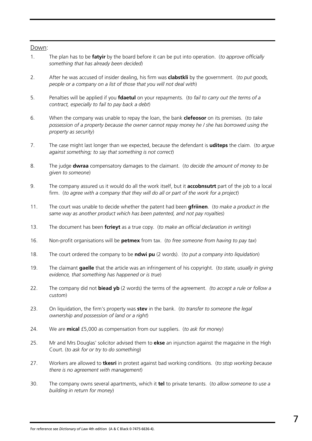#### Down:

- 1. The plan has to be **fatyir** by the board before it can be put into operation. (*to approve officially something that has already been decided*)
- 2. After he was accused of insider dealing, his firm was **clabstkli** by the government. (*to put goods, people or a company on a list of those that you will not deal with*)
- 5. Penalties will be applied if you **fdaetul** on your repayments. (*to fail to carry out the terms of a contract, especially to fail to pay back a debt*)
- 6. When the company was unable to repay the loan, the bank **clefeosor** on its premises. (*to take possession of a property because the owner cannot repay money he / she has borrowed using the property as security*)
- 7. The case might last longer than we expected, because the defendant is **uditeps** the claim. (*to argue against something; to say that something is not correct*)
- 8. The judge **dwraa** compensatory damages to the claimant. (*to decide the amount of money to be given to someone*)
- 9. The company assured us it would do all the work itself, but it **accobnsutrt** part of the job to a local firm. (*to agree with a company that they will do all or part of the work for a project*)
- 11. The court was unable to decide whether the patent had been **gfriinen**. (*to make a product in the same way as another product which has been patented, and not pay royalties*)
- 13. The document has been **fcrieyt** as a true copy. (*to make an official declaration in writing*)
- 16. Non-profit organisations will be **petmex** from tax. (*to free someone from having to pay tax*)
- 18. The court ordered the company to be **ndwi pu** (2 words). (*to put a company into liquidation*)
- 19. The claimant **gaelle** that the article was an infringement of his copyright. (*to state, usually in giving evidence, that something has happened or is true*)
- 22. The company did not **biead yb** (2 words) the terms of the agreement. *(to accept a rule or follow a custom*)
- 23. On liquidation, the firm's property was **stev** in the bank. (*to transfer to someone the legal ownership and possession of land or a right*)
- 24. We are **mical** £5,000 as compensation from our suppliers. (*to ask for money*)
- 25. Mr and Mrs Douglas' solicitor advised them to **ekse** an injunction against the magazine in the High Court. (*to ask for or try to do something*)
- 27. Workers are allowed to **tkesri** in protest against bad working conditions. (*to stop working because there is no agreement with management*)
- 30. The company owns several apartments, which it **tel** to private tenants. (*to allow someone to use a building in return for money*)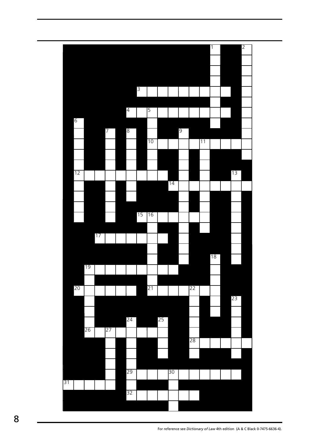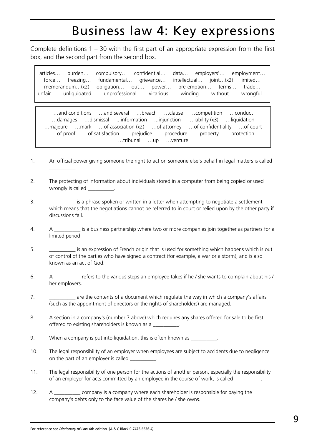### Business law 4: Key expressions

<span id="page-13-0"></span>Complete definitions  $1 - 30$  with the first part of an appropriate expression from the first box, and the second part from the second box.

articles… burden… compulsory… confidential… data… employers'… employment… force… freezing… fundamental… grievance… intellectual… joint…(x2) limited… memorandum…(x2) obligation… out… power… pre-emption… terms… trade… unfair… unliquidated… unprofessional… vicarious... winding… without... wrongful...

…and conditions …and several …breach …clause …competition …conduct …damages …dismissal ...information ...injunction …liability (x3) …liquidation …majeure …mark …of association (x2) …of attorney …of confidentiality …of court …of proof …of satisfaction …prejudice …procedure …property …protection …tribunal …up …venture

- 1. An official power giving someone the right to act on someone else's behalf in legal matters is called  $\overline{\phantom{a}}$  . The contract of  $\overline{\phantom{a}}$
- 2. The protecting of information about individuals stored in a computer from being copied or used wrongly is called  $\qquad \qquad$ .
- 3. \_\_\_\_\_\_\_\_\_\_\_\_\_ is a phrase spoken or written in a letter when attempting to negotiate a settlement which means that the negotiations cannot be referred to in court or relied upon by the other party if discussions fail.
- 4. A \_\_\_\_\_\_\_\_\_\_ is a business partnership where two or more companies join together as partners for a limited period.
- 5. \_\_\_\_\_\_\_\_\_\_ is an expression of French origin that is used for something which happens which is out of control of the parties who have signed a contract (for example, a war or a storm), and is also known as an act of God.
- 6. A \_\_\_\_\_\_\_\_\_\_ refers to the various steps an employee takes if he / she wants to complain about his / her employers.
- 7. \_\_\_\_\_\_\_\_\_\_ are the contents of a document which regulate the way in which a company's affairs (such as the appointment of directors or the rights of shareholders) are managed.
- 8. A section in a company's (number 7 above) which requires any shares offered for sale to be first offered to existing shareholders is known as a \_\_\_\_\_\_\_\_\_\_.
- 9. When a company is put into liquidation, this is often known as  $\sim$
- 10. The legal responsibility of an employer when employees are subject to accidents due to negligence on the part of an employer is called
- 11. The legal responsibility of one person for the actions of another person, especially the responsibility of an employer for acts committed by an employee in the course of work, is called \_\_\_\_\_\_\_\_\_.
- 12. A company is a company where each shareholder is responsible for paying the company's debts only to the face value of the shares he / she owns.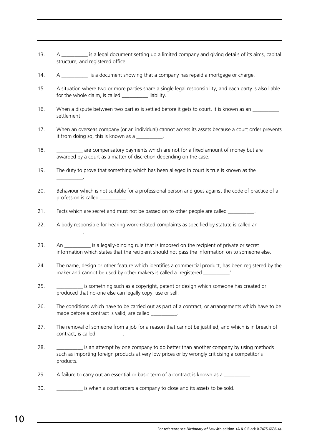- 13. A \_\_\_\_\_\_\_\_\_\_\_ is a legal document setting up a limited company and giving details of its aims, capital structure, and registered office.
- 14. A \_\_\_\_\_\_\_\_\_\_\_ is a document showing that a company has repaid a mortgage or charge.
- 15. A situation where two or more parties share a single legal responsibility, and each party is also liable for the whole claim, is called liability.
- 16. When a dispute between two parties is settled before it gets to court, it is known as an \_\_\_\_\_\_\_\_\_\_\_\_\_\_\_\_ settlement.
- 17. When an overseas company (or an individual) cannot access its assets because a court order prevents it from doing so, this is known as a
- 18. \_\_\_\_\_\_\_\_\_\_ are compensatory payments which are not for a fixed amount of money but are awarded by a court as a matter of discretion depending on the case.
- 19. The duty to prove that something which has been alleged in court is true is known as the

\_\_\_\_\_\_\_\_\_\_.

- 20. Behaviour which is not suitable for a professional person and goes against the code of practice of a profession is called \_\_\_\_\_\_\_\_\_\_\_\_.
- 21. Facts which are secret and must not be passed on to other people are called
- 22. A body responsible for hearing work-related complaints as specified by statute is called an \_\_\_\_\_\_\_\_\_\_.
- 23. An  $\blacksquare$  is a legally-binding rule that is imposed on the recipient of private or secret information which states that the recipient should not pass the information on to someone else.
- 24. The name, design or other feature which identifies a commercial product, has been registered by the maker and cannot be used by other makers is called a 'registered  $\blacksquare$
- 25. \_\_\_\_\_\_\_\_\_\_\_ is something such as a copyright, patent or design which someone has created or produced that no-one else can legally copy, use or sell.
- 26. The conditions which have to be carried out as part of a contract, or arrangements which have to be made before a contract is valid, are called
- 27. The removal of someone from a job for a reason that cannot be justified, and which is in breach of contract, is called
- 28. **Example 28.** Is an attempt by one company to do better than another company by using methods such as importing foreign products at very low prices or by wrongly criticising a competitor's products.
- 29. A failure to carry out an essential or basic term of a contract is known as a
- 30. \_\_\_\_\_\_\_\_\_\_ is when a court orders a company to close and its assets to be sold.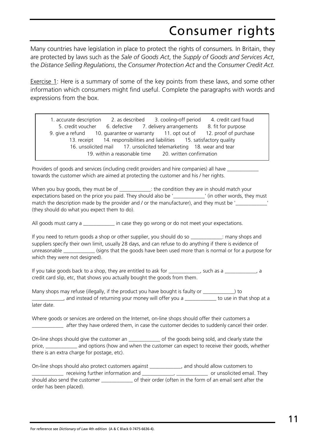### Consumer rights

<span id="page-15-0"></span>Many countries have legislation in place to protect the rights of consumers. In Britain, they are protected by laws such as the *Sale of Goods Act*, the *Supply of Goods and Services Act*, the *Distance Selling Regulations*, the *Consumer Protection Act* and the *Consumer Credit Act.*

Exercise 1: Here is a summary of some of the key points from these laws, and some other information which consumers might find useful. Complete the paragraphs with words and expressions from the box.

1. accurate description 2. as described 3. cooling-off period 4. credit card fraud 5. credit voucher 6. defective 7. delivery arrangements 8. fit for purpose 9. give a refund 10. guarantee or warranty 11. opt out of 12. proof of purchase 13. receipt 14. responsibilities and liabilities 15. satisfactory quality 16. unsolicited mail 17. unsolicited telemarketing 18. wear and tear 19. within a reasonable time 20. written confirmation

Providers of goods and services (including credit providers and hire companies) all have towards the customer which are aimed at protecting the customer and his / her rights.

When you buy goods, they must be of \_\_\_\_\_\_\_\_\_\_\_\_: the condition they are in should match your expectations based on the price you paid. They should also be '\_\_\_\_\_\_\_\_\_\_\_\_' (in other words, they must match the description made by the provider and / or the manufacturer), and they must be '\_\_\_\_\_\_\_\_\_\_\_ (they should do what you expect them to do).

All goods must carry a \_\_\_\_\_\_\_\_\_\_\_\_\_ in case they go wrong or do not meet your expectations.

If you need to return goods a shop or other supplier, you should do so \_\_\_\_\_\_\_\_\_\_\_\_: many shops and suppliers specify their own limit, usually 28 days, and can refuse to do anything if there is evidence of unreasonable \_\_\_\_\_\_\_\_\_\_\_\_ (signs that the goods have been used more than is normal or for a purpose for which they were not designed).

If you take goods back to a shop, they are entitled to ask for \_\_\_\_\_\_\_\_\_\_\_\_, such as a \_\_\_\_\_\_\_\_\_\_\_\_, a credit card slip, etc, that shows you actually bought the goods from them.

Many shops may refuse (illegally, if the product you have bought is faulty or  $\sqrt{2}$ \_\_\_\_\_\_\_\_\_\_\_\_, and instead of returning your money will offer you a \_\_\_\_\_\_\_\_\_\_\_\_ to use in that shop at a later date.

Where goods or services are ordered on the Internet, on-line shops should offer their customers a \_\_\_\_\_\_\_\_\_\_\_\_ after they have ordered them, in case the customer decides to suddenly cancel their order.

On-line shops should give the customer an \_\_\_\_\_\_\_\_\_\_\_\_\_\_\_\_\_\_ of the goods being sold, and clearly state the price, and options (how and when the customer can expect to receive their goods, whether there is an extra charge for postage, etc).

| On-line shops should also protect customers against | , and should allow customers to                              |
|-----------------------------------------------------|--------------------------------------------------------------|
| receiving further information and                   | or unsolicited email. They                                   |
| should also send the customer                       | of their order (often in the form of an email sent after the |
| order has been placed).                             |                                                              |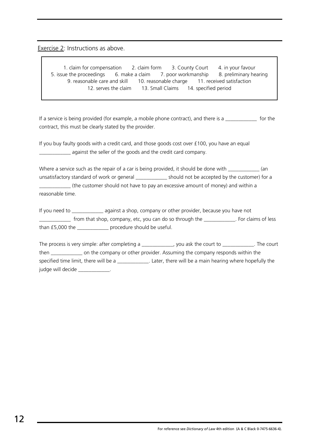Exercise 2: Instructions as above.

1. claim for compensation 2. claim form 3. County Court 4. in your favour 5. issue the proceedings 6. make a claim 7. poor workmanship 8. preliminary hearing 9. reasonable care and skill 10. reasonable charge 11. received satisfaction 12. serves the claim 13. Small Claims 14. specified period

If a service is being provided (for example, a mobile phone contract), and there is a  $\blacksquare$ contract, this must be clearly stated by the provider.

If you buy faulty goods with a credit card, and those goods cost over £100, you have an equal against the seller of the goods and the credit card company.

Where a service such as the repair of a car is being provided, it should be done with \_\_\_\_\_\_\_\_\_\_\_\_\_ (an unsatisfactory standard of work or general \_\_\_\_\_\_\_\_\_\_\_\_\_\_ should not be accepted by the customer) for a \_\_\_\_\_\_\_\_\_\_\_\_ (the customer should not have to pay an excessive amount of money) and within a reasonable time.

If you need to \_\_\_\_\_\_\_\_\_\_\_\_ against a shop, company or other provider, because you have not \_\_\_\_\_\_\_\_\_\_\_\_ from that shop, company, etc, you can do so through the \_\_\_\_\_\_\_\_\_\_\_\_. For claims of less than £5,000 the \_\_\_\_\_\_\_\_\_\_\_\_ procedure should be useful.

The process is very simple: after completing a \_\_\_\_\_\_\_\_\_\_\_, you ask the court to \_\_\_\_\_\_\_\_\_\_\_\_. The court then \_\_\_\_\_\_\_\_\_\_\_\_ on the company or other provider. Assuming the company responds within the specified time limit, there will be a \_\_\_\_\_\_\_\_\_\_\_\_\_\_. Later, there will be a main hearing where hopefully the judge will decide \_\_\_\_\_\_\_\_\_\_\_\_\_.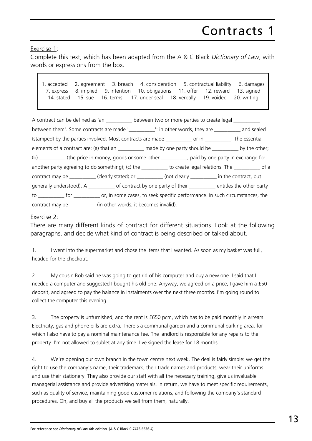### Contracts 1

<span id="page-17-0"></span>Exercise 1:

Complete this text, which has been adapted from the A & C Black *Dictionary of Law*, with words or expressions from the box.

1. accepted 2. agreement 3. breach 4. consideration 5. contractual liability 6. damages 7. express 8. implied 9. intention 10. obligations 11. offer 12. reward 13. signed 14. stated 15. sue 16. terms 17. under seal 18. verbally 19. voided 20. writing

| A contract can be defined as 'an ____________ between two or more parties to create legal __________            |  |  |
|-----------------------------------------------------------------------------------------------------------------|--|--|
| between them'. Some contracts are made '___________': in other words, they are ___________ and sealed           |  |  |
| (stamped) by the parties involved. Most contracts are made ____________ or in __________. The essential         |  |  |
| elements of a contract are: (a) that an ___________ made by one party should be ____________ by the other;      |  |  |
| (b) (b) (b) (the price in money, goods or some other (b) (b) (b) one party in exchange for                      |  |  |
| another party agreeing to do something); (c) the ____________ to create legal relations. The _____________ of a |  |  |
| contract may be ___________(clearly stated) or ___________(not clearly ___________ in the contract, but         |  |  |
| generally understood). A _____________ of contract by one party of their ____________ entitles the other party  |  |  |
| to ____________ for _______________ or, in some cases, to seek specific performance. In such circumstances, the |  |  |
| contract may be ___________(in other words, it becomes invalid).                                                |  |  |

#### Exercise 2:

There are many different kinds of contract for different situations. Look at the following paragraphs, and decide what kind of contract is being described or talked about.

1. I went into the supermarket and chose the items that I wanted. As soon as my basket was full, I headed for the checkout.

2. My cousin Bob said he was going to get rid of his computer and buy a new one. I said that I needed a computer and suggested I bought his old one. Anyway, we agreed on a price, I gave him a £50 deposit, and agreed to pay the balance in instalments over the next three months. I'm going round to collect the computer this evening.

3. The property is unfurnished, and the rent is £650 pcm, which has to be paid monthly in arrears. Electricity, gas and phone bills are extra. There's a communal garden and a communal parking area, for which I also have to pay a nominal maintenance fee. The landlord is responsible for any repairs to the property. I'm not allowed to sublet at any time. I've signed the lease for 18 months.

4. We're opening our own branch in the town centre next week. The deal is fairly simple: we get the right to use the company's name, their trademark, their trade names and products, wear their uniforms and use their stationery. They also provide our staff with all the necessary training, give us invaluable managerial assistance and provide advertising materials. In return, we have to meet specific requirements, such as quality of service, maintaining good customer relations, and following the company's standard procedures. Oh, and buy all the products we sell from them, naturally.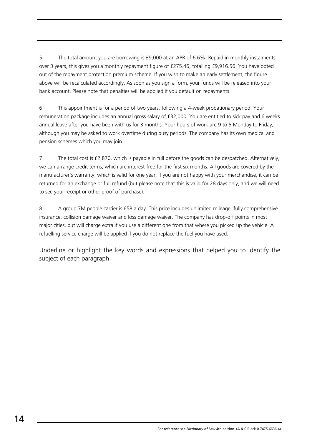5. The total amount you are borrowing is £9,000 at an APR of 6.6%. Repaid in monthly instalments over 3 years, this gives you a monthly repayment figure of £275.46, totalling £9,916.56. You have opted out of the repayment protection premium scheme. If you wish to make an early settlement, the figure above will be recalculated accordingly. As soon as you sign a form, your funds will be released into your bank account. Please note that penalties will be applied if you default on repayments.

6. This appointment is for a period of two years, following a 4-week probationary period. Your remuneration package includes an annual gross salary of £32,000. You are entitled to sick pay and 6 weeks annual leave after you have been with us for 3 months. Your hours of work are 9 to 5 Monday to Friday, although you may be asked to work overtime during busy periods. The company has its own medical and pension schemes which you may join.

7. The total cost is £2,870, which is payable in full before the goods can be despatched. Alternatively, we can arrange credit terms, which are interest-free for the first six months. All goods are covered by the manufacturer's warranty, which is valid for one year. If you are not happy with your merchandise, it can be returned for an exchange or full refund (but please note that this is valid for 28 days only, and we will need to see your receipt or other proof of purchase).

8. A group 7M people carrier is £58 a day. This price includes unlimited mileage, fully comprehensive insurance, collision damage waiver and loss damage waiver. The company has drop-off points in most major cities, but will charge extra if you use a different one from that where you picked up the vehicle. A refuelling service charge will be applied if you do not replace the fuel you have used.

Underline or highlight the key words and expressions that helped you to identify the subject of each paragraph.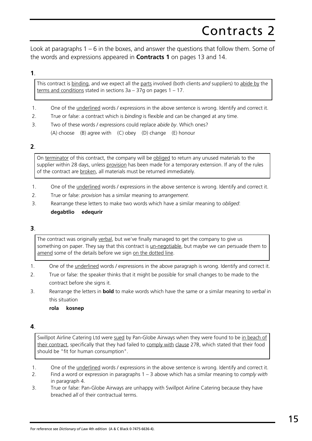### Contracts 2

<span id="page-19-0"></span>Look at paragraphs 1 – 6 in the boxes, and answer the questions that follow them. Some of the words and expressions appeared in **Contracts 1** on pages 13 and 14.

#### **1**.

This contract is binding, and we expect all the parts involved (both clients *and* suppliers) to abide by the terms and conditions stated in sections 3a – 37g on pages 1 – 17.

- 1. One of the underlined words / expressions in the above sentence is wrong. Identify and correct it.
- 2. True or false: a contract which is *binding* is flexible and can be changed at any time.
- 3. Two of these words / expressions could replace *abide by*. Which ones? (A) choose (B) agree with (C) obey (D) change (E) honour

#### **2**.

On terminator of this contract, the company will be obliged to return any unused materials to the supplier within 28 days, unless provision has been made for a temporary extension. If any of the rules of the contract are broken, all materials must be returned immediately.

- 1. One of the underlined words / expressions in the above sentence is wrong. Identify and correct it.
- 2. True or false: *provision* has a similar meaning to *arrangement*.
- 3. Rearrange these letters to make two words which have a similar meaning to *obliged*: **degabtlio edequrir**

#### **3**.

The contract was originally verbal, but we've finally managed to get the company to give us something on paper. They say that this contract is <u>un-negotiable</u>, but maybe we can persuade them to amend some of the details before we sign on the dotted line.

1. One of the *underlined* words / expressions in the above paragraph is wrong. Identify and correct it.

- 2. True or false: the speaker thinks that it might be possible for small changes to be made to the contract before she signs it.
- 3. Rearrange the letters in **bold** to make words which have the same or a similar meaning to *verbal* in this situation

#### **rola kosnep**

#### **4**.

Swillpot Airline Catering Ltd were sued by Pan-Globe Airways when they were found to be in beach of their contract, specifically that they had failed to comply with clause 27B, which stated that their food should be "fit for human consumption".

- 1. One of the *underlined* words / expressions in the above sentence is wrong. Identify and correct it.
- 2. Find a word or expression in paragraphs 1 3 above which has a similar meaning to *comply with* in paragraph 4.
- 3. True or false: Pan-Globe Airways are unhappy with Swillpot Airline Catering because they have breached *all* of their contractual terms.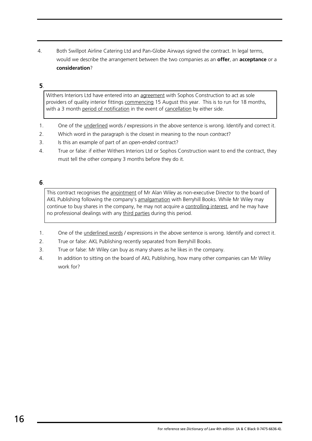4. Both Swillpot Airline Catering Ltd and Pan-Globe Airways signed the contract. In legal terms, would we describe the arrangement between the two companies as an **offer**, an **acceptance** or a **consideration**?

#### **5**.

Withers Interiors Ltd have entered into an agreement with Sophos Construction to act as sole providers of quality interior fittings commencing 15 August this year. This is to run for 18 months, with a 3 month period of notification in the event of cancellation by either side.

- 1. One of the underlined words / expressions in the above sentence is wrong. Identify and correct it.
- 2. Which word in the paragraph is the closest in meaning to the noun *contract*?
- 3. Is this an example of part of an *open-ended* contract?
- 4. True or false: if either Withers Interiors Ltd or Sophos Construction want to end the contract, they must tell the other company 3 months before they do it.

#### **6**.

This contract recognises the anointment of Mr Alan Wiley as non-executive Director to the board of AKL Publishing following the company's amalgamation with Berryhill Books. While Mr Wiley may continue to buy shares in the company, he may not acquire a controlling interest, and he may have no professional dealings with any third parties during this period.

- 1. One of the underlined words / expressions in the above sentence is wrong. Identify and correct it.
- 2. True or false: AKL Publishing recently separated from Berryhill Books.
- 3. True or false: Mr Wiley can buy as many shares as he likes in the company.
- 4. In addition to sitting on the board of AKL Publishing, how many other companies can Mr Wiley work for?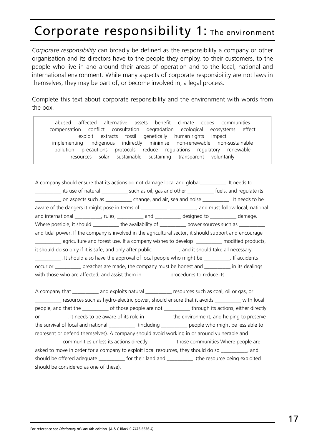### <span id="page-21-0"></span>Corporate responsibility 1: The environment

*Corporate responsibility* can broadly be defined as the responsibility a company or other organisation and its directors have to the people they employ, to their customers, to the people who live in and around their areas of operation and to the local, national and international environment. While many aspects of corporate responsibility are not laws in themselves, they may be part of, or become involved in, a legal process.

Complete this text about corporate responsibility and the environment with words from the box.

abused affected alternative assets benefit climate codes communities compensation conflict consultation degradation ecological ecosystems effect exploit extracts fossil genetically human rights impact implementing indigenous indirectly minimise non-renewable non-sustainable pollution precautions protocols reduce regulations regulatory renewable resources solar sustainable sustaining transparent voluntarily

A company should ensure that its actions do not damage local and global\_\_\_\_\_\_\_\_\_\_. It needs to \_\_\_\_\_\_\_\_\_\_\_ its use of natural \_\_\_\_\_\_\_\_\_\_\_ such as oil, gas and other \_\_\_\_\_\_\_\_\_\_\_ fuels, and regulate its \_\_\_\_\_\_\_\_\_\_ on aspects such as \_\_\_\_\_\_\_\_\_\_ change, and air, sea and noise \_\_\_\_\_\_\_\_\_\_ . It needs to be aware of the dangers it might pose in terms of \_\_\_\_\_\_\_\_\_\_\_\_\_\_\_\_\_\_\_\_\_\_\_, and must follow local, national and international \_\_\_\_\_\_\_\_\_\_\_, rules, \_\_\_\_\_\_\_\_\_\_\_ and \_\_\_\_\_\_\_\_\_\_ designed to \_\_\_\_\_\_\_\_\_\_ damage. Where possible, it should \_\_\_\_\_\_\_\_\_\_\_\_ the availability of \_\_\_\_\_\_\_\_\_\_\_ power sources such as \_\_\_\_\_\_ and tidal power. If the company is involved in the agricultural sector, it should support and encourage \_\_\_\_\_\_\_\_\_\_ agriculture and forest use. If a company wishes to develop \_\_\_\_\_\_\_\_\_\_ modified products, it should do so only if it is safe, and only after public entitly and it should take all necessary \_\_\_\_\_\_\_\_\_\_. It should also have the approval of local people who might be \_\_\_\_\_\_\_\_\_\_. If accidents occur or \_\_\_\_\_\_\_\_\_\_ breaches are made, the company must be honest and \_\_\_\_\_\_\_\_\_\_ in its dealings with those who are affected, and assist them in  $\Box$  procedures to reduce its  $\Box$ 

A company that \_\_\_\_\_\_\_\_\_\_ and exploits natural \_\_\_\_\_\_\_\_\_\_ resources such as coal, oil or gas, or \_\_\_\_\_\_\_\_\_\_ resources such as hydro-electric power, should ensure that it avoids \_\_\_\_\_\_\_\_\_\_ with local people, and that the \_\_\_\_\_\_\_\_\_\_ of those people are not \_\_\_\_\_\_\_\_\_\_ through its actions, either directly or \_\_\_\_\_\_\_\_\_\_. It needs to be aware of its role in \_\_\_\_\_\_\_\_\_\_ the environment, and helping to preserve the survival of local and national \_\_\_\_\_\_\_\_\_\_ (including \_\_\_\_\_\_\_\_\_\_ people who might be less able to represent or defend themselves). A company should avoid working in or around vulnerable and \_\_\_\_\_\_\_\_\_\_ communities unless its actions directly \_\_\_\_\_\_\_\_\_\_ those communities Where people are asked to move in order for a company to exploit local resources, they should do so  $\blacksquare$ , and should be offered adequate **their** for their land and **their information** (the resource being exploited should be considered as one of these).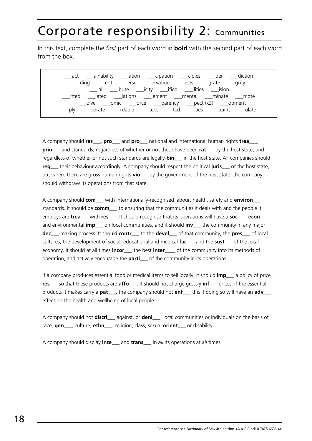### <span id="page-22-0"></span>Corporate responsibility 2: Communities

In this text, complete the *first* part of each word in **bold** with the second part of each word from the box.

|  | act annuability ation and and all ciples and and annuality and all ciples and all derminant and annuality and a |  |  |
|--|-----------------------------------------------------------------------------------------------------------------|--|--|
|  | ding ent erse ervation ests grate grity                                                                         |  |  |
|  |                                                                                                                 |  |  |
|  | ___itted ____lated ____lations ____lement ____mental ____minate ____mote                                        |  |  |
|  | olve ____omic ____orce ____parency ____pect (x2) _____opment                                                    |  |  |
|  | ____ply ____porate ____rdable ____tect ____ted ____ties ____traint ____ulate                                    |  |  |

A company should **res**\_\_\_, **pro**\_\_\_ and **pro**\_\_\_ national and international human rights **trea**\_\_\_, **prin** and standards, regardless of whether or not these have been **rat** by the host state, and regardless of whether or not such standards are legally-**bin**\_\_\_ in the host state. All companies should **reg**\_\_\_ their behaviour accordingly. A company should respect the political **juris**\_\_\_ of the host state, but where there are gross human rights **vio**\_\_\_ by the government of the host state, the company should withdraw its operations from that state.

A company should **com**\_\_\_ with internationally-recognised labour, health, safety and **environ**\_\_\_ standards. It should be **comm**\_\_\_ to ensuring that the communities it deals with and the people it employs are **trea**\_\_\_ with **res**\_\_\_. It should recognise that its operations will have a **soc**\_\_\_, **econ**\_\_\_ and environmental **imp**\_\_\_ on local communities, and it should **inv**\_\_\_ the community in any major **dec**\_\_\_-making process. It should **contr**\_\_\_ to the **devel**\_\_\_ of that community, the **pres**\_\_\_ of local cultures, the development of social, educational and medical **fac**\_\_\_ and the **sust**\_\_\_ of the local economy. It should at all times **incor**\_\_\_ the best **inter**\_\_\_\_ of the community into its methods of operation, and actively encourage the **parti**\_\_\_ of the community in its operations.

If a company produces essential food or medical items to sell locally, it should **imp**\_\_\_ a policy of price **res**\_\_\_ so that these products are **affo**\_\_\_. It should not charge grossly **inf**\_\_\_ prices. If the essential products it makes carry a **pat**\_\_\_, the company should not **enf**\_\_\_ this if doing so will have an **adv**\_\_\_ effect on the health and wellbeing of local people.

A company should not **discri**\_\_\_ against, or **deni**\_\_\_, local communities or individuals on the basis of race, **gen**\_\_\_, culture, **ethn**\_\_\_, religion, class, sexual **orient**\_\_\_ or disability.

A company should display **inte**\_\_\_ and **trans**\_\_\_ in *all* its operations at *all* times.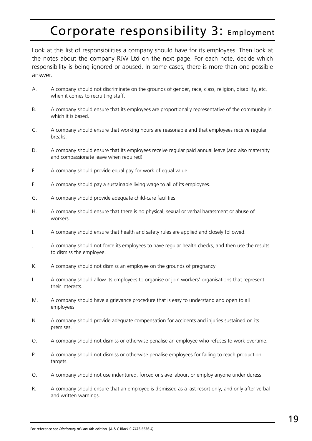### <span id="page-23-0"></span>Corporate responsibility 3: Employment

Look at this list of responsibilities a company should have for its employees. Then look at the notes about the company RJW Ltd on the next page. For each note, decide which responsibility is being ignored or abused. In some cases, there is more than one possible answer.

- A. A company should not discriminate on the grounds of gender, race, class, religion, disability, etc, when it comes to recruiting staff.
- B. A company should ensure that its employees are proportionally representative of the community in which it is based.
- C. A company should ensure that working hours are reasonable and that employees receive regular breaks.
- D. A company should ensure that its employees receive regular paid annual leave (and also maternity and compassionate leave when required).
- E. A company should provide equal pay for work of equal value.
- F. A company should pay a sustainable living wage to all of its employees.
- G. A company should provide adequate child-care facilities.
- H. A company should ensure that there is no physical, sexual or verbal harassment or abuse of workers.
- I. A company should ensure that health and safety rules are applied and closely followed.
- J. A company should not force its employees to have regular health checks, and then use the results to dismiss the employee.
- K. A company should not dismiss an employee on the grounds of pregnancy.
- L. A company should allow its employees to organise or join workers' organisations that represent their interests.
- M. A company should have a grievance procedure that is easy to understand and open to all employees.
- N. A company should provide adequate compensation for accidents and injuries sustained on its premises.
- O. A company should not dismiss or otherwise penalise an employee who refuses to work overtime.
- P. A company should not dismiss or otherwise penalise employees for failing to reach production targets.
- Q. A company should not use indentured, forced or slave labour, or employ anyone under duress.
- R. A company should ensure that an employee is dismissed as a last resort only, and only after verbal and written warnings.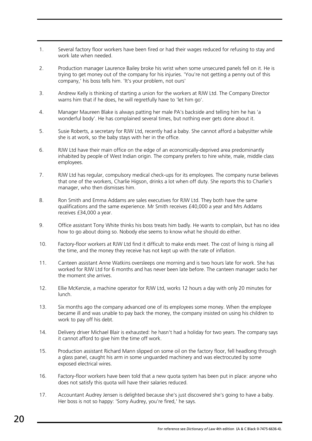- 1. Several factory floor workers have been fired or had their wages reduced for refusing to stay and work late when needed.
- 2. Production manager Laurence Bailey broke his wrist when some unsecured panels fell on it. He is trying to get money out of the company for his injuries. 'You're not getting a penny out of this company,' his boss tells him. 'It's your problem, not ours'
- 3. Andrew Kelly is thinking of starting a union for the workers at RJW Ltd. The Company Director warns him that if he does, he will regretfully have to 'let him go'.
- 4. Manager Maureen Blake is always patting her male PA's backside and telling him he has 'a wonderful body'. He has complained several times, but nothing ever gets done about it.
- 5. Susie Roberts, a secretary for RJW Ltd, recently had a baby. She cannot afford a babysitter while she is at work, so the baby stays with her in the office.
- 6. RJW Ltd have their main office on the edge of an economically-deprived area predominantly inhabited by people of West Indian origin. The company prefers to hire white, male, middle class employees.
- 7. RJW Ltd has regular, compulsory medical check-ups for its employees. The company nurse believes that one of the workers, Charlie Higson, drinks a lot when off duty. She reports this to Charlie's manager, who then dismisses him.
- 8. Ron Smith and Emma Addams are sales executives for RJW Ltd. They both have the same qualifications and the same experience. Mr Smith receives £40,000 a year and Mrs Addams receives £34,000 a year.
- 9. Office assistant Tony White thinks his boss treats him badly. He wants to complain, but has no idea how to go about doing so. Nobody else seems to know what he should do either.
- 10. Factory-floor workers at RJW Ltd find it difficult to make ends meet. The cost of living is rising all the time, and the money they receive has not kept up with the rate of inflation.
- 11. Canteen assistant Anne Watkins oversleeps one morning and is two hours late for work. She has worked for RJW Ltd for 6 months and has never been late before. The canteen manager sacks her the moment she arrives.
- 12. Ellie McKenzie, a machine operator for RJW Ltd, works 12 hours a day with only 20 minutes for lunch.
- 13. Six months ago the company advanced one of its employees some money. When the employee became ill and was unable to pay back the money, the company insisted on using his children to work to pay off his debt.
- 14. Delivery driver Michael Blair is exhausted: he hasn't had a holiday for two years. The company says it cannot afford to give him the time off work.
- 15. Production assistant Richard Mann slipped on some oil on the factory floor, fell headlong through a glass panel, caught his arm in some unguarded machinery and was electrocuted by some exposed electrical wires.
- 16. Factory-floor workers have been told that a new quota system has been put in place: anyone who does not satisfy this quota will have their salaries reduced.
- 17. Accountant Audrey Jensen is delighted because she's just discovered she's going to have a baby. Her boss is not so happy: 'Sorry Audrey, you're fired,' he says.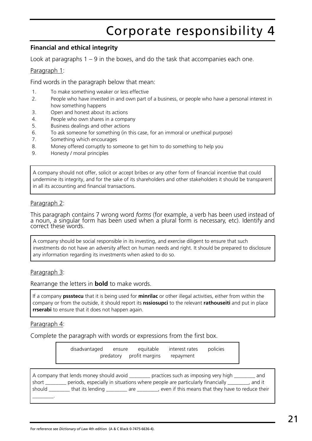### Corporate responsibility 4

#### <span id="page-25-0"></span>**Financial and ethical integrity**

Look at paragraphs  $1 - 9$  in the boxes, and do the task that accompanies each one.

#### Paragraph 1:

Find words in the paragraph below that mean:

- 1. To make something weaker or less effective
- 2. People who have invested in and own part of a business, or people who have a personal interest in how something happens
- 3. Open and honest about its actions
- 4. People who own shares in a company
- 5. Business dealings and other actions
- 6. To ask someone for something (in this case, for an immoral or unethical purpose)
- 7. Something which encourages
- 8. Money offered corruptly to someone to get him to do something to help you
- 9. Honesty / moral principles

A company should not offer, solicit or accept bribes or any other form of financial incentive that could undermine its integrity, and for the sake of its shareholders and other stakeholders it should be transparent in all its accounting and financial transactions.

#### Paragraph 2:

This paragraph contains 7 wrong word *forms* (for example, a verb has been used instead of a noun, a singular form has been used when a plural form is necessary, etc). Identify and correct these words.

A company should be social responsible in its investing, and exercise diligent to ensure that such investments do not have an adversity affect on human needs and right. It should be prepared to disclosure any information regarding its investments when asked to do so.

#### Paragraph 3:

Rearrange the letters in **bold** to make words.

If a company **pssstecu** that it is being used for **minrilac** or other illegal activities, either from within the company or from the outside, it should report its **nssiosupci** to the relevant **rathouseiti** and put in place **rrserabi** to ensure that it does not happen again.

#### Paragraph 4:

Complete the paragraph with words or expressions from the first box.

|  |                          | disadvantaged ensure equitable interest rates policies |  |
|--|--------------------------|--------------------------------------------------------|--|
|  | predatory profit margins | repayment                                              |  |

A company that lends money should avoid equal practices such as imposing very high equal on and short periods, especially in situations where people are particularly financially production on the people are particularly financially productions where people are particularly financially productions. should \_\_\_\_\_\_\_\_ that its lending \_\_\_\_\_\_\_\_ are \_\_\_\_\_\_\_, even if this means that they have to reduce their \_\_\_\_\_\_\_\_.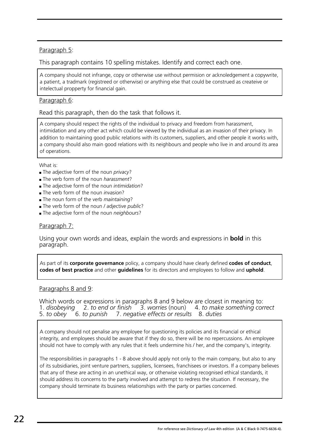#### Paragraph 5:

This paragraph contains 10 spelling mistakes. Identify and correct each one.

A company should not infrange, copy or otherwise use without permision or acknoledgement a copywrite, a patient, a tradmark (registreed or otherwise) or anything else that could be construed as createive or intelectual propperty for financial gain.

#### Paragraph 6:

Read this paragraph, then do the task that follows it.

A company should respect the rights of the individual to privacy and freedom from harassment, intimidation and any other act which could be viewed by the individual as an invasion of their privacy. In addition to maintaining good public relations with its customers, suppliers, and other people it works with, a company should also main good relations with its neighbours and people who live in and around its area of operations.

What is:

- The adjective form of the noun *privacy*?
- The verb form of the noun *harassment*?
- The adjective form of the noun *intimidation*?
- The verb form of the noun *invasion*?
- The noun form of the verb *maintaining*?
- The verb form of the noun / adjective *public*?
- The adjective form of the noun *neighbours*?

#### Paragraph 7:

Using your own words and ideas, explain the words and expressions in **bold** in this paragraph.

As part of its **corporate governance** policy, a company should have clearly defined **codes of conduct**, **codes of best practice** and other **guidelines** for its directors and employees to follow and **uphold**.

#### Paragraphs 8 and 9:

Which words or expressions in paragraphs 8 and 9 below are closest in meaning to:<br>1. disobeving 2. to end or finish 3. worries (noun) 4. to make something cor 1. *disobeying* 2. *to end or finish* 3. *worries* (noun) 4. *to make something correct* 5. *to obey* 6. *to punish* 7. *negative effects or results* 8. *duties*

A company should not penalise any employee for questioning its policies and its financial or ethical integrity, and employees should be aware that if they do so, there will be no repercussions. An employee should not have to comply with any rules that it feels undermine his / her, and the company's, integrity.

The responsibilities in paragraphs 1 - 8 above should apply not only to the main company, but also to any of its subsidiaries, joint venture partners, suppliers, licensees, franchisees or investors. If a company believes that any of these are acting in an unethical way, or otherwise violating recognised ethical standards, it should address its concerns to the party involved and attempt to redress the situation. If necessary, the company should terminate its business relationships with the party or parties concerned.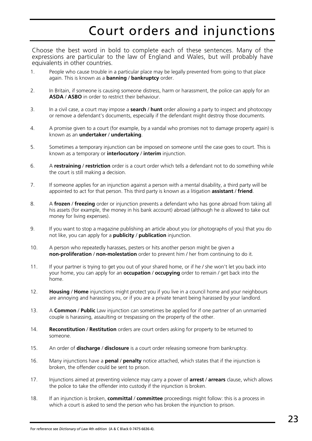### Court orders and injunctions

<span id="page-27-0"></span>Choose the best word in bold to complete each of these sentences. Many of the expressions are particular to the law of England and Wales, but will probably have equivalents in other countries.

- 1. People who cause trouble in a particular place may be legally prevented from going to that place again. This is known as a **banning** / **bankruptcy** order.
- 2. In Britain, if someone is causing someone distress, harm or harassment, the police can apply for an **ASDA** / **ASBO** in order to restrict their behaviour.
- 3. In a civil case, a court may impose a **search** / **hunt** order allowing a party to inspect and photocopy or remove a defendant's documents, especially if the defendant might destroy those documents.
- 4. A promise given to a court (for example, by a vandal who promises not to damage property again) is known as an **undertaker** / **undertaking**.
- 5. Sometimes a temporary injunction can be imposed on someone until the case goes to court. This is known as a temporary or **interlocutory** / **interim** injunction.
- 6. A **restraining** / **restriction** order is a court order which tells a defendant not to do something while the court is still making a decision.
- 7. If someone applies for an injunction against a person with a mental disability, a third party will be appointed to act for that person. This third party is known as a litigation **assistant** / **friend**.
- 8. A **frozen** / **freezing** order or injunction prevents a defendant who has gone abroad from taking all his assets (for example, the money in his bank account) abroad (although he *is* allowed to take out money for living expenses).
- 9. If you want to stop a magazine publishing an article about you (or photographs of you) that you do not like, you can apply for a **publicity** / **publication** injunction.
- 10. A person who repeatedly harasses, pesters or hits another person might be given a **non-proliferation** / **non-molestation** order to prevent him / her from continuing to do it.
- 11. If your partner is trying to get you out of your shared home, or if he / she won't let you back into your home, you can apply for an **occupation** / **occupying** order to remain / get back into the home.
- 12. **Housing** / **Home** injunctions might protect you if you live in a council home and your neighbours are annoying and harassing you, or if you are a private tenant being harassed by your landlord.
- 13. A **Common** / **Public** Law injunction can sometimes be applied for if one partner of an unmarried couple is harassing, assaulting or trespassing on the property of the other.
- 14. **Reconstitution** / **Restitution** orders are court orders asking for property to be returned to someone.
- 15. An order of **discharge** / **disclosure** is a court order releasing someone from bankruptcy.
- 16. Many injunctions have a **penal** / **penalty** notice attached, which states that if the injunction is broken, the offender could be sent to prison.
- 17. Injunctions aimed at preventing violence may carry a power of **arrest** / **arrears** clause, which allows the police to take the offender into custody if the injunction is broken.
- 18. If an injunction is broken, **committal** / **committee** proceedings might follow: this is a process in which a court is asked to send the person who has broken the injunction to prison.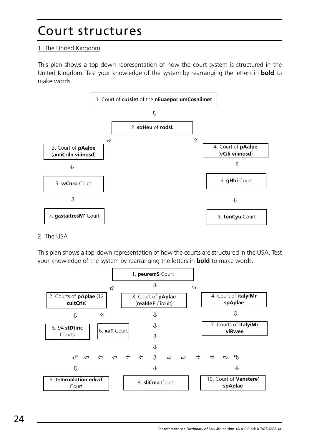### <span id="page-28-0"></span>Court structures

#### 1. The United Kingdom

This plan shows a top-down representation of how the court system is structured in the United Kingdom. Test your knowledge of the system by rearranging the letters in **bold** to make words.



#### 2. The USA

This plan shows a top-down representation of how the courts are structured in the USA. Test your knowledge of the system by rearranging the letters in **bold** to make words.

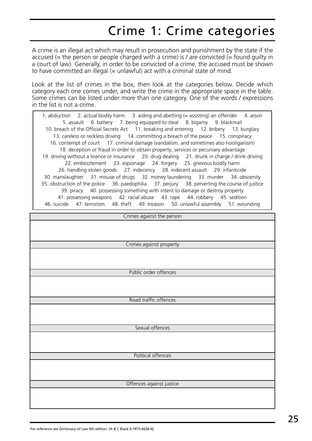### Crime 1: Crime categories

<span id="page-29-0"></span>A crime is an illegal act which may result in prosecution and punishment by the state if the accused (= the person or people charged with a crime) is / are convicted (= found quilty in a court of law). Generally, in order to be convicted of a crime, the accused must be shown to have committed an illegal (= unlawful) act with a criminal state of mind.

Look at the list of crimes in the box, then look at the categories below. Decide which category each one comes under, and write the crime in the appropriate space in the table. Some crimes can be listed under more than one category. One of the words / expressions in the list is not a crime.

1. abduction 2. actual bodily harm 3. aiding and abetting (= assisting) an offender 4. arson 5. assault 6. battery 7. being equipped to steal 8. bigamy 9. blackmail 10. breach of the Official Secrets Act 11. breaking and entering 12. bribery 13. burglary 13. careless or reckless driving 14. committing a breach of the peace 15. conspiracy 16. contempt of court 17. criminal damage (vandalism, and sometimes also hooliganism) 18. deception or fraud in order to obtain property, services or pecuniary advantage 19. driving without a licence or insurance 20. drug dealing 21. drunk in charge / drink driving 22. embezzlement 23. espionage 24. forgery 25. grievous bodily harm 26. handling stolen goods 27. indecency 28. indecent assault 29. infanticide 30. manslaughter 31. misuse of drugs 32. money laundering 33. murder 34. obscenity 35. obstruction of the police 36. paedophilia 37. perjury 38. perverting the course of justice 39. piracy 40. possessing something with intent to damage or destroy property 41. possessing weapons 42. racial abuse 43. rape 44. robbery 45. sedition 46. suicide 47. terrorism 48. theft 49. treason 50. unlawful assembly 51. wounding

| Crimes against the person |
|---------------------------|
|                           |
|                           |
|                           |
| Crimes against property   |
|                           |
|                           |
| Public order offences     |
|                           |
|                           |
|                           |
| Road traffic offences     |
|                           |
|                           |
| Sexual offences           |
|                           |
|                           |
|                           |
| Political offences        |
|                           |
|                           |
|                           |
| Offences against justice  |
|                           |
|                           |
|                           |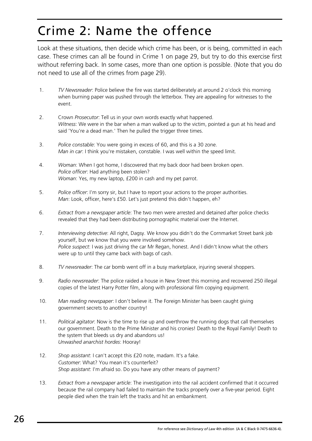### <span id="page-30-0"></span>Crime 2: Name the offence

Look at these situations, then decide which crime has been, or is being, committed in each case. These crimes can all be found in Crime 1 on page 29, but try to do this exercise first without referring back. In some cases, more than one option is possible. (Note that you do not need to use all of the crimes from page 29).

- 1. *TV Newsreader*: Police believe the fire was started deliberately at around 2 o'clock this morning when burning paper was pushed through the letterbox. They are appealing for witnesses to the event.
- 2. Crown *Prosecutor*: Tell us in your own words exactly what happened. *Witness*: We were in the bar when a man walked up to the victim, pointed a gun at his head and said 'You're a dead man.' Then he pulled the trigger three times.
- 3. *Police constable*: You were going in excess of 60, and this is a 30 zone. *Man in car*: I think you're mistaken, constable. I was well within the speed limit.
- 4. *Woman*: When I got home, I discovered that my back door had been broken open. *Police officer*: Had anything been stolen? *Woman*: Yes, my new laptop, £200 in cash and my pet parrot.
- 5. *Police officer*: I'm sorry sir, but I have to report your actions to the proper authorities. *Man*: Look, officer, here's £50. Let's just pretend this didn't happen, eh?
- 6. *Extract from a newspaper article*: The two men were arrested and detained after police checks revealed that they had been distributing pornographic material over the Internet.
- 7. *Interviewing detective*: All right, Dagsy. We know you didn't do the Cornmarket Street bank job yourself, but we know that you were involved somehow. *Police suspect*: I was just driving the car Mr Regan, honest. And I didn't know what the others were up to until they came back with bags of cash.
- 8. *TV newsreader*: The car bomb went off in a busy marketplace, injuring several shoppers.
- 9. *Radio newsreader*: The police raided a house in New Street this morning and recovered 250 illegal copies of the latest Harry Potter film, along with professional film copying equipment.
- 10. *Man reading newspaper*: I don't believe it. The Foreign Minister has been caught giving government secrets to another country!
- 11. *Political agitator*: Now is the time to rise up and overthrow the running dogs that call themselves our government. Death to the Prime Minister and his cronies! Death to the Royal Family! Death to the system that bleeds us dry and abandons us! *Unwashed anarchist hordes*: Hooray!
- 12. *Shop assistant*: I can't accept this £20 note, madam. It's a fake. *Customer*: What? You mean it's counterfeit? *Shop assistant*: I'm afraid so. Do you have any other means of payment?
- 13. *Extract from a newspaper article*: The investigation into the rail accident confirmed that it occurred because the rail company had failed to maintain the tracks properly over a five-year period. Eight people died when the train left the tracks and hit an embankment.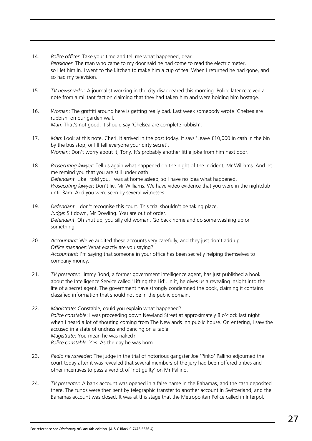- 14. *Police officer*: Take your time and tell me what happened, dear. *Pensioner*: The man who came to my door said he had come to read the electric meter, so I let him in. I went to the kitchen to make him a cup of tea. When I returned he had gone, and so had my television.
- 15. *TV newsreader*: A journalist working in the city disappeared this morning. Police later received a note from a militant faction claiming that they had taken him and were holding him hostage.
- 16. *Woman*: The graffiti around here is getting really bad. Last week somebody wrote 'Chelsea are rubbish' on our garden wall. *Man*: That's not good. It should say 'Chelsea are complete rubbish'.
- 17. *Man*: Look at this note, Cheri. It arrived in the post today. It says 'Leave £10,000 in cash in the bin by the bus stop, or I'll tell everyone your dirty secret'. *Woman*: Don't worry about it, Tony. It's probably another little joke from him next door.
- 18. *Prosecuting lawyer*: Tell us again what happened on the night of the incident, Mr Williams. And let me remind you that you are still under oath. *Defendant*: Like I told you, I was at home asleep, so I have no idea what happened. *Prosecuting lawyer*: Don't lie, Mr Williams. We have video evidence that you were in the nightclub until 3am. And you were seen by several witnesses.
- 19. *Defendant*: I don't recognise this court. This trial shouldn't be taking place. *Judge*: Sit down, Mr Dowling. You are out of order. *Defendant*: Oh shut up, you silly old woman. Go back home and do some washing up or something.
- 20. *Accountant*: We've audited these accounts very carefully, and they just don't add up. *Office manager*: What exactly are you saying? *Accountant*: I'm saying that someone in your office has been secretly helping themselves to company money.
- 21. *TV presenter*: Jimmy Bond, a former government intelligence agent, has just published a book about the Intelligence Service called 'Lifting the Lid'. In it, he gives us a revealing insight into the life of a secret agent. The government have strongly condemned the book, claiming it contains classified information that should not be in the public domain.
- 22. *Magistrate*: Constable, could you explain what happened? *Police constable*: I was proceeding down Newland Street at approximately 8 o'clock last night when I heard a lot of shouting coming from The Newlands Inn public house. On entering, I saw the accused in a state of undress and dancing on a table. *Magistrate*: You mean he was naked? *Police constable*: Yes. As the day he was born.
- 23. *Radio newsreader*: The judge in the trial of notorious gangster Joe 'Pinko' Pallino adjourned the court today after it was revealed that several members of the jury had been offered bribes and other incentives to pass a verdict of 'not guilty' on Mr Pallino.
- 24. *TV presenter*: A bank account was opened in a false name in the Bahamas, and the cash deposited there. The funds were then sent by telegraphic transfer to another account in Switzerland, and the Bahamas account was closed. It was at this stage that the Metropolitan Police called in Interpol.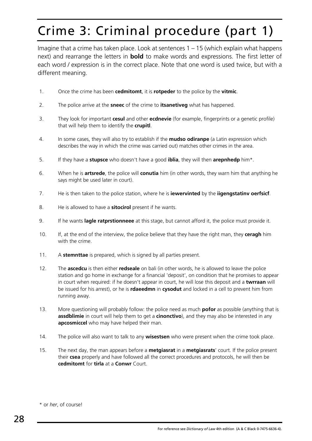### <span id="page-32-0"></span>Crime 3: Criminal procedure (part 1)

Imagine that a crime has taken place. Look at sentences 1 – 15 (which explain what happens next) and rearrange the letters in **bold** to make words and expressions. The first letter of each word / expression is in the correct place. Note that one word is used twice, but with a different meaning.

- 1. Once the crime has been **cedmitomt**, it is **rotpeder** to the police by the **vitmic**.
- 2. The police arrive at the **sneec** of the crime to **itsanetiveg** what has happened.
- 3. They look for important **cesul** and other **ecdnevie** (for example, fingerprints or a genetic profile) that will help them to identify the **crupitl**.
- 4. In some cases, they will also try to establish if the **mudso odiranpe** (a Latin expression which describes the way in which the crime was carried out) matches other crimes in the area.
- 5. If they have a **stupsce** who doesn't have a good **iblia**, they will then **arepnhedp** him\*.
- 6. When he is **artsrede**, the police will **conutia** him (in other words, they warn him that anything he says might be used later in court).
- 7. He is then taken to the police station, where he is **iewervinted** by the **iigengstatinv oerfsicf**.
- 8. He is allowed to have a **sitocirol** present if he wants.
- 9. If he wants **lagle ratprstionneee** at this stage, but cannot afford it, the police must provide it.
- 10. If, at the end of the interview, the police believe that they have the right man, they **ceragh** him with the crime.
- 11. A **stemnttae** is prepared, which is signed by all parties present.
- 12. The **ascedcu** is then either **redseale** on bali (in other words, he is allowed to leave the police station and go home in exchange for a financial 'deposit', on condition that he promises to appear in court when required: if he doesn't appear in court, he will lose this deposit and a **twrraan** will be issued for his arrest), or he is **rdaeedmn** in **cysodut** and locked in a cell to prevent him from running away.
- 13. More questioning will probably follow: the police need as much **pofor** as possible (anything that is **assdblimie** in court will help them to get a **cinonctivo**), and they may also be interested in any **apcosmiccel** who may have helped their man.
- 14. The police will also want to talk to any **wisestsen** who were present when the crime took place.
- 15. The next day, the man appears before a **metgiasrat** in a **metgiasrats**' court. If the police present their **csea** properly and have followed all the correct procedures and protocols, he will then be **cedmitomt** for **tirla** at a **Conwr** Court.

\* or *her*, of course!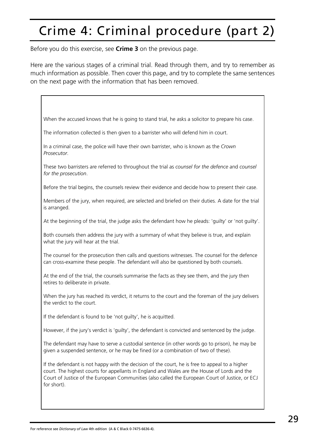### <span id="page-33-0"></span>Crime 4: Criminal procedure (part 2)

Before you do this exercise, see **Crime 3** on the previous page.

Here are the various stages of a criminal trial. Read through them, and try to remember as much information as possible. Then cover this page, and try to complete the same sentences on the next page with the information that has been removed.

When the accused knows that he is going to stand trial, he asks a solicitor to prepare his case. The information collected is then given to a barrister who will defend him in court. In a criminal case, the police will have their own barrister, who is known as the *Crown Prosecutor*. These two barristers are referred to throughout the trial as *counsel for the defence* and *counsel for the prosecution*. Before the trial begins, the counsels review their evidence and decide how to present their case. Members of the jury, when required, are selected and briefed on their duties. A date for the trial is arranged. At the beginning of the trial, the judge asks the defendant how he pleads: 'guilty' or 'not guilty'. Both counsels then address the jury with a summary of what they believe is true, and explain what the jury will hear at the trial. The counsel for the prosecution then calls and questions witnesses. The counsel for the defence can cross-examine these people. The defendant will also be questioned by both counsels. At the end of the trial, the counsels summarise the facts as they see them, and the jury then retires to deliberate in private. When the jury has reached its verdict, it returns to the court and the foreman of the jury delivers the verdict to the court. If the defendant is found to be 'not guilty', he is acquitted. However, if the jury's verdict is 'guilty', the defendant is convicted and sentenced by the judge. The defendant may have to serve a custodial sentence (in other words go to prison), he may be given a suspended sentence, or he may be fined (or a combination of two of these). If the defendant is not happy with the decision of the court, he is free to appeal to a higher court. The highest courts for appellants in England and Wales are the House of Lords and the Court of Justice of the European Communities (also called the European Court of Justice, or ECJ for short).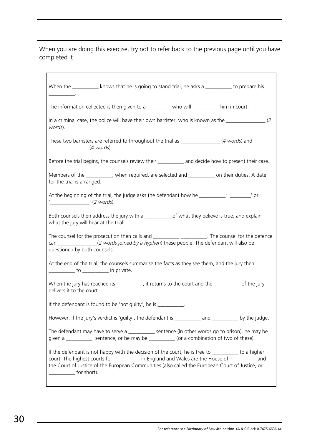When you are doing this exercise, try not to refer back to the previous page until you have completed it.

| When the ___________ knows that he is going to stand trial, he asks a __________ to prepare his                                                                                                                                   |
|-----------------------------------------------------------------------------------------------------------------------------------------------------------------------------------------------------------------------------------|
| The information collected is then given to a __________ who will __________ him in court.                                                                                                                                         |
| In a criminal case, the police will have their own barrister, who is known as the ________________(2)<br>words).                                                                                                                  |
| These two barristers are referred to throughout the trial as ________________(4 words) and<br>$\frac{1}{2}$ (4 words).                                                                                                            |
| Before the trial begins, the counsels review their ____________ and decide how to present their case.                                                                                                                             |
| Members of the ___________, when required, are selected and ___________ on their duties. A date<br>for the trial is arranged.                                                                                                     |
| At the beginning of the trial, the judge asks the defendant how he __________: '_________' or<br>(2 words).                                                                                                                       |
| Both counsels then address the jury with a ___________ of what they believe is true, and explain<br>what the jury will hear at the trial.                                                                                         |
| The counsel for the prosecution then calls and ________________________. The counsel for the defence<br>can ________________(2 words joined by a hyphen) these people. The defendant will also be<br>questioned by both counsels. |
| At the end of the trial, the counsels summarise the facts as they see them, and the jury then<br>______________ to _____________ in private.                                                                                      |
| When the jury has reached its __________, it returns to the court and the __________ of the jury<br>delivers it to the court.                                                                                                     |
| If the defendant is found to be 'not guilty', he is __________.                                                                                                                                                                   |
| However, if the jury's verdict is 'guilty', the defendant is ____________ and ___________ by the judge.                                                                                                                           |
| The defendant may have to serve a ___________ sentence (in other words go to prison), he may be                                                                                                                                   |
| given a ____________ sentence, or he may be ___________ (or a combination of two of these).                                                                                                                                       |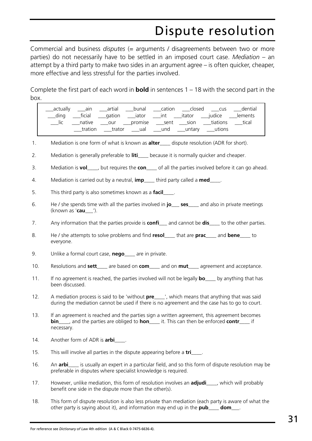### Dispute resolution

<span id="page-35-0"></span>Commercial and business *disputes* (= arguments / disagreements between two or more parties) do not necessarily have to be settled in an imposed court case. *Mediation* – an attempt by a third party to make two sides in an argument agree – is often quicker, cheaper, more effective and less stressful for the parties involved.

Complete the first part of each word in **bold** in sentences 1 – 18 with the second part in the box.

| actually ain artial bunal cation closed custs dential                             |                                                  |  |  |  |
|-----------------------------------------------------------------------------------|--------------------------------------------------|--|--|--|
| ___ding ____ficial ____gation ____iator ____int ____itator ____judice ____lements |                                                  |  |  |  |
| Lic native our promise sent sion trations tical                                   |                                                  |  |  |  |
|                                                                                   | __tration __trator __ual __und __untary __utions |  |  |  |
|                                                                                   |                                                  |  |  |  |

- 1. Mediation is one form of what is known as **alter**\_\_\_\_ dispute resolution (ADR for short).
- 2. Mediation is generally preferable to **liti**\_\_\_\_ because it is normally quicker and cheaper.
- 3. Mediation is **vol**\_\_\_\_, but requires the **con**\_\_\_\_ of all the parties involved before it can go ahead.
- 4. Mediation is carried out by a neutral, **imp**\_\_\_\_ third party called a **med**\_\_\_\_.
- 5. This third party is also sometimes known as a **facil**\_\_\_\_.
- 6. He / she spends time with all the parties involved in **jo**\_\_\_ **ses**\_\_\_\_ and also in private meetings (known as '**cau**\_\_\_').
- 7. Any information that the parties provide is **confi**\_\_\_ and cannot be **dis**\_\_\_\_ to the other parties.
- 8. He / she attempts to solve problems and find **resol**\_\_\_\_ that are **prac**\_\_\_\_ and **bene**\_\_\_\_ to everyone.
- 9. Unlike a formal court case, **nego**\_\_\_\_ are in private.
- 10. Resolutions and **sett**\_\_\_\_ are based on **com**\_\_\_\_ and on **mut**\_\_\_\_ agreement and acceptance.
- 11. If no agreement is reached, the parties involved will not be legally **bo**\_\_\_\_ by anything that has been discussed.
- 12. A mediation process is said to be 'without **pre**\_\_\_\_', which means that anything that was said during the mediation cannot be used if there is no agreement and the case has to go to court.
- 13. If an agreement is reached and the parties sign a written agreement, this agreement becomes **bin**\_\_\_\_, and the parties are obliged to **hon**\_\_\_\_ it. This can then be enforced **contr**\_\_\_\_ if necessary.
- 14. Another form of ADR is **arbi**\_\_\_\_.
- 15. This will involve all parties in the dispute appearing before a **tri**\_\_\_\_.
- 16. An **arbi**\_\_\_\_ is usually an expert in a particular field, and so this form of dispute resolution may be preferable in disputes where specialist knowledge is required.
- 17. However, unlike mediation, this form of resolution involves an **adjudi**\_\_\_\_, which will probably benefit one side in the dispute more than the other(s).
- 18. This form of dispute resolution is also less private than mediation (each party is aware of what the other party is saying about it), and information may end up in the **pub**\_\_\_\_ **dom**\_\_\_.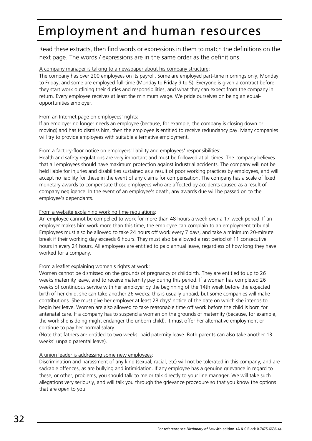# Employment and human resources

Read these extracts, then find words or expressions in them to match the definitions on the next page. The words / expressions are in the same order as the definitions.

#### A company manager is talking to a newspaper about his company structure:

The company has over 200 employees on its payroll. Some are employed part-time mornings only, Monday to Friday, and some are employed full-time (Monday to Friday 9 to 5). Everyone is given a contract before they start work outlining their duties and responsibilities, and what they can expect from the company in return. Every employee receives at least the minimum wage. We pride ourselves on being an equalopportunities employer.

#### From an Internet page on employees' rights:

If an employer no longer needs an employee (because, for example, the company is closing down or moving) and has to dismiss him, then the employee is entitled to receive redundancy pay. Many companies will try to provide employees with suitable alternative employment.

#### From a factory-floor notice on employers' liability and employees' responsibilities:

Health and safety regulations are very important and must be followed at all times. The company believes that all employees should have maximum protection against industrial accidents. The company will not be held liable for injuries and disabilities sustained as a result of poor working practices by employees, and will accept no liability for these in the event of any claims for compensation. The company has a scale of fixed monetary awards to compensate those employees who are affected by accidents caused as a result of company negligence. In the event of an employee's death, any awards due will be passed on to the employee's dependants.

#### From a website explaining working time regulations:

An employee cannot be compelled to work for more than 48 hours a week over a 17-week period. If an employer makes him work more than this time, the employee can complain to an employment tribunal. Employees must also be allowed to take 24 hours off work every 7 days, and take a minimum 20-minute break if their working day exceeds 6 hours. They must also be allowed a rest period of 11 consecutive hours in every 24 hours. All employees are entitled to paid annual leave, regardless of how long they have worked for a company.

#### From a leaflet explaining women's rights at work:

Women cannot be dismissed on the grounds of pregnancy or childbirth. They are entitled to up to 26 weeks maternity leave, and to receive maternity pay during this period. If a woman has completed 26 weeks of continuous service with her employer by the beginning of the 14th week before the expected birth of her child, she can take another 26 weeks: this is usually unpaid, but some companies will make contributions. She must give her employer at least 28 days' notice of the date on which she intends to begin her leave. Women are also allowed to take reasonable time off work before the child is born for antenatal care. If a company has to suspend a woman on the grounds of maternity (because, for example, the work she is doing might endanger the unborn child), it must offer her alternative employment or continue to pay her normal salary.

(Note that fathers are entitled to two weeks' paid paternity leave. Both parents can also take another 13 weeks' unpaid parental leave).

#### A union leader is addressing some new employees:

Discrimination and harassment of any kind (sexual, racial, etc) will not be tolerated in this company, and are sackable offences, as are bullying and intimidation. If any employee has a genuine grievance in regard to these, or other, problems, you should talk to me or talk directly to your line manager. We will take such allegations very seriously, and will talk you through the grievance procedure so that you know the options that are open to you.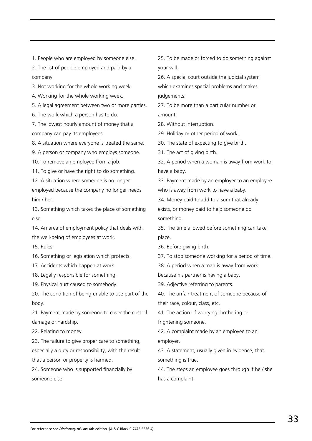1. People who are employed by someone else.

2. The list of people employed and paid by a company.

3. Not working for the whole working week.

4. Working for the whole working week.

5. A legal agreement between two or more parties.

6. The work which a person has to do.

7. The lowest hourly amount of money that a company can pay its employees.

8. A situation where everyone is treated the same.

9. A person or company who employs someone.

10. To remove an employee from a job.

11. To give or have the right to do something.

12. A situation where someone is no longer

employed because the company no longer needs him / her.

13. Something which takes the place of something else.

14. An area of employment policy that deals with the well-being of employees at work.

15. Rules.

16. Something or legislation which protects.

17. Accidents which happen at work.

18. Legally responsible for something.

19. Physical hurt caused to somebody.

20. The condition of being unable to use part of the body.

21. Payment made by someone to cover the cost of damage or hardship.

22. Relating to money.

23. The failure to give proper care to something, especially a duty or responsibility, with the result that a person or property is harmed.

24. Someone who is supported financially by someone else.

25. To be made or forced to do something against your will.

26. A special court outside the judicial system which examines special problems and makes judgements.

27. To be more than a particular number or amount.

28. Without interruption.

29. Holiday or other period of work.

30. The state of expecting to give birth.

31. The act of giving birth.

32. A period when a woman is away from work to have a baby.

33. Payment made by an employer to an employee who is away from work to have a baby.

34. Money paid to add to a sum that already exists, or money paid to help someone do something.

35. The time allowed before something can take place.

36. Before giving birth.

37. To stop someone working for a period of time.

38. A period when a man is away from work

because his partner is having a baby.

39. Adjective referring to parents.

40. The unfair treatment of someone because of their race, colour, class, etc.

41. The action of worrying, bothering or frightening someone.

42. A complaint made by an employee to an employer.

43. A statement, usually given in evidence, that something is true.

44. The steps an employee goes through if he / she has a complaint.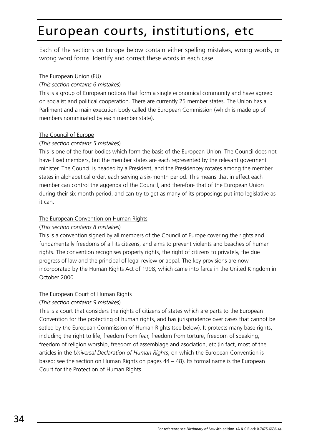### European courts, institutions, etc

Each of the sections on Europe below contain either spelling mistakes, wrong words, or wrong word forms. Identify and correct these words in each case.

### The European Union (EU)

### (*This section contains 6 mistakes*)

This is a group of European notions that form a single economical community and have agreed on socialist and political cooperation. There are currently 25 member states. The Union has a Parliment and a main execution body called the European Commission (which is made up of members nomminated by each member state).

### The Council of Europe

### (*This section contains 5 mistakes*)

This is one of the four bodies which form the basis of the European Union. The Council does not have fixed members, but the member states are each represented by the relevant goverment minister. The Council is headed by a President, and the Presidencey rotates among the member states in alphabetical order, each serving a six-month period. This means that in effect each member can control the aggenda of the Council, and therefore that of the European Union during their six-month period, and can try to get as many of its proposings put into legislative as it can.

### The European Convention on Human Rights

### (*This section contains 8 mistakes*)

This is a convention signed by all members of the Council of Europe covering the rights and fundamentally freedoms of all its citizens, and aims to prevent violents and beaches of human rights. The convention recognises property rights, the right of citizens to privately, the due progress of law and the principal of legal review or appal. The key provisions are now incorporated by the Human Rights Act of 1998, which came into farce in the United Kingdom in October 2000.

### The European Court of Human Rights

### (*This section contains 9 mistakes*)

This is a court that considers the rights of citizens of states which are parts to the European Convention for the protecting of human rights, and has jurisprudence over cases that cannot be setled by the European Commission of Human Rights (see below). It protects many base rights, including the right to life, freedom from fear, freedom from torture, freedom of speaking, freedom of religion worship, freedom of assemblage and asociation, etc (in fact, most of the articles in the *Universal Declaration of Human Rights*, on which the European Convention is based: see the section on Human Rights on pages 44 – 48). Its formal name is the European Court for the Protection of Human Rights.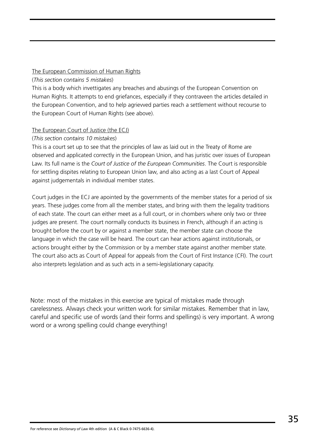### The European Commission of Human Rights

### (*This section contains 5 mistakes*)

This is a body which invettigates any breaches and abusings of the European Convention on Human Rights. It attempts to end griefances, especially if they contraveen the articles detailed in the European Convention, and to help agrievved parties reach a settlement without recourse to the European Court of Human Rights (see above).

### The European Court of Justice (the ECJ)

### (*This section contains 10 mistakes*)

This is a court set up to see that the principles of law as laid out in the Treaty of Rome are observed and applicated correctly in the European Union, and has juristic over issues of European Law. Its full name is the *Court of Justice of the European Communities*. The Court is responsible for settling dispites relating to European Union law, and also acting as a last Court of Appeal against judgementals in individual member states.

Court judges in the ECJ are apointed by the governments of the member states for a period of six years. These judges come from all the member states, and bring with them the legality traditions of each state. The court can either meet as a full court, or in chombers where only two or three judges are present. The court normally conducts its business in French, although if an acting is brought before the court by or against a member state, the member state can choose the language in which the case will be heard. The court can hear actions against institutionals, or actions brought either by the Commission or by a member state against another member state. The court also acts as Court of Appeal for appeals from the Court of First Instance (CFI). The court also interprets legislation and as such acts in a semi-legislationary capacity.

Note: most of the mistakes in this exercise are typical of mistakes made through carelessness. Always check your written work for similar mistakes. Remember that in law, careful and specific use of words (and their forms and spellings) is very important. A wrong word or a wrong spelling could change everything!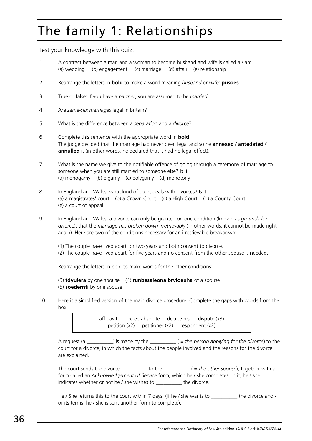# The family 1: Relationships

Test your knowledge with this quiz.

- 1. A contract between a man and a woman to become husband and wife is called a / an: (a) wedding (b) engagement (c) marriage (d) affair (e) relationship
- 2. Rearrange the letters in **bold** to make a word meaning *husband* or *wife*: **pusoes**
- 3. True or false: If you have a *partner*, you are assumed to be *married*.
- 4. Are *same-sex marriages* legal in Britain?
- 5. What is the difference between a *separation* and a *divorce*?
- 6. Complete this sentence with the appropriate word in **bold**: The judge decided that the marriage had never been legal and so he **annexed** / **antedated** / **annulled** it (in other words, he declared that it had no legal effect).
- 7. What is the name we give to the notifiable offence of going through a ceremony of marriage to someone when you are still married to someone else? Is it: (a) monogamy (b) bigamy (c) polygamy (d) monotony
- 8. In England and Wales, what kind of court deals with divorces? Is it: (a) a magistrates' court (b) a Crown Court (c) a High Court (d) a County Court (e) a court of appeal
- 9. In England and Wales, a divorce can only be granted on one condition (known as *grounds for divorce*): that the *marriage has broken down irretrievably* (in other words, it cannot be made right again). Here are two of the conditions necessary for an irretrievable breakdown:
	- (1) The couple have lived apart for two years and both consent to divorce.
	- (2) The couple have lived apart for five years and no consent from the other spouse is needed.

Rearrange the letters in bold to make words for the other conditions:

(3) **tdyulera** by one spouse (4) **runbesaleona brvioeuha** of a spouse (5) **soedernti** by one spouse

10. Here is a simplified version of the main divorce procedure. Complete the gaps with words from the box.

> affidavit decree absolute decree nisi dispute (x3) petition (x2) petitioner (x2) respondent (x2)

A request (a \_\_\_\_\_\_\_\_\_\_) is made by the \_\_\_\_\_\_\_\_\_\_ ( = *the person applying for the divorce*) to the court for a divorce, in which the facts about the people involved and the reasons for the divorce are explained.

The court sends the divorce \_\_\_\_\_\_\_\_\_\_ to the \_\_\_\_\_\_\_\_\_\_ ( = *the other spouse*), together with a form called an *Acknowledgement of Service* form, which he / she completes. In it, he / she indicates whether or not he / she wishes to the divorce.

He / She returns this to the court within 7 days. (If he / she wants to \_\_\_\_\_\_\_\_\_ the divorce and / or its terms, he / she is sent another form to complete).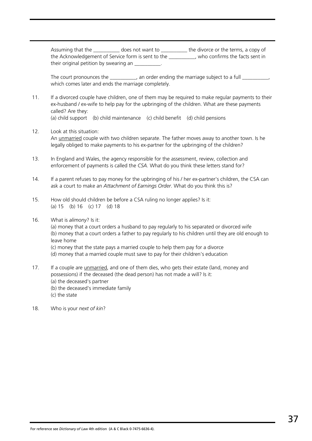Assuming that the \_\_\_\_\_\_\_\_\_\_\_ does not want to \_\_\_\_\_\_\_\_\_\_\_ the divorce or the terms, a copy of the Acknowledgement of Service form is sent to the \_\_\_\_\_\_\_\_\_\_, who confirms the facts sent in their original petition by swearing an \_\_

The court pronounces the \_\_\_\_\_\_\_\_\_, an order ending the marriage subject to a full  $\frac{1}{\sqrt{1-\frac{1}{\sqrt{1-\frac{1}{\sqrt{1-\frac{1}{\sqrt{1-\frac{1}{\sqrt{1-\frac{1}{\sqrt{1-\frac{1}{\sqrt{1-\frac{1}{\sqrt{1-\frac{1}{\sqrt{1-\frac{1}{\sqrt{1-\frac{1}{\sqrt{1-\frac{1}{\sqrt{1-\frac{1}{\sqrt{1-\frac{1}{\sqrt{1-\frac{1}{\sqrt{1-\frac$ which comes later and ends the marriage completely.

- 11. If a divorced couple have children, one of them may be required to make regular payments to their ex-husband / ex-wife to help pay for the upbringing of the children. What are these payments called? Are they: (a) child support (b) child maintenance (c) child benefit (d) child pensions
- 12. Look at this situation: An unmarried couple with two children separate. The father moves away to another town. Is he legally obliged to make payments to his ex-partner for the upbringing of the children?
- 13. In England and Wales, the agency responsible for the assessment, review, collection and enforcement of payments is called the *CSA.* What do you think these letters stand for?
- 14. If a parent refuses to pay money for the upbringing of his / her ex-partner's children, the CSA can ask a court to make an *Attachment of Earnings Order*. What do you think this is?
- 15. How old should children be before a CSA ruling no longer applies? Is it: (a) 15 (b) 16 (c) 17 (d) 18
- 16. What is *alimony*? Is it:

(a) money that a court orders a husband to pay regularly to his separated or divorced wife (b) money that a court orders a father to pay regularly to his children until they are old enough to leave home

(c) money that the state pays a married couple to help them pay for a divorce (d) money that a married couple must save to pay for their children's education

- 17. If a couple are unmarried, and one of them dies, who gets their estate (land, money and possessions) if the deceased (the dead person) has not made a will? Is it: (a) the deceased's partner (b) the deceased's immediate family (c) the state
- 18. Who is your *next of kin*?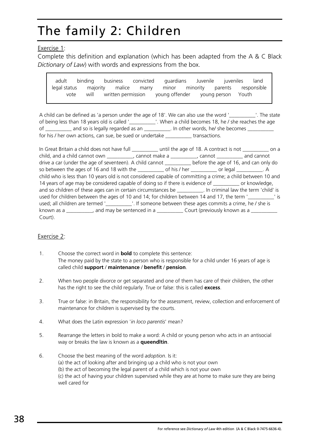# The family 2: Children

#### Exercise 1:

Complete this definition and explanation (which has been adapted from the A & C Black *Dictionary of Law*) with words and expressions from the box.

adult binding business convicted guardians Juvenile juveniles land legal status majority malice marry minor minority parents responsible vote will written permission young offender young person Youth

A child can be defined as 'a person under the age of 18'. We can also use the word '\_\_\_\_\_\_\_\_\_\_'. The state of being less than 18 years old is called '\_\_\_\_\_\_\_\_\_\_\_'. When a child becomes 18, he / she reaches the age of \_\_\_\_\_\_\_\_\_\_ and so is legally regarded as an \_\_\_\_\_\_\_\_\_\_\_. In other words, he/ she becomes \_\_\_\_\_\_\_ for his / her own actions, can sue, be sued or undertake \_\_\_\_\_\_\_\_\_\_ transactions.

In Great Britain a child does not have full \_\_\_\_\_\_\_\_\_ until the age of 18. A contract is not \_\_\_\_\_\_\_\_\_\_ on a child, and a child cannot own \_\_\_\_\_\_\_\_\_\_, cannot make a \_\_\_\_\_\_\_\_\_\_, cannot \_\_\_\_\_\_\_\_\_\_ and cannot drive a car (under the age of seventeen). A child cannot \_\_\_\_\_\_\_\_\_\_ before the age of 16, and can only do so between the ages of 16 and 18 with the \_\_\_\_\_\_\_\_\_\_\_\_ of his / her \_\_\_\_\_\_\_\_\_\_ or legal \_\_\_\_\_\_\_\_\_\_. A child who is less than 10 years old is not considered capable of committing a crime; a child between 10 and 14 years of age may be considered capable of doing so if there is evidence of \_\_\_\_\_\_\_\_\_\_ or knowledge, and so children of these ages can in certain circumstances be \_\_\_\_\_\_\_\_\_\_\_. In criminal law the term 'child' is used for children between the ages of 10 and 14; for children between 14 and 17, the term '\_\_\_\_\_\_\_\_\_\_\_\_' is used; all children are termed '\_\_\_\_\_\_\_\_\_\_\_'. If someone between these ages commits a crime, he / she is known as a a can be sentenced in a court (previously known as a  $\sim$ Court).

### Exercise 2:

- 1. Choose the correct word in **bold** to complete this sentence: The money paid by the state to a person who is responsible for a child under 16 years of age is called child **support** / **maintenance** / **benefit** / **pension**.
- 2. When two people divorce or get separated and one of them has care of their children, the other has the right to see the child regularly. True or false: this is called **excess**.
- 3. True or false: in Britain, the responsibility for the assessment, review, collection and enforcement of maintenance for children is supervised by the courts.
- 4. What does the Latin expression '*in loco parentis*' mean?
- 5. Rearrange the letters in bold to make a word: A child or young person who acts in an antisocial way or breaks the law is known as a **queendltin**.
- 6. Choose the best meaning of the word *adoption*. Is it: (a) the act of looking after and bringing up a child who is not your own (b) the act of becoming the legal parent of a child which is not your own (c) the act of having your children supervised while they are at home to make sure they are being well cared for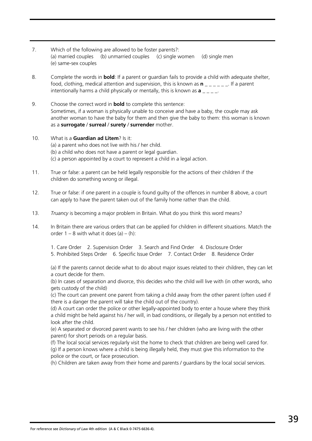- 7. Which of the following are allowed to be foster parents?: (a) married couples (b) unmarried couples (c) single women (d) single men (e) same-sex couples
- 8. Complete the words in **bold**: If a parent or guardian fails to provide a child with adequate shelter, food, clothing, medical attention and supervision, this is known as **n \_ \_ \_ \_ \_ \_**. If a parent intentionally harms a child physically or mentally, this is known as **a** \_ \_ \_ \_.
- 9. Choose the correct word in **bold** to complete this sentence: Sometimes, if a woman is physically unable to conceive and have a baby, the couple may ask another woman to have the baby for them and then give the baby to them: this woman is known as a **surrogate** / **surreal** / **surety** / **surrender** mother.
- 10. What is a **Guardian ad Litem**? Is it: (a) a parent who does not live with his / her child. (b) a child who does not have a parent or legal guardian. (c) a person appointed by a court to represent a child in a legal action.
- 11. True or false: a parent can be held legally responsible for the actions of their children if the children do something wrong or illegal.
- 12. True or false: if *one* parent in a couple is found guilty of the offences in number 8 above, a court can apply to have the parent taken out of the family home rather than the child.
- 13. *Truancy* is becoming a major problem in Britain. What do you think this word means?
- 14. In Britain there are various orders that can be applied for children in different situations. Match the order  $1 - 8$  with what it does  $(a) - (h)$ :
	- 1. Care Order 2. Supervision Order 3. Search and Find Order 4. Disclosure Order
	- 5. Prohibited Steps Order 6. Specific Issue Order 7. Contact Order 8. Residence Order

(a) If the parents cannot decide what to do about major issues related to their children, they can let a court decide for them.

(b) In cases of separation and divorce, this decides who the child will live with (in other words, who gets custody of the child)

(c) The court can prevent one parent from taking a child away from the other parent (often used if there is a danger the parent will take the child out of the country).

(d) A court can order the police or other legally-appointed body to enter a house where they think a child might be held against his / her will, in bad conditions, or illegally by a person not entitled to look after the child.

(e) A separated or divorced parent wants to see his / her children (who are living with the other parent) for short periods on a regular basis.

(f) The local social services regularly visit the home to check that children are being well cared for. (g) If a person knows where a child is being illegally held, they must give this information to the police or the court, or face prosecution.

(h) Children are taken away from their home and parents / guardians by the local social services.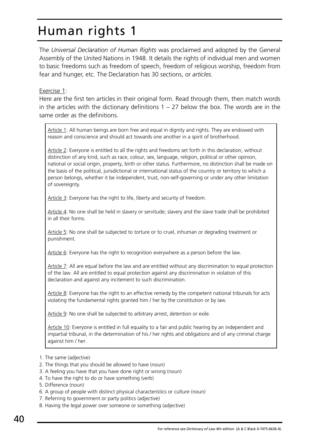# <span id="page-44-0"></span>Human rights 1

The *Universal Declaration of Human Rights* was proclaimed and adopted by the General Assembly of the United Nations in 1948. It details the rights of individual men and women to basic freedoms such as freedom of speech, freedom of religious worship, freedom from fear and hunger, etc. The Declaration has 30 sections, or *articles*.

Exercise 1:

Here are the first ten articles in their original form. Read through them, then match words in the articles with the dictionary definitions  $1 - 27$  below the box. The words are in the same order as the definitions.

Article 1: All human beings are born free and equal in dignity and rights. They are endowed with reason and conscience and should act towards one another in a spirit of brotherhood.

Article 2: Everyone is entitled to all the rights and freedoms set forth in this declaration, without distinction of any kind, such as race, colour, sex, language, religion, political or other opinion, national or social origin, property, birth or other status. Furthermore, no distinction shall be made on the basis of the political, jurisdictional or international status of the country or territory to which a person belongs, whether it be independent, trust, non-self-governing or under any other limitation of sovereignty.

Article 3: Everyone has the right to life, liberty and security of freedom.

Article 4: No one shall be held in slavery or servitude; slavery and the slave trade shall be prohibited in all their forms.

Article 5: No one shall be subjected to torture or to cruel, inhuman or degrading treatment or punishment.

Article 6: Everyone has the right to recognition everywhere as a person before the law.

Article 7: All are equal before the law and are entitled without any discrimination to equal protection of the law. All are entitled to equal protection against any discrimination in violation of this declaration and against any incitement to such discrimination.

Article 8: Everyone has the right to an effective remedy by the competent national tribunals for acts violating the fundamental rights granted him / her by the constitution or by law.

Article 9: No one shall be subjected to arbitrary arrest, detention or exile.

Article 10: Everyone is entitled in full equality to a fair and public hearing by an independent and impartial tribunal, in the determination of his / her rights and obligations and of any criminal charge against him / her.

- 1. The same (adjective)
- 2. The things that you should be allowed to have (noun)
- 3. A feeling you have that you have done right or wrong (noun)
- 4. To have the right to do or have something (verb)
- 5. Difference (noun)
- 6. A group of people with distinct physical characteristics or culture (noun)
- 7. Referring to government or party politics (adjective)
- 8. Having the legal power over someone or something (adjective)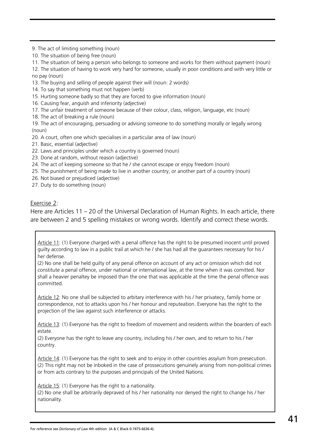9. The act of limiting something (noun)

- 10. The situation of being free (noun)
- 11. The situation of being a person who belongs to someone and works for them without payment (noun)
- 12. The situation of having to work very hard for someone, usually in poor conditions and with very little or no pay (noun)
- 13. The buying and selling of people against their will (noun: 2 words)
- 14. To say that something must not happen (verb)
- 15. Hurting someone badly so that they are forced to give information (noun)
- 16. Causing fear, anguish and inferiority (adjective)
- 17. The unfair treatment of someone because of their colour, class, religion, language, etc (noun)
- 18. The act of breaking a rule (noun)
- 19. The act of encouraging, persuading or advising someone to do something morally or legally wrong (noun)
- 20. A court, often one which specialises in a particular area of law (noun)
- 21. Basic, essential (adjective)
- 22. Laws and principles under which a country is governed (noun)
- 23. Done at random, without reason (adjective)
- 24. The act of keeping someone so that he / she cannot escape or enjoy freedom (noun)
- 25. The punishment of being made to live in another country, or another part of a country (noun)
- 26. Not biased or prejudiced (adjective)
- 27. Duty to do something (noun)

#### Exercise 2:

Here are Articles 11 – 20 of the Universal Declaration of Human Rights. In each article, there are between 2 and 5 spelling mistakes or wrong words. Identify and correct these words.

Article 11: (1) Everyone charged with a penal offence has the right to be presumed inocent until proved guilty according to law in a public trail at which he / she has had all the guarantees necessary for his / her defense.

(2) No one shall be held guilty of any penal offence on account of any act or omission which did not constitute a penal offence, under national or international law, at the time when it was comitted. Nor shall a heavier penaltey be imposed than the one that was applicable at the time the penal offence was committed.

Article 12: No one shall be subjected to arbitary interference with his / her privatecy, family home or correspondence, not to attacks upon his / her honour and reputeation. Everyone has the right to the projection of the law against such interference or attacks.

Article 13: (1) Everyone has the right to freedom of movement and residents within the boarders of each estate.

(2) Everyone has the right to leave any country, including his / her own, and to return to his / her country.

Article 14: (1) Everyone has the right to seek and to enjoy in other countries assylum from presecution. (2) This right may not be inboked in the case of prossecutions genuinely arising from non-political crimes or from acts contrary to the purposes and principals of the United Nations.

Article 15: (1) Everyone has the right to a nationality.

(2) No one shall be arbitrarily depraved of his / her nationality nor denyed the right to change his / her nationality.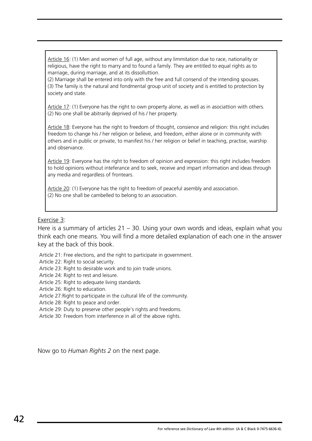Article 16: (1) Men and women of full age, without any limmitation due to race, nationality or religious, have the right to marry and to found a family. They are entitled to equal rights as to marriage, during marriage, and at its dissolluttion.

(2) Marriage shall be entered into only with the free and full consend of the intending spouses. (3) The family is the natural and fondmental group unit of society and is entitled to protection by society and state.

Article 17: (1) Everyone has the right to own property alone, as well as in asociattion with others. (2) No one shall be abitrarily deprived of his / her property.

Article 18: Everyone has the right to freedom of thought, consience and religion: this right includes freedom to change his / her religion or believe, and freedom, either alone or in community with others and in public or private, to manifest his / her religion or belief in teaching, practise, warship and observance.

Article 19: Everyone has the right to freedom of opinion and expression: this right includes freedom to hold opinions without inteferance and to seek, receive and impart information and ideas through any media and regardless of frontears.

Article 20: (1) Everyone has the right to freedom of peaceful asembly and association. (2) No one shall be cambelled to belong to an association.

#### Exercise 3:

Here is a summary of articles  $21 - 30$ . Using your own words and ideas, explain what you think each one means. You will find a more detailed explanation of each one in the answer key at the back of this book.

Article 21: Free elections, and the right to participate in government.

Article 22: Right to social security.

Article 23: Right to desirable work and to join trade unions.

Article 24: Right to rest and leisure.

Article 25: Right to adequate living standards.

Article 26: Right to education.

Article 27:Right to participate in the cultural life of the community.

Article 28: Right to peace and order.

Article 29: Duty to preserve other people's rights and freedoms.

Article 30: Freedom from interference in all of the above rights.

Now go to *Human Rights 2* on the next page.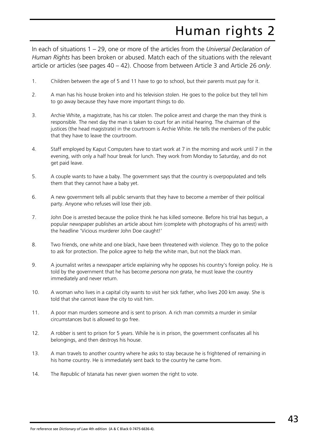# Human rights 2

In each of situations 1 – 29, one or more of the articles from the *Universal Declaration of Human Rights* has been broken or abused. Match each of the situations with the relevant article or articles (see [pages 40 – 42\)](#page-44-0). Choose from between Article 3 and Article 26 *only*.

- 1. Children between the age of 5 and 11 have to go to school, but their parents must pay for it.
- 2. A man has his house broken into and his television stolen. He goes to the police but they tell him to go away because they have more important things to do.
- 3. Archie White, a magistrate, has his car stolen. The police arrest and charge the man they think is responsible. The next day the man is taken to court for an initial hearing. The chairman of the justices (the head magistrate) in the courtroom is Archie White. He tells the members of the public that they have to leave the courtroom.
- 4. Staff employed by Kaput Computers have to start work at 7 in the morning and work until 7 in the evening, with only a half hour break for lunch. They work from Monday to Saturday, and do not get paid leave.
- 5. A couple wants to have a baby. The government says that the country is overpopulated and tells them that they cannot have a baby yet.
- 6. A new government tells all public servants that they have to become a member of their political party. Anyone who refuses will lose their job.
- 7. John Doe is arrested because the police think he has killed someone. Before his trial has begun, a popular newspaper publishes an article about him (complete with photographs of his arrest) with the headline 'Vicious murderer John Doe caught!'
- 8. Two friends, one white and one black, have been threatened with violence. They go to the police to ask for protection. The police agree to help the white man, but not the black man.
- 9. A journalist writes a newspaper article explaining why he opposes his country's foreign policy. He is told by the government that he has become *persona non grata*, he must leave the country immediately and never return.
- 10. A woman who lives in a capital city wants to visit her sick father, who lives 200 km away. She is told that she cannot leave the city to visit him.
- 11. A poor man murders someone and is sent to prison. A rich man commits a murder in similar circumstances but is allowed to go free.
- 12. A robber is sent to prison for 5 years. While he is in prison, the government confiscates all his belongings, and then destroys his house.
- 13. A man travels to another country where he asks to stay because he is frightened of remaining in his home country. He is immediately sent back to the country he came from.
- 14. The Republic of Istanata has never given women the right to vote.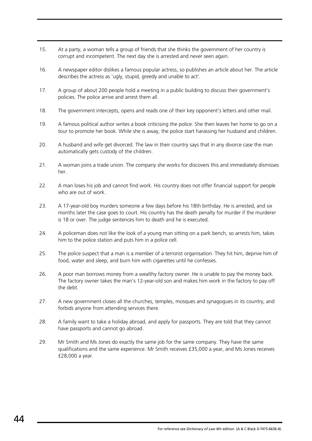- 15. At a party, a woman tells a group of friends that she thinks the government of her country is corrupt and incompetent. The next day she is arrested and never seen again.
- 16. A newspaper editor dislikes a famous popular actress, so publishes an article about her. The article describes the actress as 'ugly, stupid, greedy and unable to act'.
- 17. A group of about 200 people hold a meeting in a public building to discuss their government's policies. The police arrive and arrest them all.
- 18. The government intercepts, opens and reads one of their key opponent's letters and other mail.
- 19. A famous political author writes a book criticising the police. She then leaves her home to go on a tour to promote her book. While she is away, the police start harassing her husband and children.
- 20. A husband and wife get divorced. The law in their country says that in any divorce case the man automatically gets custody of the children.
- 21. A woman joins a trade union. The company she works for discovers this and immediately dismisses her.
- 22. A man loses his job and cannot find work. His country does not offer financial support for people who are out of work.
- 23. A 17-year-old boy murders someone a few days before his 18th birthday. He is arrested, and six months later the case goes to court. His country has the death penalty for murder if the murderer is 18 or over. The judge sentences him to death and he is executed.
- 24. A policeman does not like the look of a young man sitting on a park bench, so arrests him, takes him to the police station and puts him in a police cell.
- 25. The police suspect that a man is a member of a terrorist organisation. They hit him, deprive him of food, water and sleep, and burn him with cigarettes until he confesses.
- 26. A poor man borrows money from a wealthy factory owner. He is unable to pay the money back. The factory owner takes the man's 12-year-old son and makes him work in the factory to pay off the debt.
- 27. A new government closes all the churches, temples, mosques and synagogues in its country, and forbids anyone from attending services there.
- 28. A family want to take a holiday abroad, and apply for passports. They are told that they cannot have passports and cannot go abroad.
- 29. Mr Smith and Ms Jones do exactly the same job for the same company. They have the same qualifications and the same experience. Mr Smith receives £35,000 a year, and Ms Jones receives £28,000 a year.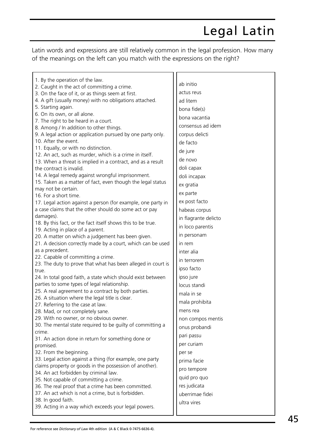# Legal Latin

Latin words and expressions are still relatively common in the legal profession. How many of the meanings on the left can you match with the expressions on the right?

| 1. By the operation of the law.<br>2. Caught in the act of committing a crime.                                         | ab initio            |
|------------------------------------------------------------------------------------------------------------------------|----------------------|
| 3. On the face of it, or as things seem at first.                                                                      | actus reus           |
| 4. A gift (usually money) with no obligations attached.                                                                | ad litem             |
| 5. Starting again.                                                                                                     | bona fide(s)         |
| 6. On its own, or all alone.                                                                                           |                      |
| 7. The right to be heard in a court.                                                                                   | bona vacantia        |
| 8. Among / In addition to other things.                                                                                | consensus ad idem    |
| 9. A legal action or application pursued by one party only.                                                            | corpus delicti       |
| 10. After the event.                                                                                                   | de facto             |
| 11. Equally, or with no distinction.                                                                                   | de jure              |
| 12. An act, such as murder, which is a crime in itself.<br>13. When a threat is implied in a contract, and as a result | de novo              |
| the contract is invalid.                                                                                               | doli capax           |
| 14. A legal remedy against wrongful imprisonment.                                                                      | doli incapax         |
| 15. Taken as a matter of fact, even though the legal status                                                            | ex gratia            |
| may not be certain.                                                                                                    |                      |
| 16. For a short time.                                                                                                  | ex parte             |
| 17. Legal action against a person (for example, one party in                                                           | ex post facto        |
| a case claims that the other should do some act or pay                                                                 | habeas corpus        |
| damages).                                                                                                              | in flagrante delicto |
| 18. By this fact, or the fact itself shows this to be true.<br>19. Acting in place of a parent.                        | in loco parentis     |
| 20. A matter on which a judgement has been given.                                                                      | in personam          |
| 21. A decision correctly made by a court, which can be used                                                            | in rem               |
| as a precedent.                                                                                                        | inter alia           |
| 22. Capable of committing a crime.                                                                                     | in terrorem          |
| 23. The duty to prove that what has been alleged in court is                                                           |                      |
| true.                                                                                                                  | ipso facto           |
| 24. In total good faith, a state which should exist between                                                            | ipso jure            |
| parties to some types of legal relationship.                                                                           | locus standi         |
| 25. A real agreement to a contract by both parties.<br>26. A situation where the legal title is clear.                 | mala in se           |
| 27. Referring to the case at law.                                                                                      | mala prohibita       |
| 28. Mad, or not completely sane.                                                                                       | mens rea             |
| 29. With no owner, or no obvious owner.                                                                                | non compos mentis    |
| 30. The mental state required to be guilty of committing a                                                             | onus probandi        |
| crime.                                                                                                                 | pari passu           |
| 31. An action done in return for something done or                                                                     | per curiam           |
| promised.                                                                                                              |                      |
| 32. From the beginning.<br>33. Legal action against a thing (for example, one party                                    | per se               |
| claims property or goods in the possession of another).                                                                | prima facie          |
| 34. An act forbidden by criminal law.                                                                                  | pro tempore          |
| 35. Not capable of committing a crime.                                                                                 | quid pro quo         |
| 36. The real proof that a crime has been committed.                                                                    | res judicata         |
| 37. An act which is not a crime, but is forbidden.                                                                     | uberrimae fidei      |
| 38. In good faith.                                                                                                     | ultra vires          |
| 39. Acting in a way which exceeds your legal powers.                                                                   |                      |
|                                                                                                                        |                      |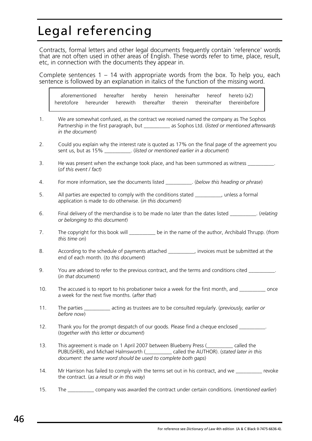# Legal referencing

Contracts, formal letters and other legal documents frequently contain 'reference' words that are not often used in other areas of English. These words refer to time, place, result, etc, in connection with the documents they appear in.

Complete sentences  $1 - 14$  with appropriate words from the box. To help you, each sentence is followed by an explanation in italics of the function of the missing word.

|  |  |  |  |  | aforementioned hereafter hereby herein hereinafter hereof hereto (x2)       |  |
|--|--|--|--|--|-----------------------------------------------------------------------------|--|
|  |  |  |  |  | heretofore hereunder herewith thereafter therein thereinafter thereinbefore |  |

- 1. We are somewhat confused, as the contract we received named the company as The Sophos Partnership in the first paragraph, but as Sophos Ltd. (*listed or mentioned afterwards in the document*)
- 2. Could you explain why the interest rate is quoted as 17% on the final page of the agreement you sent us, but as 15% \_\_\_\_\_\_\_\_\_\_. (*listed or mentioned earlier in a document*)
- 3. He was present when the exchange took place, and has been summoned as witness (*of this event / fact*)
- 4. For more information, see the documents listed \_\_\_\_\_\_\_\_\_\_. (*below this heading or phrase*)
- 5. All parties are expected to comply with the conditions stated all results a formal application is made to do otherwise. (*in this document*)
- 6. Final delivery of the merchandise is to be made no later than the dates listed \_\_\_\_\_\_\_\_\_\_. (*relating or belonging to this document*)
- 7. The copyright for this book will \_\_\_\_\_\_\_\_\_\_ be in the name of the author, Archibald Thrupp. (*from this time on*)
- 8. According to the schedule of payments attached **all invoices must be submitted at the** end of each month. (*to this document*)
- 9. You are advised to refer to the previous contract, and the terms and conditions cited \_\_\_\_\_\_\_\_\_\_. (*in that document*)
- 10. The accused is to report to his probationer twice a week for the first month, and \_\_\_\_\_\_\_\_\_\_ once a week for the next five months. (*after that*)
- 11. The parties \_\_\_\_\_\_\_\_\_\_ acting as trustees are to be consulted regularly. (*previously, earlier or before now*)
- 12. Thank you for the prompt despatch of our goods. Please find a cheque enclosed \_\_\_\_\_\_\_\_\_. (*together with this letter or document*)
- 13. This agreement is made on 1 April 2007 between Blueberry Press (\_\_\_\_\_\_\_\_\_\_ called the PUBLISHER), and Michael Halmsworth (\_\_\_\_\_\_\_\_\_\_ called the AUTHOR). (*stated later in this document: the same word should be used to complete both gaps*)
- 14. Mr Harrison has failed to comply with the terms set out in his contract, and we The voke the contract. (*as a result or in this way*)
- 15. The \_\_\_\_\_\_\_\_\_\_ company was awarded the contract under certain conditions. (*mentioned earlier*)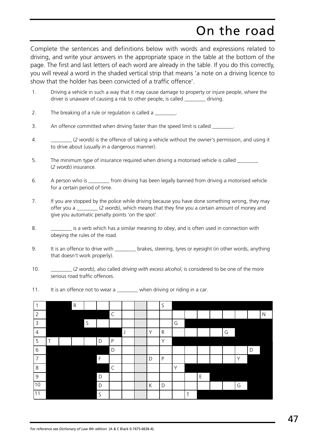### On the road

Complete the sentences and definitions below with words and expressions related to driving, and write your answers in the appropriate space in the table at the bottom of the page. The first and last letters of each word are already in the table. If you do this correctly, you will reveal a word in the shaded vertical strip that means 'a note on a driving licence to show that the holder has been convicted of a traffic offence'.

- 1. Driving a vehicle in such a way that it may cause damage to property or injure people, where the driver is unaware of causing a risk to other people, is called \_\_\_\_\_\_\_\_ driving.
- 2. The breaking of a rule or regulation is called a
- 3. An offence committed when driving faster than the speed limit is called
- 4. \_\_\_\_\_\_\_\_ (*2 words*) is the offence of taking a vehicle without the owner's permission, and using it to drive about (usually in a dangerous manner).
- 5. The minimum type of insurance required when driving a motorised vehicle is called (*2 words*) insurance.
- 6. A person who is from driving has been legally banned from driving a motorised vehicle for a certain period of time.
- 7. If you are stopped by the police while driving because you have done something wrong, they may offer you a \_\_\_\_\_\_\_\_ (*2 words*), which means that they fine you a certain amount of money and give you automatic penalty points 'on the spot'.
- 8. \_\_\_\_\_\_\_\_ is a verb which has a similar meaning *to obey*, and is often used in connection with obeying the rules of the road.
- 9. It is an offence to drive with \_\_\_\_\_\_\_\_ brakes, steering, tyres or eyesight (in other words, anything that doesn't work properly).
- 10. \_\_\_\_\_\_\_\_ (*2 words*), also called *driving with excess alcohol*, is considered to be one of the more serious road traffic offences.
- 11. It is an offence not to wear a when driving or riding in a car.

|                |        | $\mathsf{R}$ |                         |                         |           |   |         | $\mathsf S$  |   |              |             |   |   |   |              |
|----------------|--------|--------------|-------------------------|-------------------------|-----------|---|---------|--------------|---|--------------|-------------|---|---|---|--------------|
| 2              |        |              |                         |                         | $\subset$ |   |         |              |   |              |             |   |   |   | $\mathsf{N}$ |
| 3              |        |              | $\overline{\mathsf{S}}$ |                         |           |   |         |              | G |              |             |   |   |   |              |
| $\overline{4}$ |        |              |                         |                         |           | J | Y       | $\mathsf{R}$ |   |              |             | G |   |   |              |
| 5              | $\top$ |              |                         | D                       | P         |   |         | Y            |   |              |             |   |   |   |              |
| $6\,$          |        |              |                         |                         | D         |   |         |              |   |              |             |   |   | D |              |
| $\overline{7}$ |        |              |                         | F                       |           |   | D       | P            |   |              |             |   | Y |   |              |
| 8              |        |              |                         |                         | $\subset$ |   |         |              | Y |              |             |   |   |   |              |
| 9              |        |              |                         | D                       |           |   |         |              |   |              | $\mathsf E$ |   |   |   |              |
| 10             |        |              |                         | D                       |           |   | $\sf K$ | D            |   |              |             |   | G |   |              |
| 11             |        |              |                         | $\overline{\mathsf{S}}$ |           |   |         |              |   | $\mathsf{T}$ |             |   |   |   |              |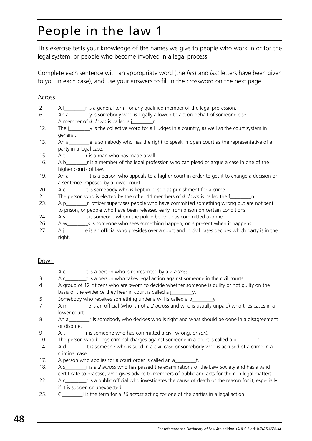# People in the law 1

This exercise tests your knowledge of the names we give to people who work in or for the legal system, or people who become involved in a legal process.

Complete each sentence with an appropriate word (the *first* and *last* letters have been given to you in each case), and use your answers to fill in the crossword on the next page.

### Across

- 2. A l The statemeral term for any qualified member of the legal profession.
- 6. An a\_\_\_\_\_\_\_\_y is somebody who is legally allowed to act on behalf of someone else.
- 11. A member of *4 down* is called a j\_\_\_\_\_\_\_\_r.
- 12. The j\_\_\_\_\_\_\_\_\_y is the collective word for all judges in a country, as well as the court system in general.
- 13. An a <u>equiliency</u> e is somebody who has the right to speak in open court as the representative of a party in a legal case.
- 15. A t\_\_\_\_\_\_\_\_\_\_\_ r is a man who has made a will.
- 16. A b\_\_\_\_\_\_\_\_\_\_ r is a member of the legal profession who can plead or argue a case in one of the higher courts of law.
- 19. An a tis a person who appeals to a higher court in order to get it to change a decision or a sentence imposed by a lower court.
- 20. A c t is somebody who is kept in prison as punishment for a crime.
- 21. The person who is elected by the other 11 members of *4 down* is called the f\_\_\_\_\_\_\_\_n.
- 23. A p\_\_\_\_\_\_\_\_\_n officer supervises people who have committed something wrong but are not sent to prison, or people who have been released early from prison on certain conditions.
- 24. A s \_\_\_\_\_\_\_\_t is someone whom the police believe has committed a crime.
- 26. A w\_\_\_\_\_\_\_\_\_\_\_\_s is someone who sees something happen, or is present when it happens.
- 27. A  $\mu$  =  $\mu$  is an official who presides over a court and in civil cases decides which party is in the right.

### Down

- 1. A c\_\_\_\_\_\_\_\_t is a person who is represented by a *2 across*.
- 3. A c tis a person who takes legal action against someone in the civil courts.
- 4. A group of 12 citizens who are sworn to decide whether someone is guilty or not guilty on the basis of the evidence they hear in court is called a j\_\_\_\_\_\_\_\_\_\_\_\_\_\_\_\_\_\_\_\_\_\_\_\_\_\_\_
- 5. Somebody who receives something under a will is called a b\_\_\_\_\_\_\_\_\_\_\_ y.
- 7. A m\_\_\_\_\_\_\_\_e is an official (who is not a *2 across* and who is usually unpaid) who tries cases in a lower court.
- 8. An a\_\_\_\_\_\_\_\_\_\_r is somebody who decides who is right and what should be done in a disagreement or dispute.
- 9. A t\_\_\_\_\_\_\_\_r is someone who has committed a civil wrong, or *tort*.
- 10. The person who brings criminal charges against someone in a court is called a p\_\_\_\_\_\_\_\_\_\_\_\_\_\_\_\_\_
- 14. A d tis someone who is sued in a civil case or somebody who is accused of a crime in a criminal case.
- 17. A person who applies for a court order is called an a
- 18. A s <sup>r</sup> is a 2 across who has passed the examinations of the Law Society and has a valid certificate to practise, who gives advice to members of public and acts for them in legal matters.
- 22. A c\_\_\_\_\_\_\_\_\_\_\_r is a public official who investigates the cause of death or the reason for it, especially if it is sudden or unexpected.
- 25. C\_\_\_\_\_\_\_\_l is the term for a *16 across* acting for one of the parties in a legal action.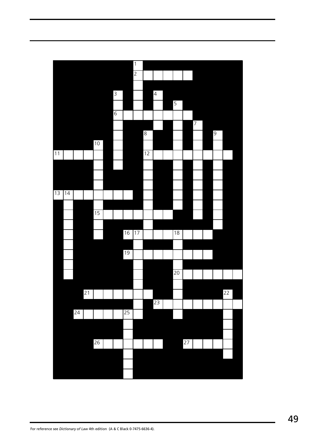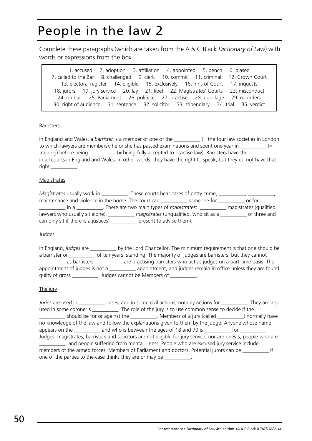### People in the law 2

Complete these paragraphs (which are taken from the A & C Black *Dictionary of Law*) with words or expressions from the box.

1. accused 2. adoption 3. affiliation 4. appointed 5. bench 6. biased 7. called to the Bar 8. challenged 9. clerk 10. commit 11. criminal 12. Crown Court 13. electoral register 14. eligible 15. exclusively 16. Inns of Court 17. inquests 18. jurors 19. jury service 20. lay 21. libel 22. Magistrates' Courts 23. misconduct 24. on bail 25. Parliament 26. political 27. practise 28. pupillage 29. recorders 30. right of audience 31. sentence 32. solicitor 33. stipendiary 34. trial 35. verdict

#### **Barristers**

In England and Wales, a *barrister* is a member of one of the \_\_\_\_\_\_\_\_\_\_ (= the four law societies in London to which lawyers are members); he or she has passed examinations and spent one year in \_\_\_\_\_\_\_\_\_\_\_ (= training) before being  $\qquad \qquad (=$  being fully accepted to practise law). Barristers have the in all courts in England and Wales: in other words, they have the right to speak, but they do not have that right \_\_\_\_\_\_\_\_\_\_.

#### **Magistrates**

| Magistrates usually work in                              |                          | These courts hear cases of petty crime,                 |                        |
|----------------------------------------------------------|--------------------------|---------------------------------------------------------|------------------------|
| maintenance and violence in the home. The court can      |                          | someone for                                             | or for                 |
| in a                                                     |                          | There are two main types of <i>magistrates</i> : ______ | magistrates (qualified |
| lawyers who usually sit alone); $\overline{\phantom{a}}$ |                          | magistrates (unqualified, who sit as a                  | of three and           |
| can only sit if there is a justices'                     | present to advise them). |                                                         |                        |

#### Judges

In England, *judges* are \_\_\_\_\_\_\_\_\_\_ by the Lord Chancellor. The minimum requirement is that one should be a barrister or \_\_\_\_\_\_\_\_\_\_\_\_ of ten years' standing. The majority of judges are barristers, but they cannot \_\_\_\_\_\_\_\_\_\_ as barristers. \_\_\_\_\_\_\_\_\_\_ are practising barristers who act as judges on a part-time basis. The appointment of judges is not a \_\_\_\_\_\_\_\_\_\_ appointment, and judges remain in office unless they are found guilty of gross \_\_\_\_\_\_\_\_\_\_\_. Judges cannot be Members of \_\_\_\_\_\_\_\_\_\_.

#### The jury

*Juries* are used in \_\_\_\_\_\_\_\_\_\_ cases, and in some civil actions, notably actions for \_\_\_\_\_\_\_\_\_\_. They are also used in some coroner's \_\_\_\_\_\_\_\_\_\_\_. The role of the jury is to use common sense to decide if the \_should be for or against the \_\_\_\_\_\_\_\_\_\_\_\_. Members of a jury (called \_\_\_\_\_\_\_\_\_\_) normally have no knowledge of the law and follow the explanations given to them by the judge. Anyone whose name appears on the and who is between the ages of 18 and 70 is  $\frac{1}{2}$  for  $\frac{1}{2}$ . Judges, magistrates, barristers and solicitors are not eligible for jury service, nor are priests, people who are \_\_\_\_\_\_\_\_\_\_, and people suffering from mental illness. People who are excused jury service include members of the armed forces, Members of Parliament and doctors. Potential jurors can be \_\_\_\_\_\_\_\_\_\_ if one of the parties to the case thinks they are or may be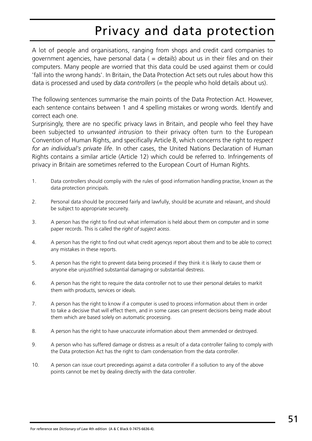### Privacy and data protection

A lot of people and organisations, ranging from shops and credit card companies to government agencies, have personal data ( = *details*) about us in their files and on their computers. Many people are worried that this data could be used against them or could 'fall into the wrong hands'. In Britain, the Data Protection Act sets out rules about how this data is processed and used by *data controllers* (= the people who hold details about us).

The following sentences summarise the main points of the Data Protection Act. However, each sentence contains between 1 and 4 spelling mistakes or wrong words. Identify and correct each one.

Surprisingly, there are no specific privacy laws in Britain, and people who feel they have been subjected to *unwanted intrusion* to their privacy often turn to the European Convention of Human Rights, and specifically Article 8, which concerns the right to *respect for an individual's private life*. In other cases, the United Nations Declaration of Human Rights contains a similar article (Article 12) which could be referred to. Infringements of privacy in Britain are sometimes referred to the European Court of Human Rights.

- 1. Data controllers should compliy with the rules of good information handling practise, known as the data protection principals.
- 2. Personal data should be proccesed fairly and lawfully, should be acurrate and relavant, and should be subject to appropriate secureity.
- 3. A person has the right to find out what infermation is held about them on computer and in some paper records. This is called the *right of supject acess*.
- 4. A person has the right to find out what credit agencys report about them and to be able to correct any mistakes in these reports.
- 5. A person has the right to prevent data being procesed if they think it is likely to cause them or anyone else unjustifried substantial damaging or substantial destress.
- 6. A person has the right to require the data controller not to use their personal detales to markit them with products, services or ideals.
- 7. A person has the right to know if a computer is used to process information about them in order to take a decisive that will effect them, and in some cases can present decisions being made about them which are based solely on automatic processing.
- 8. A person has the right to have unaccurate information about them ammended or destroyed.
- 9. A person who has suffered damage or distress as a result of a data controller failing to comply with the Data protection Act has the right to clam condensation from the data controller.
- 10. A person can issue court preceedings against a data controller if a sollution to any of the above points cannot be met by dealing directly with the data controller.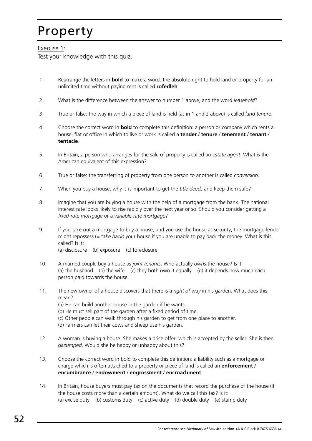# Property

### Exercise 1:

Test your knowledge with this quiz.

- 1. Rearrange the letters in **bold** to make a word: the absolute right to hold land or property for an unlimited time without paying rent is called **rofedleh**.
- 2. What is the difference between the answer to number 1 above, and the word *leasehold*?
- 3. True or false: the way in which a piece of land is held (as in 1 and 2 above) is called *land tenure*.
- 4. Choose the correct word in **bold** to complete this definition: a person or company which rents a house, flat or office in which to live or work is called a **tender** / **tenure** / **tenement** / **tenant** / **tentacle**.
- 5. In Britain, a person who arranges for the sale of property is called an *estate agent*. What is the American equivalent of this expression?
- 6. True or false: the transferring of property from one person to another is called *conversion*.
- 7. When you buy a house, why is it important to get the *title deeds* and keep them safe?
- 8. Imagine that you are buying a house with the help of a mortgage from the bank. The national interest rate looks likely to rise rapidly over the next year or so. Should you consider getting a *fixed-rate mortgage* or a *variable-rate mortgage*?
- 9. If you take out a mortgage to buy a house, and you use the house as security, the mortgage-lender might repossess (= t*ake back*) your house if you are unable to pay back the money. What is this called? Is it: (a) disclosure (b) exposure (c) foreclosure
- 10. A married couple buy a house as *joint tenants*. Who actually *owns* the house? Is it: (a) the husband (b) the wife (c) they both own it equally (d) it depends how much each person paid towards the house.
- 11. The new owner of a house discovers that there is a *right of way* in his garden. What does this mean? (a) He can build another house in the garden if he wants. (b) He must sell part of the garden after a fixed period of time. (c) Other people can walk through his garden to get from one place to another. (d) Farmers can let their cows and sheep use his garden.
- 12. A woman is buying a house. She makes a price offer, which is accepted by the seller. She is then *gazumped*. Would she be happy or unhappy about this?
- 13. Choose the correct word in bold to complete this definition: a liability such as a mortgage or charge which is often attached to a property or piece of land is called an **enforcement** / **encumbrance** / **endowment** / **engrossment** / **encroachment**.
- 14. In Britain, house buyers must pay tax on the documents that record the purchase of the house (if the house costs more than a certain amount). What do we call this tax? Is it: (a) excise duty (b) customs duty (c) active duty (d) double duty (e) stamp duty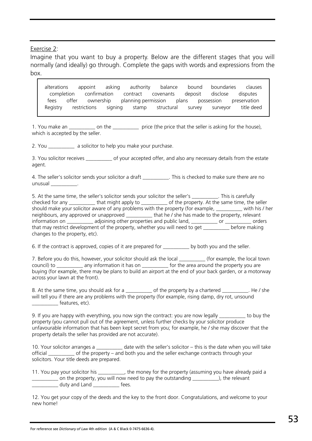Exercise 2:

Imagine that you want to buy a property. Below are the different stages that you will normally (and ideally) go through. Complete the gaps with words and expressions from the box.

alterations appoint asking authority balance bound boundaries clauses completion confirmation contract covenants deposit disclose disputes fees offer ownership planning permission plans possession preservation Registry restrictions signing stamp structural survey surveyor title deed

1. You make an \_\_\_\_\_\_\_\_\_\_ on the \_\_\_\_\_\_\_\_\_\_ price (the price that the seller is asking for the house), which is accepted by the seller.

2. You \_\_\_\_\_\_\_\_\_\_\_\_\_ a solicitor to help you make your purchase.

3. You solicitor receives electronic of your accepted offer, and also any necessary details from the estate agent.

4. The seller's solicitor sends your solicitor a draft \_\_\_\_\_\_\_\_\_\_. This is checked to make sure there are no unusual \_\_\_\_\_\_\_\_\_\_.

5. At the same time, the seller's solicitor sends your solicitor the seller's \_\_\_\_\_\_\_\_\_\_. This is carefully checked for any \_\_\_\_\_\_\_\_\_\_ that might apply to \_\_\_\_\_\_\_\_\_\_ of the property. At the same time, the seller should make your solicitor aware of any problems with the property (for example, \_\_\_\_\_\_\_\_\_\_ with his / her neighbours, any approved or unapproved \_\_\_\_\_\_\_\_\_\_ that he / she has made to the property, relevant information on \_\_\_\_\_\_\_\_\_\_ adjoining other properties and public land, \_\_\_\_\_\_\_\_\_\_ or \_\_\_\_\_\_\_\_\_\_ orders that may restrict development of the property, whether you will need to get before making changes to the property, etc).

6. If the contract is approved, copies of it are prepared for successive by both you and the seller.

7. Before you do this, however, your solicitor should ask the local \_\_\_\_\_\_\_\_\_\_ (for example, the local town council) to \_\_\_\_\_\_\_\_\_\_ any information it has on \_\_\_\_\_\_\_\_\_\_ for the area around the property you are buying (for example, there may be plans to build an airport at the end of your back garden, or a motorway across your lawn at the front).

8. At the same time, you should ask for a chartered a set of the property by a chartered a set He / she will tell you if there are any problems with the property (for example, rising damp, dry rot, unsound \_\_\_\_\_\_\_\_\_\_ features, etc).

9. If you are happy with everything, you now sign the contract: you are now legally \_\_\_\_\_\_\_\_\_\_ to buy the property (you cannot pull out of the agreement, unless further checks by your solicitor produce unfavourable information that has been kept secret from you; for example, he / she may discover that the property details the seller has provided are not accurate).

10. Your solicitor arranges a \_\_\_\_\_\_\_\_\_\_ date with the seller's solicitor – this is the date when you will take official \_\_\_\_\_\_\_\_\_\_ of the property – and both you and the seller exchange contracts through your solicitors. Your title deeds are prepared.

11. You pay your solicitor his \_\_\_\_\_\_\_\_\_\_, the money for the property (assuming you have already paid a \_\_\_\_\_\_\_\_\_\_ on the property, you will now need to pay the outstanding \_\_\_\_\_\_\_\_\_\_), the relevant duty and Land **Example** fees.

12. You get your copy of the deeds and the key to the front door. Congratulations, and welcome to your new home!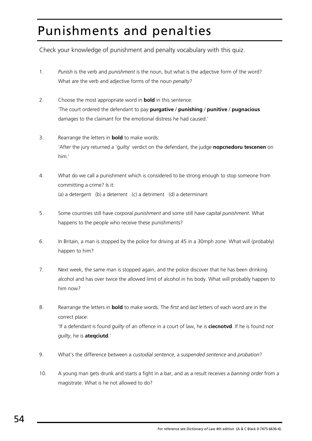# Punishments and penalties

Check your knowledge of punishment and penalty vocabulary with this quiz.

- 1. *Punish* is the verb and *punishment* is the noun, but what is the adjective form of the word? What are the verb and adjective forms of the noun *penalty*?
- 2. Choose the most appropriate word in **bold** in this sentence: 'The court ordered the defendant to pay **purgative** / **punishing** / **punitive** / **pugnacious** damages to the claimant for the emotional distress he had caused.'
- 3. Rearrange the letters in **bold** to make words: 'After the jury returned a 'guilty' verdict on the defendant, the judge **nopcnedoru tescenen** on him.'
- 4. What do we call a punishment which is considered to be strong enough to stop someone from committing a crime? Is it: (a) a detergent (b) a deterrent (c) a detriment (d) a determinant
- 5. Some countries still have *corporal punishment* and some still have *capital punishment*. What happens to the people who receive these punishments?
- 6. In Britain, a man is stopped by the police for driving at 45 in a 30mph zone. What will (probably) happen to him?
- 7. Next week, the same man is stopped again, and the police discover that he has been drinking alcohol and has over twice the allowed limit of alcohol in his body. What will probably happen to him now?
- 8. Rearrange the letters in **bold** to make words. The *first* and *last* letters of each word are in the correct place: 'If a defendant is found *guilty* of an offence in a court of law, he is **ciecnotvd**. If he is found *not guilty*, he is **ateqciutd**.'
- 9. What's the difference between a *custodial sentence*, a *suspended sentence* and *probation*?
- 10. A young man gets drunk and starts a fight in a bar, and as a result receives a *banning order* from a magistrate. What is he not allowed to do?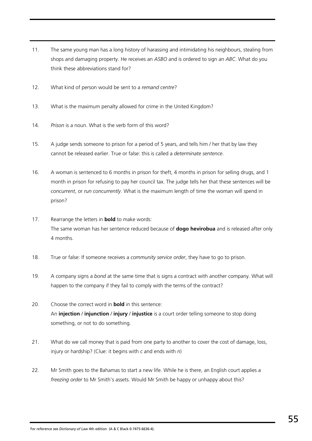- 11. The same young man has a long history of harassing and intimidating his neighbours, stealing from shops and damaging property. He receives an *ASBO* and is ordered to sign an *ABC*. What do you think these abbreviations stand for?
- 12. What kind of person would be sent to a *remand centre*?
- 13. What is the maximum penalty allowed for crime in the United Kingdom?
- 14. *Prison* is a noun. What is the verb form of this word?
- 15. A judge sends someone to prison for a period of 5 years, and tells him / her that by law they cannot be released earlier. True or false: this is called a *determinate sentence*.
- 16. A woman is sentenced to 6 months in prison for theft, 4 months in prison for selling drugs, and 1 month in prison for refusing to pay her council tax. The judge tells her that these sentences will be *concurrent*, or *run concurrently*. What is the maximum length of time the woman will spend in prison?
- 17. Rearrange the letters in **bold** to make words: The same woman has her sentence reduced because of **dogo hevirobua** and is released after only 4 months.
- 18. True or false: If someone receives a *community service order*, they have to go to prison.
- 19. A company signs a *bond* at the same time that is signs a contract with another company. What will happen to the company if they fail to comply with the terms of the contract?
- 20. Choose the correct word in **bold** in this sentence: An **injection** / **injunction** / **injury** / **injustice** is a court order telling someone to stop doing something, or not to do something.
- 21. What do we call money that is paid from one party to another to cover the cost of damage, loss, injury or hardship? (Clue: it begins with *c* and ends with *n*)
- 22. Mr Smith goes to the Bahamas to start a new life. While he is there, an English court applies a *freezing order* to Mr Smith's assets. Would Mr Smith be happy or unhappy about this?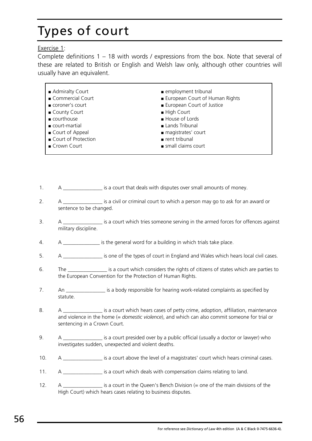# Types of court

### Exercise 1:

Complete definitions 1 – 18 with words / expressions from the box. Note that several of these are related to British or English and Welsh law only, although other countries will usually have an equivalent.

| ■ Admiralty Court   | employment tribunal              |
|---------------------|----------------------------------|
| Commercial Court    | European Court of Human Rights   |
| coroner's court     | <b>European Court of Justice</b> |
| County Court        | High Court                       |
| courthouse          | House of Lords                   |
| court-martial       | Lands Tribunal                   |
| Court of Appeal     | magistrates' court               |
| Court of Protection | rent tribunal                    |
| ■ Crown Court       | small claims court               |
|                     |                                  |

- 1. A court that deals with disputes over small amounts of money.
- 2. A civil or criminal court to which a person may go to ask for an award or sentence to be changed.
- 3. A court which tries someone serving in the armed forces for offences against military discipline.
- 4. A can also the general word for a building in which trials take place.
- 5. A \_\_\_\_\_\_\_\_\_\_\_\_\_\_\_\_ is one of the types of court in England and Wales which hears local civil cases.
- 6. The \_\_\_\_\_\_\_\_\_\_\_\_\_\_\_ is a court which considers the rights of citizens of states which are parties to the European Convention for the Protection of Human Rights.
- 7. An \_\_\_\_\_\_\_\_\_\_\_\_\_\_\_ is a body responsible for hearing work-related complaints as specified by statute.
- 8. A \_\_\_\_\_\_\_\_\_\_\_\_\_\_\_\_ is a court which hears cases of petty crime, adoption, affiliation, maintenance and violence in the home (= *domestic violence*), and which can also commit someone for trial or sentencing in a Crown Court.
- 9. A \_\_\_\_\_\_\_\_\_\_\_\_\_\_\_ is a court presided over by a public official (usually a doctor or lawyer) who investigates sudden, unexpected and violent deaths.
- 10. A \_\_\_\_\_\_\_\_\_\_\_\_\_\_\_\_\_ is a court above the level of a magistrates' court which hears criminal cases.
- 11. A \_\_\_\_\_\_\_\_\_\_\_\_\_\_\_\_\_ is a court which deals with compensation claims relating to land.
- 12. A \_\_\_\_\_\_\_\_\_\_\_\_\_\_\_\_ is a court in the Queen's Bench Division (= one of the main divisions of the High Court) which hears cases relating to business disputes.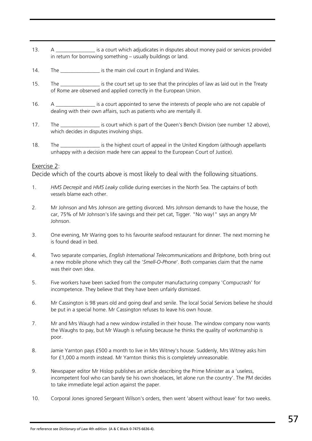- 13. A \_\_\_\_\_\_\_\_\_\_\_\_\_\_\_\_\_ is a court which adjudicates in disputes about money paid or services provided in return for borrowing something – usually buildings or land.
- 14. The \_\_\_\_\_\_\_\_\_\_\_\_\_\_\_\_\_ is the main civil court in England and Wales.
- 15. The state is the court set up to see that the principles of law as laid out in the Treaty of Rome are observed and applied correctly in the European Union.
- 16. A court appointed to serve the interests of people who are not capable of dealing with their own affairs, such as patients who are mentally ill.
- 17. The state of the Oueen's Bench Division (see number 12 above), which decides in disputes involving ships.
- 18. The \_\_\_\_\_\_\_\_\_\_\_\_\_\_\_ is the highest court of appeal in the United Kingdom (although appellants unhappy with a decision made here can appeal to the European Court of Justice).

#### Exercise 2:

Decide which of the courts above is most likely to deal with the following situations.

- 1. *HMS Decrepit* and *HMS Leaky* collide during exercises in the North Sea. The captains of both vessels blame each other.
- 2. Mr Johnson and Mrs Johnson are getting divorced. Mrs Johnson demands to have the house, the car, 75% of Mr Johnson's life savings and their pet cat, Tigger. "No way!" says an angry Mr Johnson.
- 3. One evening, Mr Waring goes to his favourite seafood restaurant for dinner. The next morning he is found dead in bed.
- 4. Two separate companies, *English International Telecommunications* and *Britphone*, both bring out a new mobile phone which they call the '*Smell-O-Phone*'. Both companies claim that the name was their own idea.
- 5. Five workers have been sacked from the computer manufacturing company 'Compucrash' for incompetence. They believe that they have been unfairly dismissed.
- 6. Mr Cassington is 98 years old and going deaf and senile. The local Social Services believe he should be put in a special home. Mr Cassington refuses to leave his own house.
- 7. Mr and Mrs Waugh had a new window installed in their house. The window company now wants the Waughs to pay, but Mr Waugh is refusing because he thinks the quality of workmanship is poor.
- 8. Jamie Yarnton pays £500 a month to live in Mrs Witney's house. Suddenly, Mrs Witney asks him for £1,000 a month instead. Mr Yarnton thinks this is completely unreasonable.
- 9. Newspaper editor Mr Hislop publishes an article describing the Prime Minister as a 'useless, incompetent fool who can barely tie his own shoelaces, let alone run the country'. The PM decides to take immediate legal action against the paper.
- 10. Corporal Jones ignored Sergeant Wilson's orders, then went 'absent without leave' for two weeks.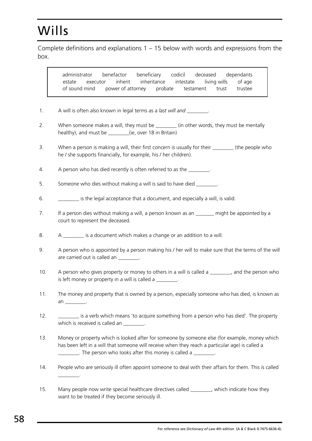# Wills **Wills**

Complete definitions and explanations  $1 - 15$  below with words and expressions from the box.

administrator benefactor beneficiary codicil deceased dependants estate executor inherit inheritance intestate living wills of age of sound mind power of attorney probate testament trust trustee

- 1. A will is often also known in legal terms as a *last will and* \_\_\_\_\_\_\_\_.
- 2. When someone makes a will, they must be \_\_\_\_\_\_\_\_\_ (in other words, they must be mentally healthy), and must be \_\_\_\_\_\_\_(ie, over 18 in Britain)
- 3. When a person is making a will, their first concern is usually for their \_\_\_\_\_\_\_\_ (the people who he / she supports financially, for example, his / her children).
- 4. A person who has died recently is often referred to as the
- 5. Someone who dies without making a will is said to have died \_\_\_\_\_\_\_.
- 6. \_\_\_\_\_\_\_\_ is the legal acceptance that a document, and especially a will, is valid.
- 7. If a person dies without making a will, a person known as an same might be appointed by a court to represent the deceased.
- 8. A \_\_\_\_\_\_\_\_ is a document which makes a change or an addition to a will.
- 9. A person who is appointed by a person making his / her will to make sure that the terms of the will are carried out is called an \_\_\_\_\_\_\_\_.
- 10. A person who gives property or money to others in a will is called a \_\_\_\_\_\_, and the person who is left money or property in a will is called a  $\frac{1}{\sqrt{1-\frac{1}{n}}}\frac{1}{\sqrt{1-\frac{1}{n}}}\frac{1}{\sqrt{1-\frac{1}{n}}}\frac{1}{\sqrt{1-\frac{1}{n}}}\frac{1}{\sqrt{1-\frac{1}{n}}}\frac{1}{\sqrt{1-\frac{1}{n}}}\frac{1}{\sqrt{1-\frac{1}{n}}}\frac{1}{\sqrt{1-\frac{1}{n}}}\frac{1}{\sqrt{1-\frac{1}{n}}}\frac{1}{\sqrt{1-\frac{1}{n}}}\frac{1}{\sqrt{1-\frac{$
- 11. The money and property that is owned by a person, especially someone who has died, is known as an \_\_\_\_\_\_\_\_.
- 12. \_\_\_\_\_\_\_\_ is a verb which means 'to acquire something from a person who has died'. The property which is received is called an
- 13. Money or property which is looked after for someone by someone else (for example, money which has been left in a will that someone will receive when they reach a particular age) is called a . The person who looks after this money is called a  $\qquad \qquad$ .
- 14. People who are seriously ill often appoint someone to deal with their affairs for them. This is called  $\overline{\phantom{a}}$  .
- 15. Many people now write special healthcare directives called \_\_\_\_\_\_\_, which indicate how they want to be treated if they become seriously ill.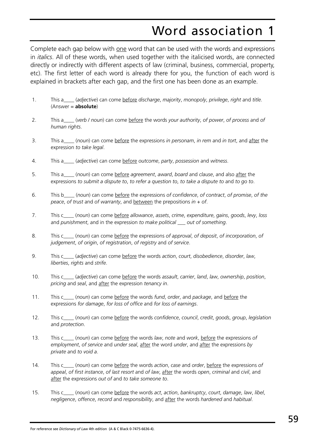# Word association 1

Complete each gap below with one word that can be used with the words and expressions in *italics*. All of these words, when used together with the italicised words, are connected directly or indirectly with different aspects of law (criminal, business, commercial, property, etc). The first letter of each word is already there for you, the function of each word is explained in brackets after each gap, and the first one has been done as an example.

- 1. This a\_\_\_\_ (*adjective*) can come before *discharge*, *majority*, *monopoly*, *privilege*, *right* and *title*. (Answer = **absolute**)
- 2. This a\_\_\_\_ (*verb* / *noun*) can come before the words *your authority*, *of power*, *of process* and *of human rights*.
- 3. This a\_\_\_\_ (*noun*) can come before the expressions *in personam*, *in rem* and *in tort*, and after the expression *to take legal*.
- 4. This a\_\_\_\_ (*adjective*) can come before *outcome*, *party*, *possession* and *witness*.
- 5. This a\_\_\_\_ (*noun*) can come before *agreement*, *award*, *board* and *clause*, and also after the expressions *to submit a dispute to*, *to refer a question to*, *to take a dispute to* and *to go to*.
- 6. This b\_\_\_\_ (*noun*) can come before the expressions *of confidence*, *of contract*, *of promise*, *of the peace*, *of trust* and *of warranty*, and between the prepositions *in* + *of*.
- 7. This c\_\_\_\_ (*noun*) can come before *allowance*, *assets*, *crime*, *expenditure*, *gains*, *goods*, *levy*, *loss* and *punishment*, and in the expression *to make political \_\_\_ out of something*.
- 8. This c\_\_\_\_ (*noun*) can come before the expressions *of approval*, *of deposit*, *of incorporation*, *of judgement*, *of origin*, *of registration*, *of registry* and *of service*.
- 9. This c\_\_\_\_ (*adjective*) can come before the words *action*, *court*, *disobedience*, *disorder*, *law*, *liberties*, *rights* and *strife*.
- 10. This c\_\_\_\_ (*adjective*) can come before the words *assault*, *carrier*, *land*, *law*, *ownership*, *position*, *pricing* and *seal*, and after the expression *tenancy in*.
- 11. This c\_\_\_\_ (*noun*) can come before the words *fund*, *order*, and *package*, and before the expressions *for damage*, *for loss of office* and *for loss of earnings*.
- 12. This c\_\_\_\_ (*noun*) can come before the words *confidence*, *council*, *credit*, *goods*, *group*, *legislation* and *protection*.
- 13. This c\_\_\_\_ (*noun*) can come before the words *law*, *note* and *work*, before the expressions *of employment*, *of service* and *under seal*, after the word *under*, and after the expressions *by private* and *to void a*.
- 14. This c\_\_\_\_ (*noun*) can come before the words *action*, *case* and *order*, before the expressions *of appeal*, *of first instance*, *of last resort* and *of law*, after the words *open*, *criminal* and *civil*, and after the expressions *out of* and *to take someone to*.
- 15. This c\_\_\_\_ (*noun*) can come before the words *act*, *action*, *bankruptcy*, *court*, *damage*, *law*, *libel*, *negligence*, *offence*, *record* and *responsibility*, and after the words *hardened* and *habitual*.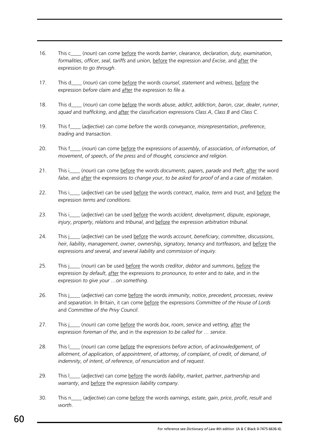- 16. This c\_\_\_\_ (*noun*) can come before the words *barrier*, *clearance*, *declaration*, *duty*, *examination*, *formalities*, *officer*, *seal*, *tariffs* and *union*, before the expression *and Excise*, and after the expression *to go through*.
- 17. This d\_\_\_\_ (*noun*) can come before the words *counsel*, *statement* and *witness*, before the expression *before claim* and after the expression *to file a*.
- 18. This d\_\_\_\_ (*noun*) can come before the words *abuse*, *addict*, *addiction*, *baron*, *czar*, *dealer*, *runner*, *squad* and *trafficking*, and after the classification expressions *Class A*, *Class B* and *Class C*.
- 19. This f\_\_\_\_ (*adjective*) can come *before* the words *conveyance*, *misrepresentation*, *preference*, *trading* and *transaction*.
- 20. This f\_\_\_\_ (*noun*) can come before the expressions *of assembly*, *of association*, *of information*, *of movement*, *of speech*, *of the press* and *of thought, conscience and religion*.
- 21. This i\_\_\_\_ (*noun*) can come before the words *documents*, *papers*, *parade* and *theft*, after the word *false*, and after the expressions *to change your*, *to be asked for proof of* and *a case of mistaken*.
- 22. This i\_\_\_\_ (*adjective*) can be used before the words *contract*, *malice*, *term* and *trust*, and before the expression *terms and conditions*.
- 23. This i\_\_\_\_ (*adjective*) can be used before the words *accident*, *development*, *dispute*, *espionage*, *injury*, *property*, *relations* and *tribunal*, and before the expression *arbitration tribunal*.
- 24. This j\_\_\_\_ (*adjective*) can be used before the words *account*, *beneficiary*, *committee*, *discussions*, *heir*, *liability*, *management*, *owner*, *ownership*, *signatory*, *tenancy* and *tortfeasors*, and before the expressions *and several*, *and several liability* and *commission of inquiry*.
- 25. This j\_\_\_\_ (*noun*) can be used before the words *creditor*, *debtor* and *summons*, before the expression *by default*, after the expressions *to pronounce*, *to enter* and *to take*, and in the expression *to give your …on something*.
- 26. This j\_\_\_\_ (*adjective*) can come before the words *immunity*, *notice*, *precedent*, *processes*, *review* and *separation*. In Britain, it can come before the expressions *Committee of the House of Lords* and *Committee of the Privy Council*.
- 27. This j\_\_\_\_ (*noun*) can come before the words *box*, *room*, *service* and *vetting*, after the expression *foreman of the*, and in the expression *to be called for … service*.
- 28. This l\_\_\_\_ (*noun*) can come before the expressions *before action*, *of acknowledgement*, *of allotment*, *of application*, *of appointment*, *of attorney*, *of complaint*, *of credit*, *of demand*, *of indemnity*, *of intent*, *of reference*, *of renunciation* and *of request*.
- 29. This l\_\_\_\_ (*adjective*) can come before the words *liability*, *market*, *partner*, *partnership* and *warranty*, and before the expression *liability company*.
- 30. This n\_\_\_\_ (*adjective*) can come before the words *earnings*, *estate*, *gain*, *price*, *profit*, *result* and *worth*.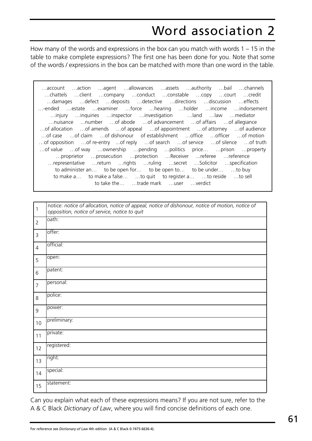# Word association 2

How many of the words and expressions in the box can you match with words  $1 - 15$  in the table to make complete expressions? The first one has been done for you. Note that some of the words / expressions in the box can be matched with more than one word in the table.

…account …action …agent …allowances …assets …authority …bail …channels …chattels …client …company …conduct …constable …copy …court …credit …damages …defect …deposits …detective …directions …discussion …effects …-ended …estate …examiner …force …hearing …holder …income …indorsement …injury …inquiries …inspector …investigation …land …law …mediator …nuisance ...number …of abode …of advancement …of affairs …of allegiance …of allocation …of amends …of appeal …of appointment …of attorney …of audience …of case …of claim …of dishonour of establishment …office …officer …of motion …of opposition …of re-entry ...of reply …of search …of service …of silence …of truth …of value …of way …ownership …pending …politics price… …prison …property …proprietor …prosecution …protection …Receiver ...referee …reference …representative …return …rights …ruling …secret …Solicitor …specification to administer an… to be open for… to be open to… to be under… …to buy to make a… to make a false… …to quit to register a… …to reside …to sell to take the… …trade mark …user …verdict

| $\mathbf{1}$   | notice: notice of allocation, notice of appeal, notice of dishonour, notice of motion, notice of<br>opposition, notice of service, notice to quit |
|----------------|---------------------------------------------------------------------------------------------------------------------------------------------------|
| $\overline{2}$ | oath:                                                                                                                                             |
| 3              | offer:                                                                                                                                            |
| $\overline{4}$ | official:                                                                                                                                         |
| 5              | open:                                                                                                                                             |
| 6              | patent:                                                                                                                                           |
| $\overline{7}$ | personal:                                                                                                                                         |
| 8              | police:                                                                                                                                           |
| 9              | power:                                                                                                                                            |
| $10$           | preliminary:                                                                                                                                      |
| 11             | private:                                                                                                                                          |
| 12             | registered:                                                                                                                                       |
| 13             | right:                                                                                                                                            |
| 14             | special:                                                                                                                                          |
| 15             | statement:                                                                                                                                        |

Can you explain what each of these expressions means? If you are not sure, refer to the A & C Black *Dictionary of Law*, where you will find concise definitions of each one.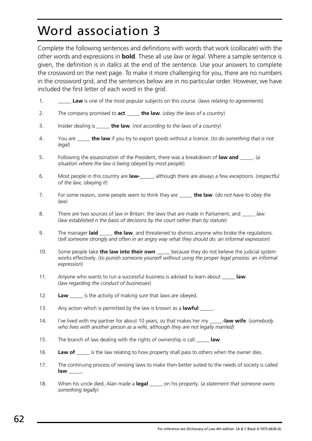# Word association 3

Complete the following sentences and definitions with words that work (*collocate*) with the other words and expressions in **bold**. These all use *law* or *legal*. Where a sample sentence is given, the definition is in *italics* at the end of the sentence. Use your answers to complete the crossword on the next page. To make it more challenging for you, there are no numbers in the crossword grid, and the sentences below are in no particular order. However, we have included the first letter of each word in the grid.

- 1. \_\_\_\_\_ **Law** is one of the most popular subjects on this course. (*laws relating to agreements*)
- 2. The company promised to **act** \_\_\_\_\_ **the law**. (*obey the laws of a country*)
- 3. Insider dealing is \_\_\_\_\_ **the law**. (*not according to the laws of a country*)
- 4. You are \_\_\_\_\_ **the law** if you try to export goods without a licence. (*to do something that is not legal*)
- 5. Following the assassination of the President, there was a breakdown of **law and** \_\_\_\_\_. (*a situation where the law is being obeyed by most people*)
- 6. Most people in this country are **law-**\_\_\_\_\_, although there are always a few exceptions. (*respectful of the law, obeying it*)
- 7. For some reason, some people seem to think they are \_\_\_\_\_ **the law**. (*do not have to obey the law*)
- 8. There are two sources of law in Britain: the laws that are made in Parliament, and \_\_\_\_\_ *law*. (*law established n the basis of decisions by the court rather than by statute*)
- 9. The manager **laid** \_\_\_\_\_ **the law**, and threatened to dismiss anyone who broke the regulations. (*tell someone strongly and often in an angry way what they should do: an informal expression*)
- 10. Some people take **the law into their own** \_\_\_\_\_ because they do not believe the judicial system works effectively. (*to punish someone yourself without using the proper legal process: an informal expression*)
- 11. Anyone who wants to run a successful business is advised to learn about \_\_\_\_\_ **law**. (*law regarding the conduct of businesses*)
- 12. **Law** \_\_\_\_\_ is the activity of making sure that laws are obeyed.
- 13. Any action which is permitted by the law is known as a **lawful**  $\blacksquare$ .
- 14. I've lived with my partner for about 10 years, so that makes her my \_\_\_\_\_**-law wife**. (*somebody who lives with another person as a wife, although they are not legally married*)
- 15. The branch of law dealing with the rights of ownership is call \_\_\_\_\_ **law**.
- 16. **Law of** \_\_\_\_\_ is the law relating to how property shall pass to others when the owner dies.
- 17. The continuing process of revising laws to make then better suited to the needs of society is called **law** \_\_\_\_\_.
- 18. When his uncle died, Alan made a **legal** \_\_\_\_\_ on his property. (*a statement that someone owns something legally*)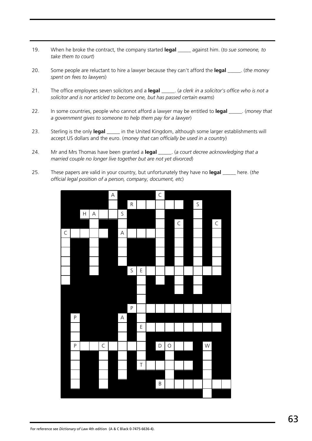- 19. When he broke the contract, the company started **legal** \_\_\_\_\_ against him. (*to sue someone, to take them to court*)
- 20. Some people are reluctant to hire a lawyer because they can't afford the **legal** \_\_\_\_\_. (*the money spent on fees to lawyers*)
- 21. The office employees seven solicitors and a **legal** \_\_\_\_\_. (*a clerk in a solicitor's office who is not a solicitor and is nor articled to become one, but has passed certain exams*)
- 22. In some countries, people who cannot afford a lawyer may be entitled to **legal** \_\_\_\_\_. (*money that a government gives to someone to help them pay for a lawyer*)
- 23. Sterling is the only **legal** \_\_\_\_\_ in the United Kingdom, although some larger establishments will accept US dollars and the euro. (*money that can officially be used in a country*)
- 24. Mr and Mrs Thomas have been granted a **legal** \_\_\_\_\_. (*a court decree acknowledging that a married couple no longer live together but are not yet divorced*)
- 25. These papers are valid in your country, but unfortunately they have no **legal** \_\_\_\_\_ here. (*the official legal position of a person, company, document, etc*)

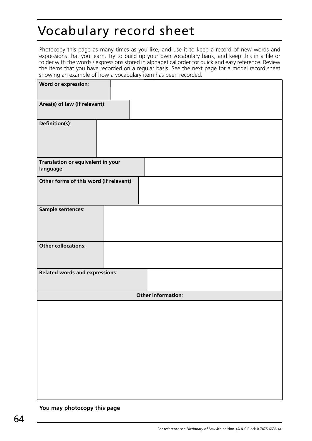### Vocabulary record sheet

Photocopy this page as many times as you like, and use it to keep a record of new words and expressions that you learn. Try to build up your own vocabulary bank, and keep this in a file or folder with the words / expressions stored in alphabetical order for quick and easy reference. Review the items that you have recorded on a regular basis. See the next page for a model record sheet showing an example of how a vocabulary item has been recorded.

| Word or expression:                            |                    |
|------------------------------------------------|--------------------|
| Area(s) of law (if relevant):                  |                    |
| Definition(s):                                 |                    |
| Translation or equivalent in your<br>language: |                    |
| Other forms of this word (if relevant):        |                    |
| Sample sentences:                              |                    |
| <b>Other collocations:</b>                     |                    |
| Related words and expressions:                 |                    |
|                                                | Other information: |
|                                                |                    |

**You may photocopy this page**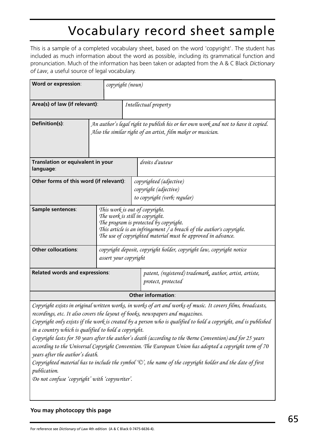# Vocabulary record sheet sample

This is a sample of a completed vocabulary sheet, based on the word 'copyright'. The student has included as much information about the word as possible, including its grammatical function and pronunciation. Much of the information has been taken or adapted from the A & C Black *Dictionary of Law*, a useful source of legal vocabulary.

| Word or expression:                                                                                             |                                 |                       | copyright (noun)                                                                                                                      |                                                                                                              |  |  |  |  |  |
|-----------------------------------------------------------------------------------------------------------------|---------------------------------|-----------------------|---------------------------------------------------------------------------------------------------------------------------------------|--------------------------------------------------------------------------------------------------------------|--|--|--|--|--|
|                                                                                                                 |                                 |                       |                                                                                                                                       |                                                                                                              |  |  |  |  |  |
| Area(s) of law (if relevant):                                                                                   |                                 |                       |                                                                                                                                       | Intellectual property                                                                                        |  |  |  |  |  |
|                                                                                                                 |                                 |                       |                                                                                                                                       |                                                                                                              |  |  |  |  |  |
| Definition(s):                                                                                                  |                                 |                       |                                                                                                                                       | An author's legal right to publish his or her own work and not to have it copied.                            |  |  |  |  |  |
|                                                                                                                 |                                 |                       |                                                                                                                                       | Also the similar right of an artist, film maker or musician.                                                 |  |  |  |  |  |
|                                                                                                                 |                                 |                       |                                                                                                                                       |                                                                                                              |  |  |  |  |  |
|                                                                                                                 |                                 |                       |                                                                                                                                       |                                                                                                              |  |  |  |  |  |
|                                                                                                                 |                                 |                       |                                                                                                                                       |                                                                                                              |  |  |  |  |  |
| Translation or equivalent in your                                                                               |                                 |                       |                                                                                                                                       | droits d'auteur                                                                                              |  |  |  |  |  |
| language:                                                                                                       |                                 |                       |                                                                                                                                       |                                                                                                              |  |  |  |  |  |
| Other forms of this word (if relevant):                                                                         |                                 |                       |                                                                                                                                       | copyrighted (adjective)                                                                                      |  |  |  |  |  |
|                                                                                                                 |                                 |                       |                                                                                                                                       | copyright (adjective)                                                                                        |  |  |  |  |  |
|                                                                                                                 |                                 |                       |                                                                                                                                       | to copyright (verb; regular)                                                                                 |  |  |  |  |  |
| Sample sentences:                                                                                               |                                 |                       |                                                                                                                                       | This work is out of copyright.                                                                               |  |  |  |  |  |
|                                                                                                                 |                                 |                       |                                                                                                                                       | The work is still in copyright.                                                                              |  |  |  |  |  |
|                                                                                                                 |                                 |                       |                                                                                                                                       | The program is protected by copyright.                                                                       |  |  |  |  |  |
|                                                                                                                 |                                 |                       | This article is an infringement / a breach of the author's copyright.<br>The use of copyrighted material must be approved in advance. |                                                                                                              |  |  |  |  |  |
|                                                                                                                 |                                 |                       |                                                                                                                                       |                                                                                                              |  |  |  |  |  |
| <b>Other collocations:</b>                                                                                      |                                 |                       |                                                                                                                                       | copyright deposit, copyright holder, copyright law, copyright notice                                         |  |  |  |  |  |
|                                                                                                                 |                                 | assert your copyright |                                                                                                                                       |                                                                                                              |  |  |  |  |  |
| Related words and expressions:                                                                                  |                                 |                       |                                                                                                                                       |                                                                                                              |  |  |  |  |  |
|                                                                                                                 |                                 |                       |                                                                                                                                       | patent, (registered) trademark, author, artist, artiste,                                                     |  |  |  |  |  |
|                                                                                                                 |                                 |                       |                                                                                                                                       | protect, protected                                                                                           |  |  |  |  |  |
|                                                                                                                 |                                 |                       |                                                                                                                                       | <b>Other information:</b>                                                                                    |  |  |  |  |  |
|                                                                                                                 |                                 |                       |                                                                                                                                       | Copyright exists in original written works, in works of art and works of music. It covers films, broadcasts, |  |  |  |  |  |
|                                                                                                                 |                                 |                       |                                                                                                                                       | recordings, etc. It also covers the layout of books, newspapers and magazines.                               |  |  |  |  |  |
| Copyright only exists if the work is created by a person who is qualified to hold a copyright, and is published |                                 |                       |                                                                                                                                       |                                                                                                              |  |  |  |  |  |
| in a country which is qualified to hold a copyright.                                                            |                                 |                       |                                                                                                                                       |                                                                                                              |  |  |  |  |  |
|                                                                                                                 |                                 |                       |                                                                                                                                       | Copyright lasts for 50 years after the author's death (according to the Berne Convention) and for 25 years   |  |  |  |  |  |
|                                                                                                                 |                                 |                       |                                                                                                                                       | according to the Universal Copyright Convention. The European Union has adopted a copyright term of 70       |  |  |  |  |  |
|                                                                                                                 | years after the author's death. |                       |                                                                                                                                       |                                                                                                              |  |  |  |  |  |
|                                                                                                                 |                                 |                       |                                                                                                                                       | Copyrighted material has to include the symbol 'O', the name of the copyright holder and the date of first   |  |  |  |  |  |
| publication.                                                                                                    |                                 |                       |                                                                                                                                       |                                                                                                              |  |  |  |  |  |
| Do not confuse 'copyright' with 'copywriter'.                                                                   |                                 |                       |                                                                                                                                       |                                                                                                              |  |  |  |  |  |

### **You may photocopy this page**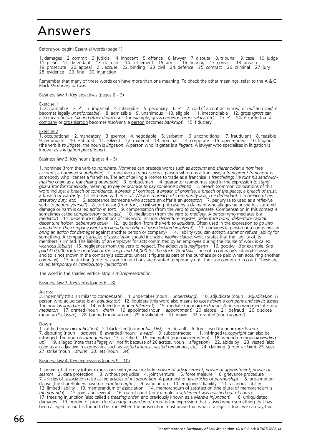### Answers

#### Before you begin: Essential words (page 1)

1. damages 2. commit 3. judicial 4. innocent 5. offence 6. lawyer 7. dispute 8. tribunal 9. case 10. judge 11. plead 12. defendant 13. claimant 14. settlement 15. arrest 16. hearing 17. convict 18. breach 19. prosecute 20. appeal 21. accuse 22. binding 23. civil 24. defence 25. contract 26. criminal 27. jury 28. evidence 29. fine 30. injunction

Remember that many of these words can have more than one meaning. To check the other meanings, refer to the A & C Black *Dictionary of Law*.

#### Business law 1: Key adjectives (pages 2 – 3)

#### Exercise 1:

1. accountable 2. 9 3. impartial 4. intangible 5. pecuniary 6. 9 7. void (if a contract is *void*, or *null and void*, it becomes legally *unenforceable*) 8. admissible 9. unanimous 10. eligible 11. irreconcilable 12. gross (*gross* can also mean *before tax and other deductions*: for example, *gross earnings*, *gross salary*, etc) 13. 9 14. 9 (note that a company or organisation becomes *insolvent*, a person becomes *bankrupt*) 15. fiduciary

#### Exercise 2

1. occupational 2. mandatory 3. exempt 4. negotiable 5. verbatim 6. unconditional 7. fraudulent 8. feasible 9. redundant 10. Habitual 11. solvent 12. material 13. nominal 14. corporate 15. open-ended 16. litigious (the verb is *to litigate*, the noun is *litigation*. A person who litigates is a *litigant*. A lawyer who specialises in litigation is known as a *litigation practitioner*)

#### Business law 2: Key nouns (pages 4 – 5)

1. nominee (from the verb to *nominate*. *Nominee* can precede words such as *account* and *shareholder*: a *nominee account*; a *nominee shareholder*) 2. franchise (a *franchisee* is a person who runs a franchise, a *franchiser* / *franchisor* is somebody who licenses a franchise. The act of selling a licence to trade as a franchise is *franchising*: *He runs his sandwichmaking chain as a franchising operation*) 3. ombudsman 4. guarantor (sometimes used in the expression *to stand guarantor for somebody*, meaning *to pay or promise to pay someone's debts*) 5. breach (common collocations of this word include: a breach of confidence, a breach of contract, a breach of promise, a breach of the peace, a breach of trust,<br>a breach of warranty. It is also used with in + of: We are in breach of Community law; The defendan *statutory duty, etc*) 6. acceptance (someone who accepts an offer is an *acceptor*) 7. perjury (also used as a reflexive verb: *to perjure yourself*) 8. tortfeasor (from *tort*, a civil wrong. A case by a claimant who alleges he or she has suffered damage or harm is called *action in tort*) 9. compensation (from the verb *to compensate*. Compensation in this context is sometimes called *compensatory damages*) 10. mediation (from the verb *to mediate*. A person who mediates is a *mediator*) 11. debenture (collocations of this word include: *debenture register*, *debenture bond*, *debenture capital, debenture holder*, *debenture issue*) 12. liquidation (from the verb *to liquidate*. Often used in the expression *to go into liquidation*: *The company went into liquidation when it was declared insolvent*) 13. damages (a person or a company can *bring an action for damages* against another person or company) 14. liability (you can *accept*, *admit* or *refuse* liability for something. A company's *articles of association* should include a *liability clause*, which states that the liability of its members is limited. The liability of an employer for acts committed by an employee during the course of work is called *vicarious liability*) 15. negligence (from the verb *to neglect*. The adjective is *negligent*) 16. goodwill (for example, *She paid £10,000 for the goodwill of the shop, and £4,000 for the stock*. *Goodwill* is one of a company's intangible assets, and so is not shown in the company's accounts, unless it figures as part of the purchase price paid when acquiring another company) 17. injunction (note that some injunctions are granted temporarily until the case comes up in court. These are called *temporary* or *interlocutory injunctions*)

The word in the shaded vertical strip is *misrepresentation*.

#### <u>Business law 3: Key verbs (pages  $6 - 8$ )</u>

Across: 3. indemnify (this is similar to *compensate*) 4. undertakes (noun = *undertaking*) 10. adjudicate (noun = *adjudication*. A person who adjudicates is an *adjudicator*) 12. liquidate (this word also means *to close down a company and sell its assets*. The noun is *liquidation*) 14. entitled (noun = *entitlement*) 15. mediate (noun = *mediation*. A person who mediates is a *mediator*) 17. drafted (noun = *draft*) 19. appointed (noun = *appointment*) 20. elapse 21. defraud 26. disclose (noun = *disclosure*) 28. banned (noun = *ban*) 29. invalidated 31. waive 32. granted (noun = *grant*)

Down: 1. ratified (noun = *ratification*) 2. blacklisted (noun = *blacklist*) 5. default 6. foreclosed (noun = *foreclosure*) 7. disputing (noun = *dispute*) 8. awarded (noun = *award*) 9. subcontracted 11. infringed (a *copyright* can also be infringed. The noun is *infringement*) 13. certified 16. exempted (noun = *exemption*) 18. wound up (noun = *winding up*) 19. alleged (note that *alleges* will not fit because of 26 across. Noun = *allegation*) 22. abide by 23. vested (also used as an adjective in expressions such as *vested interest*, *vested remainder*, etc) 24. claiming (noun = *claim*) 25. seek 27. strike (noun = *strike*) 30. lets (noun = *let*)

#### Business law 4: Key expressions (pages 9 – 10)

1. power of attorney (other expressions with *power* include: *power of advancement*, *power of appointment*; *power of search*) 2. data protection 3. without prejudice 4. joint venture 5. force majeure 6. grievance procedure 7. articles of association (also called *articles of incorporation*. A partnership has *articles of partnership*) 8. pre-emption clause (the shareholders have *pre-emption rights*) 9. winding up 10. employers' liability 11. vicarious liability 12. limited liability 13. memorandum of association 14. memorandum of satisfaction (the plural of memorandum is *memoranda*) 15. joint and several 16. out of court (for example, *a settlement was reached out of court*) 17. freezing injunction (also called a *freezing order*, and previously known as a *Mareva injunction*) 18. unliquidated damages 19. burden of proof (*to discharge a burden of proof* is the expression that is used when something that has been alleged in court is found to be true. When the prosecution must prove that what it alleges is true, we can say that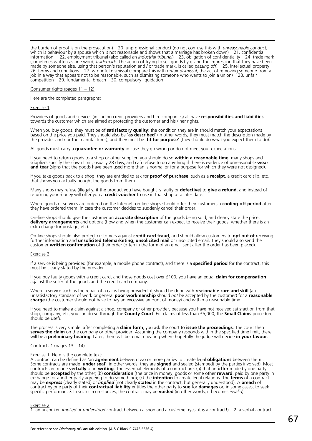the burden of proof is on the prosecution) 20. unprofessional conduct (do not confuse this with *unreasonable conduct*, which is behaviour by a spouse which is not reasonable and shows that a marriage has broken down) 21. information 22. employment tribunal (also called an *industrial tribunal*) 23. obligation of confidentiality 24. trade mark (sometimes written as one word, *trademark*. The action of trying to sell goods by giving the impression that they have been made by someone else, using that person's reputation and / or trade mark, is called *passing off*) 25. intellectual property 26. terms and conditions 27. wrongful dismissal (compare this with *unfair dismissal*, the act of removing someone from a job in a way that appears not to be reasonable, such as dismissing someone who wants to join a union) 28. unfair competition 29. fundamental breach 30. compulsory liquidation

#### Consumer rights (pages 11 – 12)

Here are the completed paragraphs:

#### Exercise 1:

Providers of goods and services (including credit providers and hire companies) all have **responsibilities and liabilities** towards the customer which are aimed at protecting the customer and his / her rights.

When you buy goods, they must be of **satisfactory quality**: the condition they are in should match your expectations based on the price you paid. They should also be '**as described**' (in other words, they must match the description made by the provider and / or the manufacturer), and they must be '**fit for purpose**' (they should do what you expect them to do).

All goods must carry a **guarantee or warranty** in case they go wrong or do not meet your expectations.

If you need to return goods to a shop or other supplier, you should do so **within a reasonable time**: many shops and suppliers specify their own limit, usually 28 days, and can refuse to do anything if there is evidence of unreasonable **wear and tear** (signs that the goods have been used more than is normal or for a purpose for which they were not designed).

If you take goods back to a shop, they are entitled to ask for **proof of purchase**, such as a **receipt**, a credit card slip, etc, that shows you actually bought the goods from them.

Many shops may refuse (illegally, if the product you have bought is faulty or **defective**) to **give a refund**, and instead of returning your money will offer you a **credit voucher** to use in that shop at a later date.

Where goods or services are ordered on the Internet, on-line shops should offer their customers a **cooling-off period** after they have ordered them, in case the customer decides to suddenly cancel their order.

On-line shops should give the customer an **accurate description** of the goods being sold, and clearly state the price, **delivery arrangements** and options (how and when the customer can expect to receive their goods, whether there is an extra charge for postage, etc).

On-line shops should also protect customers against **credit card fraud**, and should allow customers to **opt out of** receiving further information and **unsolicited telemarketing**, **unsolicited mail** or unsolicited email. They should also send the customer **written confirmation** of their order (often in the form of an email sent after the order has been placed).

#### Exercise 2:

If a service is being provided (for example, a mobile phone contract), and there is a **specified period** for the contract, this must be clearly stated by the provider.

If you buy faulty goods with a credit card, and those goods cost over £100, you have an equal **claim for compensation** against the seller of the goods and the credit card company.

Where a service such as the repair of a car is being provided, it should be done with **reasonable care and skill** (an unsatisfactory standard of work or general **poor workmanship** should *not* be accepted by the customer) for a **reasonable charge** (the customer should not have to pay an excessive amount of money) and within a reasonable time.

If you need to make a claim against a shop, company or other provider, because you have not received satisfaction from that shop, company, etc, you can do so through the **County Court**. For claims of less than £5,000, the **Small Claims** procedure should be useful.

The process is very simple: after completing a **claim form**, you ask the court to **issue the proceedings**. The court then **serves the claim** on the company or other provider. Assuming the company responds within the specified time limit, there will be a **preliminary hearing**. Later, there will be a main hearing where hopefully the judge will decide **in your favour**.

#### Contracts 1 (pages 13 – 14)

#### Exercise 1. Here is the complete text:

A contract can be defined as 'an **agreement** between two or more parties to create legal **obligations** between them'. Some contracts are made '**under seal**': in other words, they are **signed** and sealed (stamped) by the parties involved). Most contracts are made **verbally** or in **writing**. The essential elements of a contract are: (a) that an **offer** made by one party should be **accepted** by the other; (b) **consideration** (the price in money, goods or some other **reward**, paid by one party in exchange for another party agreeing to do something); (c) the **intention** to create legal relations. The **terms** of a contract may be *express* (clearly stated) or *implied* (not clearly **stated** in the contract, but generally understood). A **breach** of contract by one party of their **contractual liability** entitles the other party to **sue** for **damages** or, in some cases, to seek specific performance. In such circumstances, the contract may be **voided** (in other words, it becomes *invalid*).

#### Exercise 2:

1. an unspoken *implied* or *understood* contract between a shop and a customer (yes, it *is* a contract!) 2. a verbal contract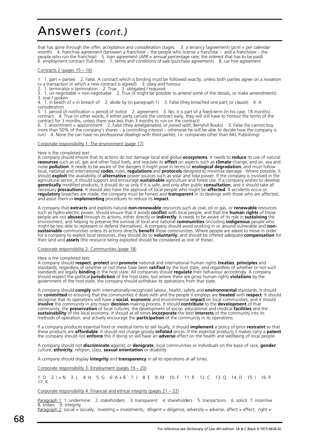that has gone through the *offer*, *acceptance* and *consideration* stages. 3. a tenancy (agreement) (*pcm* = *per calendar month*) 4. franchise agreement (between a *franchiser* – the people who license a franchise – and a *franchisee* – the people who run the franchise) 5. loan agreement (*APR* = *annual percentage rate*; the *interest* that has to be paid) 6. employment contract (full-time) 7. terms and conditions of sale (purchase agreement) 8. car hire agreement

### Contracts 2 (pages 15 – 16)

1. 1. part = parties 2. False. A contract which is binding must be followed exactly, unless both parties agree on a *novation* (= a transaction in which a new contract is agreed) 3. obey *and* honour

2. 1. terminator = termination 2. True 3. obligated / required

3. 1. un-negotiable = non-negotiable 2. True (it might be possible to *amend* some of the details, or make *amendments*) 3. oral / spoken

4. 1. in beach of = in breach of 2. abide by (in paragraph 1) 3. False (they breached one part, or *clause*) 4. A consideration

5. 1. period of notification = period of notice 2. agreement 3. No, it is part of a fixed-term (in his case, 18 months) contract 4. True (in other words, if either party cancels the contract early, they will still have to honour the terms of the contract for 3 months, unless there was less than 3 months to run on the contract)

6. 1. anointment = appointment 2. False (they *amalgamated*, or *joined with*, Berryhill Books) 3. False (he cannot buy more than 50% of the company's shares – a controlling interest – otherwise he will be able to decide how the company is run) 4. None (he can have no *professional dealings* with *third parties*, i.e. companies other than AKL Publishing)

### Corporate responsibility 1: The environment (page 17)

### Here is the completed text:

A company should ensure that its actions do not damage local and global **ecosystems**. It needs to **reduce** its use of natural **resources** such as oil, gas and other fossil fuels, and regulate its **effect** on aspects such as **climate** change, and air, sea and noise **pollution**. It needs to be aware of the dangers it might pose in terms of **ecological degradation**, and must follow local, national and international **codes**, rules, **regulations** and **protocols** designed to minimise damage . Where possible, it should **exploit** the availability of **alternative** power sources such as solar and tidal power. If the company is involved in the agricultural sector, it should support and encourage **sustainable** agriculture and forest use. If a company wishes to develop **genetically** modified products, it should do so only if it is safe, and only after public **consultation**, and it should take all necessary **precautions**. It should also have the approval of local people who might be **affected**. If accidents occur or **regulatory** breaches are made, the company must be honest and **transparent** in its dealings with those who are affected, and assist them in **implementing** procedures to reduce its **impact**.

A company that **extracts** and exploits natural **non-renewable** resources such as coal, oil or gas, or **renewable** resources such as hydro-electric power, should ensure that it avoids **conflict** with local people, and that the **human rights** of those people are not **abused** through its actions, either directly or **indirectly**. It needs to be aware of its role in **sustaining** the environment, and helping to preserve the survival of local and national **communities** (including **indigenous** people who might be less able to represent or defend themselves). A company should avoid working in or around vulnerable and **nonsustainable** communities unless its actions directly **benefit** those communities. Where people are asked to move in order for a company to exploit local resources, they should do so **voluntarily**, and should be offered adequate **compensation** for their land and **assets** (the resource being exploited should be considered as one of these).

### Corporate responsibility 2: Communities (page 18)

### Here is the completed text:

A company should **respect**, **protect** and **promote** national and international human rights **treaties**, **principles** and standards, regardless of whether or not these have been **ratified** by the host state, and regardless of whether or not such standards are legally-**binding** in the host state. All companies should **regulate** their behaviour accordingly. A company should respect the political **jurisdiction** of the host state, but where there are gross human rights **violations** by the government of the host state, the company should withdraw its operations from that state.

A company should **comply** with internationally-recognised labour, health, safety and **environmental** standards. It should be **committed** to ensuring that the communities it deals with and the people it employs are **treated** with **respect**. It should recognise that its operations will have a **social**, **economic** and environmental **impact** on local communities, and it should **involve** the community in any major **decision**-making process. It should **contribute** to the **development** of that community, the **preservation** of local cultures, the development of social, educational and medical **facilities** and the **sustainability** of the local economy. It should at all times **incorporate** the best **interests** of the community into its methods of operation, and actively encourage the **participation** of the community in its operations.

If a company produces essential food or medical items to sell locally, it should **implement** a policy of price **restraint** so that these products are **affordable**. It should not charge grossly **inflated** prices. If the essential products it makes carry a **patent** the company should not **enforce** this if doing so will have an **adverse** effect on the health and wellbeing of local people.

A company should not **discriminate** against, or **denigrate**, local communities or individuals on the basis of race, **gender**, culture, **ethnicity**, religion, class, **sexual orientation** or disability.

A company should display **integrity** and **transparency** in *all* its operations at *all* times.

Corporate responsibility 3: Employment (pages 19 – 20)

1. O 2. I + N 3. L 4. H 5. G 6. A + B 7. J 8. E 9. M 10. F 11. R 12. C 13. Q 14. D 15. I 16. P 17. K

Corporate responsibility 4: Financial and ethical integrity (pages 21 – 22)

Paragraph 1: 1. undermine 2. stakeholders 3. transparent 4. shareholders 5. transactions 6. solicit 7. incentive 8. bribes 9. integrity Paragraph 2: social = socially, investing = investments, diligent = diligence, adversity = adverse, affect = effect, right =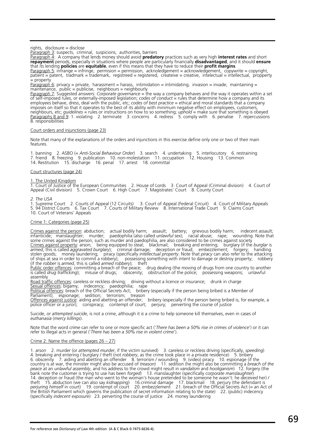rights, disclosure = disclose

Paragraph 3: suspects, criminal, suspicions, authorities, barriers

Paragraph 4: A company that lends money should avoid **predatory** practices such as very high **interest rates** and short **repayment** periods, especially in situations where people are particularly financially **disadvantaged**, and it should **ensure** that its lending **policies** are **equitable**, even if this means that they have to reduce their **profit margins**.<br><u>Paragraph 5</u>: infrange = infringe, permision = permission, acknoledgement = acknowledgement, copywrite = cop patient = patent, tradmark = trademark, registreed = registered, createive = creative, intelectual = intellectual, propperty = property

Paragraph 6: privacy = private, harassment = harass, intimidation = intimidating, invasion = invade, maintaining = maintenance, public = publicise, neighbours = neighbourly

Paragraph 7: Suggested answers: *Corporate governance* = the way a company behaves and the way it operates within a set of self-imposed rules, or externally-imposed legislation; *codes of conduct* = rules that determine how a company and its employees behave, dress, deal with the public, etc; *codes of best practice* = ethical and moral standards that a company imposes on itself so that it operates to the best of its ability with minimum negative effect on employees, customers, neighbours, etc; *guidelines* = rules or instructions on how to so something; *uphold* = make sure that something is obeyed Paragraphs 8 and 9: 1. violating 2. terminate 3. concerns 4. redress 5. comply with 6. penalise 7. repercussions 8. responsibilities

### Court orders and injunctions (page 23)

Note that many of the explanations of the orders and injunctions in this exercise define only one or two of their main features.

1. banning 2. ASBO (= *Anti-Social Behaviour Order*) 3. search 4. undertaking 5. interlocutory 6. restraining 7. friend 8. freezing 9. publication 10. non-molestation 11. occupation 12. Housing 13. Common 14. Restitution 15. discharge 16. penal 17. arrest 18. committal

### Court structures (page 24)

# 1. The United Kingdom

1. Court of Justice of the European Communities 2. House of Lords 3. Court of Appeal (Criminal division) 4. Court of Appeal (Civil division) 5. Crown Court 6. High Court 7. Magistrates' Court 8. County Court

### *2. The USA*

1. Supreme Court 2. Courts of Appeal (12 Circuits) 3. Court of Appeal (Federal Circuit) 4. Court of Military Appeals 5. 94 District Courts 6. Tax Court 7. Courts of Military Review 8. International Trade Court 9. Claims Court 10. Court of Veterans' Appeals

### Crime 1: Categories (page 25)

Crimes against the person: abduction; actual bodily harm; assault; battery; grievous bodily harm; indecent assault; infanticide; manslaughter; murder; paedophilia (also called *unlawful* sex); racial abuse; rape; wounding. Note that some crimes against the person, such as murder and paedophilia, are also considered to be crimes against society Crimes against property: arson; being equipped to steal; blackmail; breaking and entering; burglary (if the *burglar* is *armed*, this is called *aggravated burglary*); criminal damage; deception or fraud; embezzlement; forgery; handling stolen goods; money laundering; piracy (specifically *intellectual property*. Note that *piracy* can also refer to the attacking of ships at sea in order to commit a robbery); possessing something with intent to damage or destroy property; robbery (if the *robber* is *armed*, this is called *armed robbery*); theft

Public order offences: committing a breach of the peace; drug dealing (the moving of drugs from one country to another is called *drug trafficking*); misuse of drugs; obscenity; obstruction of the police; possessing weapons; unlawful

assembly<br>Road traffic offences: careless or reckless driving; driving without a licence or insurance; drunk in charge Sexual offences: bigamy; indecency; paedophilia; rape

Political offences: breach of the Official Secrets Act; bribery (especially if the person being bribed is a Member of Parliament); espionage; sedition; terrorism; treason

Offences against justice: aiding and abetting an offender; bribery (especially if the person being bribed is, for example, a police officer or a juror); conspiracy; contempt of court; perjury; perverting the course of justice

Suicide, or *attempted suicide*, is not a crime, although it *is* a crime to help someone kill themselves, even in cases of *euthanasia* (*mercy killings*).

Note that the word *crime* can refer to one or more specific act ('*There has been a 50% rise in crimes of violence*') or it can refer to illegal acts in general ('*There has been a 50% rise in violent crime*').

# Crime 2: Name the offence (pages 26 – 27)

1. arson 2. murder (or *attempted murder*, if the victim survived) 3. careless or reckless driving (specifically, *speeding*) 4. breaking and entering / burglary / theft (not *robbery*, as the crime took place in a private residence) 5. bribery 6. obscenity 7. aiding and abetting an offender 8. terrorism / wounding 9. (video) piracy 10. espionage (if the country is at war, the minister might also be accused of *treason*) 11. sedition (he might also be committing a *breach of the peace* at an *unlawful assembly*, and his address to the crowd might result in *vandalism* and *hooliganism*) 12. forgery (the bank note the customer is trying to use has been *forged*) 13. manslaughter (specifically *corporate manslaughter*) 14. deception or fraud (the man who went to the woman's house pretended to be someone he wasn't: he *deceived* her) / theft 15. abduction (we can also say *kidnapping*) 16.criminal damage 17. blackmail 18. perjury (the defendant is *perjuring himself* in court) 19. contempt of court 20. embezzlement 21. breach of the Official Secrets Act (= an Act of the British Parliament which governs the publication of secret information relating to the state) 22. (public) indecency (specifically *indecent exposure*) 23. perverting the course of justice 24. money laundering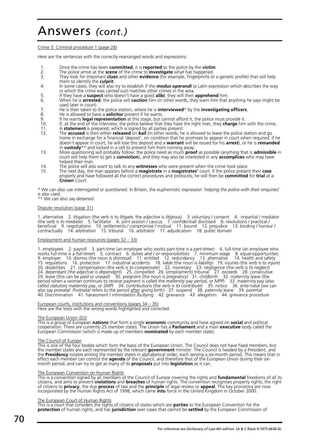# Crime 3: Criminal procedure 1 (page 28)

Here are the sentences with the correctly-rearranged words and expressions:

- 1. Once the crime has been **committed**, it is **reported** to the police by the **victim**.
- 2. The police arrive at the **scene** of the crime to **investigate** what has happened.
- 3. They look for important **clues** and other **evidence** (for example, fingerprints or a genetic profile) that will help them to identify the **culprit**.
- 4. In some cases, they will also try to establish if the *modus operandi* (a Latin expression which describes the way in which the crime was carried out) matches other crimes in the area.
- 5. If they have a **suspect** who doesn't have a good **alibi**, they will then **apprehend** him.
- 6. When he is **arrested**, the police will **caution** him (in other words, they warn him that anything he says might be used later in court).
- 7. He is then taken to the police station, where he is **interviewed**\* by the **investigating officers**.
- 8. He is allowed to have a **solicitor** present if he wants.
- 9. If he wants **legal representation** at this stage, but cannot afford it, the police must provide it.
- 10. If, at the end of the interview, the police believe that they have the right man, they **charge** him with the crime. 11. A **statement** is prepared, which is signed by all parties present.<br>12. The **accused** is then either **released** on **bail** (in other words, he
- 12. The **accused** is then either **released** on **bail** (in other words, he is allowed to leave the police station and go home in exchange for a financial 'deposit', on condition that he promises to appear in court when required: if he doesn't appear in court, he will lose this deposit and a **warrant** will be issued for his **arrest**), or he is **remanded** in **custody**\*\* and locked in a cell to prevent him from running away.
- 13. More questioning will probably follow: the police need as much **proof** as possible (anything that is **admissible** in court will help them to get a **conviction**), and they may also be interested in any **accomplices** who may have helped their man.
- 14. The police will also want to talk to any **witnesses** who were present when the crime took place.
- 15. The next day, the man appears before a **magistrate** in a **magistrates'** court. If the police present their **case** properly and have followed all the correct procedures and protocols, he will then be **committed** for **trial** at a **Crown** Court.

\* We can also use *interrogated* or *questioned*. In Britain, the euphemistic expression '*helping the police with their enquiries*' is also used.

\*\* We can also say *detained*.

### Dispute resolution (page 31)

1. alternative 2. litigation (the verb is to *litigate*, the adjective is *litigious*) 3. voluntary / consent 4. impartial / mediator (the verb is *to mediate*) 5. facilitator 6. joint session / caucus 7. confidential/ disclosed 8. resolutions / practical / beneficial 9. negotiations 10. settlements / compromise / mutual 11. bound 12. prejudice 13. binding / honour / contractually 14. arbitration 15. tribunal 16. arbitrator 17. adjudication 18. public domain

# Employment and human resources (pages 32 – 33)

1. employees 2. payroll 3. part-time (an employee who works part-time is a *part-timer*) 4. full-time (an employee who works full-time is a *full-timer*) 5. contract 6. duties *and* / *or* responsibilities 7. minimum wage 8. equal-opportunities 9. employer 10. dismiss (the noun is *dismissal*) 11. entitled 12. redundancy 13. alternative 14. health and safety 15. regulations 16. protection 17. industrial accidents 18. liable (the noun is *liability*) 19. injuries (the verb is *to injure*) 20. disabilities 21. compensation (the verb is *to compensate*) 22. monetary 23. negligence (the verb is *to neglect*) 24. dependant (the adjective is *dependent*) 25. compelled 26. (employment) tribunal 27. exceeds 28. consecutive 29. leave (this can be *paid* or *unpaid*) 30. pregnant (the noun is *pregnancy*) 31. childbirth 32. maternity leave (the period when a woman continues to receive payment is called the *maternity pay period*, or *MPP*) 33. maternity pay (also called *statutory maternity pay*, or *SMP*) 34. contributions (the verb is *to contribute*) 35. notice 36. ante-natal (we can also say *prenatal*. *Postnatal* refers to the period after giving birth) 37. suspend 38. paternity leave 39. parental 40. Discrimination 41. harassment / intimidation /bullying 42. grievance 43. allegation 44. grievance procedure

# European courts, institutions and conventions (pages  $34 - 35$ )

Here are the texts with the wrong words highlighted and corrected.

# The European Union (EU)

This is a group of European **nations** that form a single **economic** community and have agreed on **social** and political cooperation. There are currently 25 member states. The Union has a **Parliament** and a main **executive** body called the European Commission (which is made up of members **nominated** by each member state).

# The Council of Europe

This is one of the four bodies which form the basis of the European Union. The Council does not have fixed members, but the member states are each represented by the relevant **government** minister. The Council is headed by a President, and the **Presidency** rotates among the member states in alphabetical order, each serving a six-month period. This means that in effect each member can control the **agenda** of the Council, and therefore that of the European Union during their sixmonth period, and can try to get as many of its **proposals** put into **legislation** as it can.

### The European Convention on Human Rights

This is a convention signed by all members of the Council of Europe covering the rights and **fundamental** freedoms of all its citizens, and aims to prevent **violations** and **breaches** of human rights. The convention recognises property rights, the right of citizens to **privacy**, the due **process** of law and the **principle** of legal review or **appeal**. The key provisions are now incorporated by the Human Rights Act of 1998, which came **into** force in the United Kingdom in October 2000.

### The European Court of Human Rights

This is a court that considers the rights of citizens of states which are **parties** to the European Convention for the **protection** of human rights, and has **jurisdiction** over cases that cannot be **settled** by the European Commission of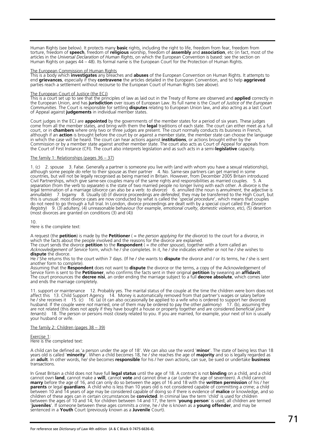Human Rights (see below). It protects many **basic** rights, including the right to life, freedom from fear, freedom from torture, freedom of **speech**, freedom of **religious** worship, freedom of **assembly** and **association**, etc (in fact, most of the articles in the *Universal Declaration of Human Rights*, on which the European Convention is based: see the section on Human Rights on pages 44 – 48). Its formal name is the European Court for the Protection of Human Rights.

### The European Commission of Human Rights

This is a body which **investigates** any breaches and **abuses** of the European Convention on Human Rights. It attempts to end **grievances**, especially if they **contravene** the articles detailed in the European Convention, and to help **aggrieved** parties reach a settlement without recourse to the European Court of Human Rights (see above).

### The European Court of Justice (the ECJ)

This is a court set up to see that the principles of law as laid out in the Treaty of Rome are observed and **applied** correctly in the European Union, and has **jurisdiction** over issues of European Law. Its full name is the *Court of Justice of the European Communities*. The Court is responsible for settling **disputes** relating to European Union law, and also acting as a last Court of Appeal against **judgements** in individual member states.

Court judges in the ECJ are **appointed** by the governments of the member states for a period of six years. These judges come from all the member states, and bring with them the **legal** traditions of each state. The court can either meet as a full court, or in **chambers** where only two or three judges are present. The court normally conducts its business in French, although if an **action** is brought before the court by or against a member state, the member state can choose the language in which the case will be heard. The court can hear actions against **institutions**, or actions brought either by the Commission or by a member state against another member state. The court also acts as Court of Appeal for appeals from the Court of First Instance (CFI). The court also interprets legislation and as such acts in a semi-**legislative** capacity.

### The family 1: Relationships (pages 36 – 37)

1. (c) 2. spouse 3. False. Generally a partner is someone you live with (and with whom you have a sexual relationship), although some people *do* refer to their spouse as their partner 4. No. Same-sex partners can get married in some countries, but will not be legally recognised as being married in Britain. However, from December 2005 Britain introduced Civil Partnerships, which give same-sex couples many of the same rights and responsibilities as married couples. 5. A *separation* (from the verb to *separate*) is the state of two married people no longer living with each other. A *divorce* is the legal termination of a marriage (*divorce* can also be a verb: *to divorce*) 6. annulled (the noun is *annulment*, the adjective is *annullable*) 7. bigamy 8. Usually (d) (if divorce proceedings are *defended*, they may be transferred to the High Court, but this is unusual: most divorce cases are now conducted by what is called the '*special procedure*', which means that couples do not need to go through a full trial. In London, divorce proceedings are dealt with by a special court called the *Divorce Registry*) 9. (3) adultery, (4) unreasonable behaviour (for example, *emotional cruelty*, *domestic violence*, etc), (5) desertion (most divorces are granted on conditions (3) and (4))

10.

### Here is the complete text:

A request (the **petition**) is made by the **Petitioner** ( = *the person applying for the divorce*) to the court for a divorce, in which the facts about the people involved and the reasons for the divorce are explained.

The court sends the divorce **petition** to the **Respondent** ( = *the other spouse*), together with a form called an *Acknowledgement of Service* form, which he / she completes. In it, he / she indicates whether or not he / she wishes to **dispute** the divorce.

He / She returns this to the court within 7 days. (If he / she wants to **dispute** the divorce and / or its terms, he / she is sent another form to complete).

Assuming that the **Respondent** does not want to **dispute** the divorce or the terms, a copy of the Acknowledgement of Service form is sent to the **Petitioner**, who confirms the facts sent in their original **petition** by swearing an **affidavit**. The court pronounces the **decree nisi**, an order ending the marriage subject to a full **decree absolute**, which comes later and ends the marriage completely.

11. support *or* maintenance 12. Probably yes. The marital status of the couple at the time the children were born does not affect this 13. Child Support Agency 14. Money is automatically removed from that partner's wages or salary before he / she receives it 15. (c) 16. (a) (it can also occasionally be applied to a wife who is ordered to support her divorced husband. If the couple were *not* married, one of them may be ordered to pay the other *palimony*) 17. (b), assuming they are not related (this does not apply if they have bought a house or property together and are considered *beneficial joint tenants*) 18. The person or persons most closely related to you. If you are married, for example, your next of kin is usually your husband or wife.

### The family 2: Children (pages 38 – 39)

# Exercise 1:<br>Here is the completed text:

A child can be defined as 'a person under the age of 18'. We can also use the word '**minor**'. The state of being less than 18 years old is called '**minority**'. When a child becomes 18, he / she reaches the age of **majority** and so is legally regarded as an **adult**. In other words, he/ she becomes **responsible** for his / her own actions, can sue, be sued or undertake **business** transactions.

In Great Britain a child does not have full **legal status** until the age of 18. A contract is not **binding** on a child, and a child cannot own **land**, cannot make a **will**, cannot **vote** and cannot drive a car (under the age of seventeen). A child cannot **marry** before the age of 16, and can only do so between the ages of 16 and 18 with the **written permission** of his / her **parents** or legal **guardians**. A child who is less than 10 years old is not considered capable of committing a crime; a child between 10 and 14 years of age may be considered capable of doing so if there is evidence of **malice** or knowledge, and so children of these ages can in certain circumstances be **convicted**. In criminal law the term 'child' is used for children between the ages of 10 and 14; for children between 14 and 17, the term '**young person**' is used; all children are termed '**juveniles**'. If someone between these ages commits a crime, he / she is known as a **young offender**, and may be sentenced in a **Youth** Court (previously known as a **Juvenile** Court).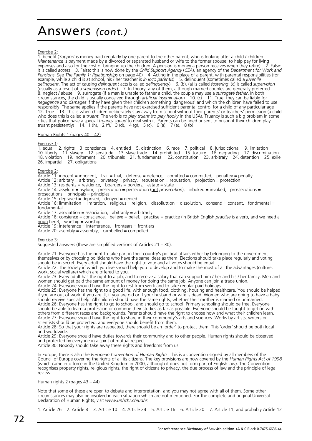## Exercise 2:

1. benefit (*Support* is money paid regularly by one parent to the other parent, who is looking after a child / children. *Maintenance* is payment made by a divorced or separated husband or wife to the former spouse, to help pay for living expenses and also for the cost of bringing up the children. A *pension* is money a person receives when they retire) 2. False: it is called *access* 3. False: this is now done by the *Child Support Agency* (*CSA*), an agency of the *Department for Work and Pensions*: See *The Family 1: Relationships* on page 40) 4. Acting in the place of a parent, with parental responsibilities (for example, while a child is at school, his / her teacher is *in loco parentis*) 5. delinquent (sometimes called a *juvenile delinquent*. The act of causing *delinquent* acts is called *delinquency*) 6. (b). (a) is called *fostering*. (c) is called *supervision* (usually as a result of a *supervision order*) 7. In theory, any of them, although married couples are generally preferred. 8. neglect / abuse 9. surrogate (if a man is unable to father a child, the couple may use a *surrogate father*. In both circumstances, the child is usually conceived through *artificial insemination*) 10. (c) 11. True: they can be liable for *negligence* and *damages* if they have given their children something 'dangerous' and which the children have failed to use responsibly. The same applies if the parents have not exercised sufficient parental control for a child of any particular age<br>12. True 13. This is when children deliberately stay away from school without their parents' or 13. This is when children deliberately stay away from school without their parents' or teachers' permission (a child who does this is called a *truant*. The verb is *to play truant* (*to play hooky* in the USA). Truancy is such a big problem in some cities that police have a special *truancy squad* to deal with it. Parents can be fined or sent to prison if their children play truant persistently) 14. 1 (h), 2 (f), 3 (d), 4 (g), 5 (c), 6 (a), 7 (e), 8 (b)

### Human Rights 1 (pages 40 – 42)

### Exercise 1:

1. equal 2. rights 3. conscience 4. entitled 5. distinction 6. race 7. political 8. jurisdictional 9. limitation 10. liberty 11. slavery 12. servitude 13. slave trade 14. prohibited 15. torture 16. degrading 17. discrimination 18. violation 19. incitement 20. tribunals 21. fundamental 22. constitution 23. arbitrary 24. detention 25. exile 26. impartial 27. obligations Exercise 2: Article 11: inocent = innocent, trail = trial, defense = defence, comitted = committed, penaltey = penalty Article 12: arbitary = arbitrary, privatecy = privacy, reputeation = reputation, projection = protection Article 13: residents = residence, boarders = borders, estate = state Article 14: assylum = asylum, presecution = persecution (not prosecution), inboked = invoked, prossecutions = prosecutions, principals = principles Article 15: depraved = deprived, denyed = denied Article 16: limmitation = limitation, religious = religion, dissolluttion = dissolution, consend = consent, fondmental = fundamental Article 17: asociattion = association, abitrarily = arbitrarily Article 18: consience = conscience, believe = belief, practise = practice (in British English *practise* is a verb, and we need a noun here), warship = worship  $\overline{\text{Article}}$  19: inteferance = interference, frontears = frontiers Article 20: asembly = assembly,  $cambeiled = compelled$ Exercise 3:

Suggested answers (these are simplified versions of Articles  $21 - 30$ ):

Article 21: Everyone has the right to take part in their country's political affairs either by belonging to the government themselves or by choosing politicians who have the same ideas as them. Elections should take place regularly and voting should be in secret. Every adult should have the right to vote and all votes should be equal.

Article 22: The society in which you live should help you to develop and to make the most of all the advantages (culture, work, social welfare) which are offered to you.

Article 23: Every adult has the right to a job, and to receive a salary that can support him / her and his / her family. Men and women should get paid the same amount of money for doing the same job. Anyone can join a trade union.

Article 24: Everyone should have the right to rest from work and to take regular paid holidays.

Article 25: Everyone has the right to a good life, with enough food, clothing, housing and healthcare. You should be helped if you are out of work, if you are ill, if you are old or if your husband or wife is dead. Women who are going to have a baby should receive special help. All children should have the same rights, whether their mother is married or unmarried. Article 26: Everyone has the right to go to school, and should go to school. Primary schooling should be free. Everyone should be able to learn a profession or continue their studies as far as possible. Everyone should be taught to get on with others from different races and backgrounds. Parents should have the right to choose how and what their children learn. Article 27: Everyone should have the right to share in their community's arts and sciences. Works by artists, writers or scientists should be protected, and everyone should benefit from them.

Article 28: So that your rights are respected, there should be an 'order' to protect them. This 'order' should be both local and worldwide.

Article 29: Everyone should have duties towards their community and to other people. Human rights should be observed and protected by everyone in a spirit of mutual respect.

Article 30: Nobody should take away these rights and freedoms from us.

In Europe, there is also the *European Convention of Human Rights*. This is a convention signed by all members of the Council of Europe covering the rights of all its citizens. The key provisions are now covered by the *Human Rights Act of 1998* (which came into force in the United Kingdom in 2000, although it does not form part of English law). The Convention recognises property rights, religious rights, the right of citizens to privacy, the due process of law and the principle of legal review.

### Human rights 2 (pages 43 – 44)

Note that some of these are open to debate and interpretation, and you may not agree with all of them. Some other circumstances may also be involved in each situation which are not mentioned. For the complete and original Universal Declaration of Human Rights, visit *[www.unhchr.ch/udhr](http://www.unhchr.ch/udhr)*.

1. Article 26 2. Article 8 3. Article 10 4. Article 24 5. Article 16 6. Article 20 7. Article 11, and probably Article 12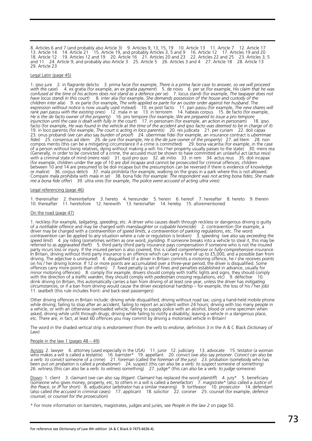8. Articles 6 and 7 (and probably also Article 3) 9. Articles 9, 13, 15, 19 10. Article 13 11. Article 7 12. Article 17 13. Article 14 14. Article 21 15. Article 19, and probably Articles 3, 5 and 9 16. Article 12 17. Articles 19 and 20 18. Article 12 19. Articles 12 and 19 20. Article 16 21. Articles 20 and 23 22. Articles 22 and 25 23. Articles 3, 5 and 11 24. Article 9, and probably also Article 3 25. Article 5 26. Articles 3 and 4 27. Article 18 28. Article 13 29. Article 23

### Legal Latin (page 45)

1. ipso jure 2. in flagrante delicto 3. prima facie (for example, *There is a prima facie case to answer, so we will proceed with the case*) 4. ex gratia (for example, an *ex gratia payment*) 5. de novo 6. per se (for example, *His claim that he was confused at the time of his actions does not stand as a defence per se*) 7. locus standi (for example, *The taxpayer does not have locus standi in this court*) 8. inter alia (for example, *She demands possession of the house and custody of the children inter alia*) 9. ex parte (for example, *The wife applied ex parte for an ouster order against her husband*. The expression *without notice* is now usually used instead) 10. ex post facto 11. pari passu (for example, *The new shares will rank pari passu with the existing ones*) 12. mala in se 13. in terrorem 14. habeas corpus 15. de facto (for example, *He is the de facto owner of the property*) 16. pro tempore (for example, *We are prepared to issue a pro tempore injunction until the case is dealt with fully in the court*) 17. in personam (for example, *an action in personam*) 18. ipso facto (for example, *He was found in the vehicle at the time of the accident and ipso facto was deemed to be in charge of it*) 19. in loco parentis (for example, *The court is acting in loco parentis*) 20. res judicata 21. per curiam 22. doli capax 23. onus probandi (we can also say *burden of proof*) 24. uberrimae fidei (for example, an insurance contract is *uberrimae fidei*) 25. consensus ad idem 26. de jure (for example, *He is the de jure owner of the property*) 27. ad litem 28. non compos mentis (this can be a mitigating circumstance if a crime is committed) 29. bona vacantia (for example, in the case of a person without living relatives, dying without making a will: his / her property usually passes to the state) 30. mens rea (Generally, in order to be convicted of a crime, the accused must be shown to have committed an unlawful act (*actus reus*) with a criminal state of mind (*mens rea*)) 31. quid pro quo 32. ab initio 33. in rem 34. actus reus 35. doli incapax (for example, children under the age of 10 are *doli incapax* and cannot be prosecuted for criminal offences; children between 10 and 14 are presumed to be doli incapax but the presumption can be reversed if there is evidence of knowledge or *malice*) 36. corpus delicti 37. mala prohibita (for example, walking on the grass in a park where this is not allowed. Compare *mala prohibita* with *mala in se*) 38. bona fide (for example: *The respondent was not acting bona fides*; *She made me a bona fide offer*) 39. ultra vires (for example, *The police were accused of acting ultra vires*)

### Legal referencing (page 46)

1. thereinafter 2. thereinbefore 3. hereto 4. hereunder 5. herein 6. hereof 7. hereafter 8. hereto 9. therein 10. thereafter 11. heretofore 12. herewith 13. hereinafter 14. hereby 15. aforementioned

### On the road (page 47)

1. reckless (for example, *tailgating*, *speeding*, etc. A driver who causes death through reckless or dangerous driving is guilty of a *notifiable offence* and may be charged with *manslaughter* or *culpable homicide*) 2. contravention (for example, a driver may be charged with a *contravention of speed limits*, a *contravention of parking regulations*, etc. The word *contravention* can be applied to *any* situation where a rule or regulation is broken) 3. speeding (we also say *exceeding the speed limit*) 4. joy riding (sometimes written as one word, *joyriding*. If someone breaks into a vehicle to steal it, this may be referred to as *aggravated theft*) 5. third party (third party insurance pays compensation if someone who is not the insured party incurs loss or injury. If the insured person is also covered, this is called *comprehensive* or *fully-comprehensive* insurance. In Britain, driving without third party insurance is an offence which can carry a fine of up to £5,000, and a possible *ban* from driving. The adjective is *uninsured*) 6. disqualified (if a driver in Britain commits a motoring offence, he / she receives *points* on his / her driving licence. If 12 or more points are accumulated over a three-year period, the driver is disqualified. Some offences carry more points than others) 7. fixed penalty (a set of fines and penalties established in advance, usually for minor motoring offences) 8. comply (for example, drivers should comply with traffic lights and signs, they should comply with the direction of a *traffic warden*, they should comply with *pedestrian crossing* regulations, etc) 9. defective 10. drink driving (in Britain, this automatically carries a ban from driving of at least one year, unless the driver has *mitigating circumstances*, or if a ban from driving would cause the driver exceptional hardship – for example, the loss of his / her job) 11. seatbelt (this rule includes front- and back-seat passengers)

Other driving offences in Britain include: driving while disqualified; driving without road tax; using a hand-held mobile phone while driving; failing to stop after an accident; failing to report an accident within 24 hours; driving with too many people in a vehicle, or with an otherwise overloaded vehicle; failing to supply police with an alcohol, blood or urine specimen when asked; driving while unfit through drugs; driving while failing to notify a disability; leaving a vehicle in a dangerous place, etc. There are, in fact, at least 60 offences you may commit by driving a motorised vehicle in Britain!

The word in the shaded vertical strip is *endorsement* (from the verb to *endorse*, definition 3 in the A & C Black *Dictionary of Law*)

### People in the law 1 (pages  $48 - 49$ )

Across: 2. lawyer 6. attorney (used especially in the USA) 11. juror 12. judiciary 13. advocate 15. testator (a woman who makes a will is called a *testatrix*) 16. barrister\* 19. appellant 20. convict (we also say *prisoner*. *Convict* can also be a verb: *to convict* someone of a crime) 21. foreman (called the *foreman of the jury*) 23. probation (somebody who has been put *on probation* is called a *probationer*) 24. suspect (this can also be a verb: *to suspect* someone of something) 26. witness (this can also be a verb: *to witness* something) 27. judge\* (this can also be a verb: *to judge* someone)

Down: 1. client 3. claimant (we can also say *litigant*. *Claimant* has replaced the word *plaintiff*) 4. jury\* 5. beneficiary (someone who gives money, property, etc, to others in a will is called a *benefactor*) 7. magistrate\* (also called a *Justice of the Peace*, or *JP* for short) 8. adjudicator (*arbitrator* has a similar meaning) 9. tortfeasor 10. prosecutor 14. defendant (also called *the accused* in criminal cases) 17. applicant 18. solicitor 22. coroner 25. counsel (for example, *defence counsel*, or *counsel for the prosecution*)

\* For more information on barristers, magistrates, judges and juries, see *People in the law 2* on page 50.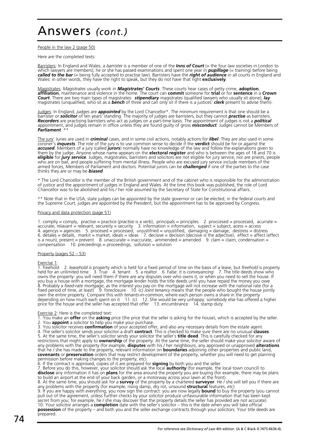# People in the law 2 (page 50)

Here are the completed texts:

Barristers: In England and Wales, a *barrister* is a member of one of the *Inns of Court* (= the four law societies in London to which lawyers are members); he or she has passed examinations and spent one year in *pupillage* (= training) before being *called to the bar* (= being fully accepted to practise law). Barristers have the *right of audience* in all courts in England and Wales: in other words, they have the right to speak, but they do not have that right **exclusively**.

Magistrates: *Magistrates* usually work in *Magistrates' Courts*. These courts hear cases of petty crime, **adoption**, **affiliation**, maintenance and violence in the home. The court can **commit** someone for **trial** or for **sentence** in a *Crown Court*. There are two main types of magistrates: *stipendiary* magistrates (qualified lawyers who usually sit alone); *lay* magistrates (unqualified, who sit as a *bench* of three and can only sit if there is a justices' *clerk* present to advise them).

Judges: In England, *judges* are *appointed* by the Lord Chancellor\*. The minimum requirement is that one should be a barrister or *solicitor* of ten years' standing. The majority of judges are barristers, but they cannot *practise* as barristers. *Recorders* are practising barristers who act as judges on a part-time basis. The appointment of judges is not a *political* appointment, and judges remain in office unless they are found guilty of gross *misconduct*. Judges cannot be Members of *Parliament*. \*\*

The jury: Juries are used in *criminal* cases, and in some civil actions, notably actions for *libel*. They are also used in some coroner's *inquests*. The role of the jury is to use common sense to decide if the **verdict** should be for or against the *accused*. Members of a jury (called *jurors*) normally have no knowledge of the law and follow the explanations given to them by the judge. Anyone whose name appears on the **electoral register** and who is between the ages of 18 and 70 is **eligible** for *jury service*. Judges, magistrates, barristers and solicitors are not eligible for jury service, nor are priests, people who are on bail, and people suffering from mental illness. People who are excused jury service include members of the armed forces, Members of Parliament and doctors. Potential jurors can be *challenged* if one of the parties to the case thinks they are or may be *biased*.

\* The Lord Chancellor is the member of the British government and of the cabinet who is responsible for the administration of justice and the appointment of judges in England and Wales. At the time this book was published, the role of Lord Chancellor was to be abolished and his / her role assumed by the Secretary of State for Constitutional affairs.

\*\* Note that in the USA, state judges can be appointed by the state governor or can be elected; in the federal courts and the Supreme Court, judges are appointed by the President, but the appointment has to be approved by Congress.

### Privacy and data protection (page 51)

1. compliy = comply, practise = practice (*practise* is a verb), principals = principles 2. proccesed = processed, acurrate = accurate, relavant = relevant, secureity = security 3. infermation = information, supject = subject, acess = access 4. agencys = agencies 5. procesed = processed, unjustifried = unjustified, damaging = damage, destress = distress 6. detales = details, markit = market, ideals = ideas  $7.$  decisive = decision (decisive is the adjective), effect = affect (effect is a noun), present = prevent 8. unaccurate = inaccurate, ammended = amended 9. clam = claim, condensation = compensation 10. preceedings = proceedings, sollution = solution

### Property (pages  $52 - 53$ )

### Exercise 1:

1. freehold 2. *leasehold* is property which is held for a fixed period of time on the basis of a lease, but *freehold* is property held for an unlimited time 3. True 4. tenant 5. a realtor 6. False: it is *conveyancing* 7. The title deeds show who owns the property: you will need them if there are any disputes over who owns it, or when you need to sell the house. If you buy a house with a mortgage, the mortgage lender holds the title deeds until you have repaid the money you owe 8. Probably a *fixed-rate mortgage*, as the interest you pay on the mortgage will not increase with the national rate (for a fixed period of time, at least) 9. foreclosure 10. (c) *Joint tenancy* means that the people who bought the house jointly own the entire property. Compare this with *tenants-in-common*, where each person owns a share in the property depending on how much each spent on it 11. (c) 12. She would be very unhappy: somebody else has offered a higher price for the house and the seller has accepted that offer 13. encumbrance 14. stamp duty

### Exercise 2: Here is the completed text:

1. You make an **offer** on the **asking** price (the price that the seller is asking for the house), which is accepted by the seller. 2. You **appoint** a solicitor to help you make your purchase.

3. You solicitor receives **confirmation** of your accepted offer, and also any necessary details from the estate agent.

4. The seller's solicitor sends your solicitor a draft **contract**. This is checked to make sure there are no unusual **clauses**.

5. At the same time, the seller's solicitor sends your solicitor the seller's **title deed**. This is carefully checked for any restrictions that might apply to **ownership** of the property. At the same time, the seller should make your solicitor aware of any problems with the property (for example, **disputes** with his / her neighbours, any approved or unapproved **alterations** that he / she has made to the property, relevant information on **boundaries** adjoining other properties and public land, **covenants** or **preservation** orders that may restrict development of the property, whether you will need to get planning permission before making changes to the property, etc).

6. If the contract is approved, copies of it are prepared for **signing** by both you and the seller.

7. Before you do this, however, your solicitor should ask the local **authority** (for example, the local town council) to **disclose** any information it has on **plans** for the area around the property you are buying (for example, there may be plans to build an airport at the end of your back garden, or a motorway across your lawn at the front).

8. At the same time, you should ask for a **survey** of the property by a chartered **surveyor**. He / she will tell you if there are any problems with the property (for example, rising damp, dry rot, unsound **structural** features, etc).

9. If you are happy with everything, you now sign the contract: you are now legally **bound** to buy the property (you cannot pull out of the agreement, unless further checks by your solicitor produce unfavourable information that has been kept secret from you; for example, he / she may discover that the property details the seller has provided are not accurate). 10. Your solicitor arranges a **completion** date with the seller's solicitor – this is the date when you will take official **possession** of the property – and both you and the seller exchange contracts through your solicitors. Your title deeds are

prepared.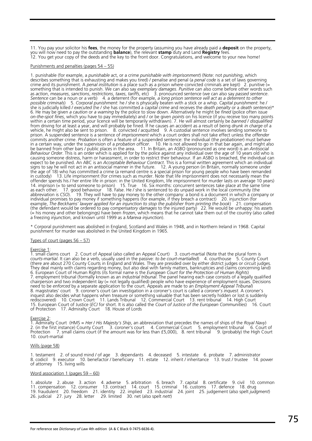11. You pay your solicitor his **fees**, the money for the property (assuming you have already paid a **deposit** on the property, you will now need to pay the outstanding **balance**), the relevant **stamp** duty and Land **Registry** fees. 12. You get your copy of the deeds and the key to the front door. Congratulations, and welcome to your new home!

### Punishments and penalties (pages 54 – 55)

1. punishable (for example, a *punishable* act, or a crime *punishable with imprisonment*) (Note: not *punishing*, which describes something that is exhausting and makes you tired) / penalise and penal (a *penal code* is a set of laws governing crime and its punishment. A *penal institution* is a place such as a prison where convicted criminals are kept) 2. punitive (= something that is intended to punish. We can also say *exemplary damages*. *Punitive* can also come before other words such sention, measures, sanctions, restrictions, taxes, tariffs, etc) 3. pronounced sentence (we can also say passed sentence.<br>Sentence can be a noun or a verb) 4. a deterrent (for example, a long prison sentence will act as a *possible criminals*) 5. *Corporal punishment*: he / she is physically beaten with a stick or a whip. *Capital punishment*: he / she is judicially killed / *executed* (he / she has committed a *capital crime* and receives the *death penalty* or a *death sentence*)\* 6. He may be given *a caution* or *a warning* by the police to slow down. Alternatively he might be *fined* (police often issue *on-the-spot fines*, which you have to pay immediately) and / or be given *points* on his licence (if you receive too many points within a certain time period, your licence will be temporarily withdrawn). 7. He will almost certainly be *banned* / *disqualified* from driving for at least a year, and will probably be fined. If he causes an accident as a result of being *drunk in charge* of a vehicle, he might also be sent to prison. 8. convicted / acquitted 9. A custodial sentence involves sending someone to prison. A suspended sentence is a sentence of *imprisonment* which a court orders shall not take effect unless the *offender* commits another crime. *Probation* is often a feature of a suspended sentence: the individual (the *probationer*) must behave in a certain way, under the supervision of a *probation officer*. 10. He is not allowed to go in that bar again, and might also be banned from other bars / public places in the area. 11. In Britain, an ASBO (pronounced as one word) is an *Antisocial Behaviour Order*. This is an order which is applied for by the police against any individual over the age of 10 years old who is causing someone distress, harm or harassment, in order to restrict their behaviour. If an ASBO is breached, the individual can expect to be punished. An ABC is an *Acceptable Behaviour Contract*. This is a formal written agreement which an individual signs to say he will not act in an antisocial manner in the future. 12. A young person (in Britain, normally someone under the age of 18) who has committed a crime (a remand centre is a special prison for young people who have been remanded<br>in custody) 13. Life imprisonment (for crimes such as murder. Note that life imprisonment does not neces 13. Life imprisonment (for crimes such as murder. Note that life imprisonment does not necessarily mean the offender spends his / her entire life in prison: in the United Kingdom, life imprisonment for murder lasts on average 10 years) 14. imprison (= to send someone to prison) 15. True 16. Six months: concurrent sentences take place at the same time as each other. 17. good behaviour 18. False. He / she is sentenced to do unpaid work in the local community (the abbreviation is *CSO*). 19. They will have to pay money to the other company: a bond is a document in which a company or individual promises to pay money if something happens (for example, if they breach a contract) 20. injunction (for example, *The Beckhams' lawyer applied for an injunction to stop the publisher from printing the book*) 21. compensation (the defendant would be ordered to pay *compensatory damages* to the injured party) 22. He would be unhappy: his assets (= his money and other belongings) have been *frozen*, which means that he cannot take them out of the country (also called a freezing *injunction*, and known until 1999 as a *Mareva injunction*).

\* Corporal punishment was abolished in England, Scotland and Wales in 1948, and in Northern Ireland in 1968. Capital punishment for murder was abolished in the United Kingdom in 1965.

### Types of court (pages 56 – 57)

#### Exercise 1:

1. small claims court 2. Court of Appeal (also called an Appeal Court) 3. court-martial (Note that the plural form is *courts-martial*. It can also be a verb, usually used in the passive: *to be court-martialled*) 4. courthouse 5. County Court (there are about 270 County Courts in England and Wales. They are presided over by either district judges or circuit judges. They deal mainly with claims regarding money, but also deal with family matters, bankruptcies and claims concerning land) 6. European Court of Human Rights (its formal name is the *European Court for the Protection of Human Rights*) 7. employment tribunal (formally known as an *industrial tribunal*. The panel hearing each case consists of a legally qualified chairperson and two independent *lay* (= not legally qualified) people who have experience of employment issues. Decisions need to be *enforced* by a separate application to the court. Appeals are made to an *Employment Appeal Tribunal*) 8. magistrates' court 9. coroner's court (an investigation in a coroner's court is called a *coroner's inquest*. A coroner's inquest also decides what happens when treasure or something valuable that has been secretly hidden or lost is suddenly rediscovered) 10. Crown Court 11. Lands Tribunal 12. Commercial Court 13. rent tribunal 14. High Court 15. European Court of Justice (*ECJ* for short. It is also called the *Court of Justice of the European Communities*) 16. Court of Protection 17. Admiralty Court 18. House of Lords

#### Exercise 2

1. Admiralty Court (HMS = *Her* / *His Majesty's Ship*, an abbreviation that precedes the names of ships of the *Royal Navy*) 2. (in the first instance) County Court 3. coroner's court 4. Commercial Court 5. employment tribunal 6. Court of Protection 7. small claims court (if the amount was for less than £5,000), 8. rent tribunal 9. (probably) the High Court 10. court-martial

### Wills (page 58)

1. testament 2. of sound mind / of age 3. dependants 4. deceased 5. intestate 6. probate 7. administrator 8. codicil 9. executor 10. benefactor / beneficiary 11. estate 12. inherit / inheritance 13. trust / trustee 14. power of attorney 15. living wills

#### Word association 1 (pages 59 – 60)

1. absolute 2. abuse 3. action 4. adverse 5. arbitration 6. breach 7. capital 8. certificate 9. civil 10. common 11. compensation 12. consumer 13. contract 14. court 15. criminal 16. customs 17. defence 18. drug 19. fraudulent 20. freedom 21. identity 22. implied 23. industrial 24. joint 25. judgement (also spelt *judgment*) 26. judicial 27. jury 28. letter 29. limited 30. net (also spelt *nett*)